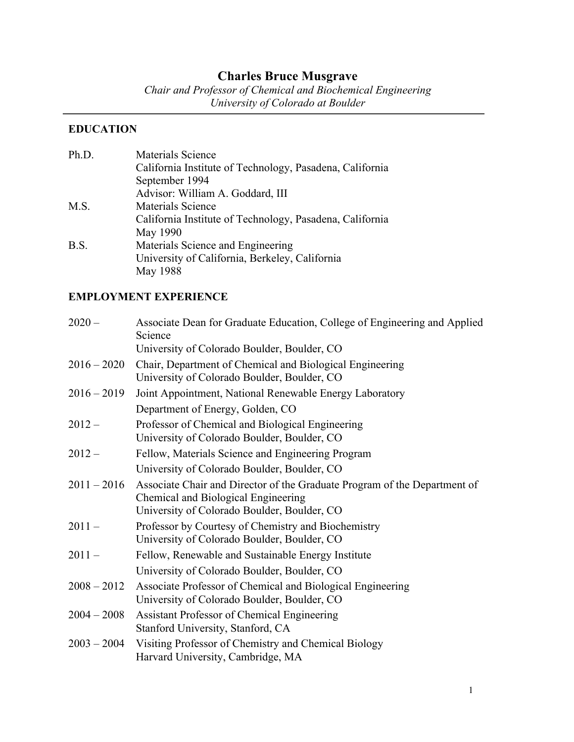# **Charles Bruce Musgrave**

*Chair and Professor of Chemical and Biochemical Engineering University of Colorado at Boulder*

# **EDUCATION**

| Ph.D. | <b>Materials Science</b>                                 |
|-------|----------------------------------------------------------|
|       | California Institute of Technology, Pasadena, California |
|       | September 1994                                           |
|       | Advisor: William A. Goddard, III                         |
| M.S.  | Materials Science                                        |
|       | California Institute of Technology, Pasadena, California |
|       | May 1990                                                 |
| B.S.  | Materials Science and Engineering                        |
|       | University of California, Berkeley, California           |
|       | May 1988                                                 |

# **EMPLOYMENT EXPERIENCE**

| $2020 -$      | Associate Dean for Graduate Education, College of Engineering and Applied<br>Science                                                                            |
|---------------|-----------------------------------------------------------------------------------------------------------------------------------------------------------------|
|               | University of Colorado Boulder, Boulder, CO                                                                                                                     |
| $2016 - 2020$ | Chair, Department of Chemical and Biological Engineering<br>University of Colorado Boulder, Boulder, CO                                                         |
| $2016 - 2019$ | Joint Appointment, National Renewable Energy Laboratory                                                                                                         |
|               | Department of Energy, Golden, CO                                                                                                                                |
| $2012 -$      | Professor of Chemical and Biological Engineering<br>University of Colorado Boulder, Boulder, CO                                                                 |
| $2012 -$      | Fellow, Materials Science and Engineering Program                                                                                                               |
|               | University of Colorado Boulder, Boulder, CO                                                                                                                     |
| $2011 - 2016$ | Associate Chair and Director of the Graduate Program of the Department of<br>Chemical and Biological Engineering<br>University of Colorado Boulder, Boulder, CO |
| $2011 -$      | Professor by Courtesy of Chemistry and Biochemistry<br>University of Colorado Boulder, Boulder, CO                                                              |
| $2011 -$      | Fellow, Renewable and Sustainable Energy Institute                                                                                                              |
|               | University of Colorado Boulder, Boulder, CO                                                                                                                     |
| $2008 - 2012$ | Associate Professor of Chemical and Biological Engineering<br>University of Colorado Boulder, Boulder, CO                                                       |
| $2004 - 2008$ | Assistant Professor of Chemical Engineering<br>Stanford University, Stanford, CA                                                                                |
| $2003 - 2004$ | Visiting Professor of Chemistry and Chemical Biology<br>Harvard University, Cambridge, MA                                                                       |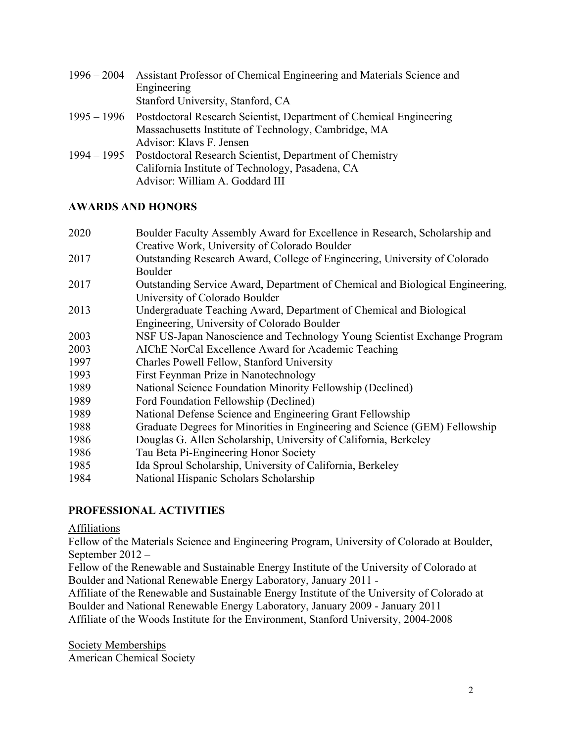| $1996 - 2004$ | Assistant Professor of Chemical Engineering and Materials Science and           |
|---------------|---------------------------------------------------------------------------------|
|               | Engineering                                                                     |
|               | Stanford University, Stanford, CA                                               |
|               | 1995 – 1996 Postdoctoral Research Scientist, Department of Chemical Engineering |
|               | Massachusetts Institute of Technology, Cambridge, MA                            |
|               | Advisor: Klavs F. Jensen                                                        |
|               | 1994 – 1995 Postdoctoral Research Scientist, Department of Chemistry            |
|               | California Institute of Technology, Pasadena, CA                                |
|               | Advisor: William A. Goddard III                                                 |

## **AWARDS AND HONORS**

| 2020 | Boulder Faculty Assembly Award for Excellence in Research, Scholarship and    |
|------|-------------------------------------------------------------------------------|
|      | Creative Work, University of Colorado Boulder                                 |
| 2017 | Outstanding Research Award, College of Engineering, University of Colorado    |
|      | Boulder                                                                       |
| 2017 | Outstanding Service Award, Department of Chemical and Biological Engineering, |
|      | University of Colorado Boulder                                                |
| 2013 | Undergraduate Teaching Award, Department of Chemical and Biological           |
|      | Engineering, University of Colorado Boulder                                   |
| 2003 | NSF US-Japan Nanoscience and Technology Young Scientist Exchange Program      |
| 2003 | AIChE NorCal Excellence Award for Academic Teaching                           |
| 1997 | Charles Powell Fellow, Stanford University                                    |
| 1993 | First Feynman Prize in Nanotechnology                                         |
| 1989 | National Science Foundation Minority Fellowship (Declined)                    |
| 1989 | Ford Foundation Fellowship (Declined)                                         |
| 1989 | National Defense Science and Engineering Grant Fellowship                     |
| 1988 | Graduate Degrees for Minorities in Engineering and Science (GEM) Fellowship   |
| 1986 | Douglas G. Allen Scholarship, University of California, Berkeley              |
| 1986 | Tau Beta Pi-Engineering Honor Society                                         |
| 1985 | Ida Sproul Scholarship, University of California, Berkeley                    |
| 1984 | National Hispanic Scholars Scholarship                                        |
|      |                                                                               |

# **PROFESSIONAL ACTIVITIES**

Affiliations

Fellow of the Materials Science and Engineering Program, University of Colorado at Boulder, September 2012 –

Fellow of the Renewable and Sustainable Energy Institute of the University of Colorado at Boulder and National Renewable Energy Laboratory, January 2011 -

Affiliate of the Renewable and Sustainable Energy Institute of the University of Colorado at Boulder and National Renewable Energy Laboratory, January 2009 - January 2011 Affiliate of the Woods Institute for the Environment, Stanford University, 2004-2008

Society Memberships American Chemical Society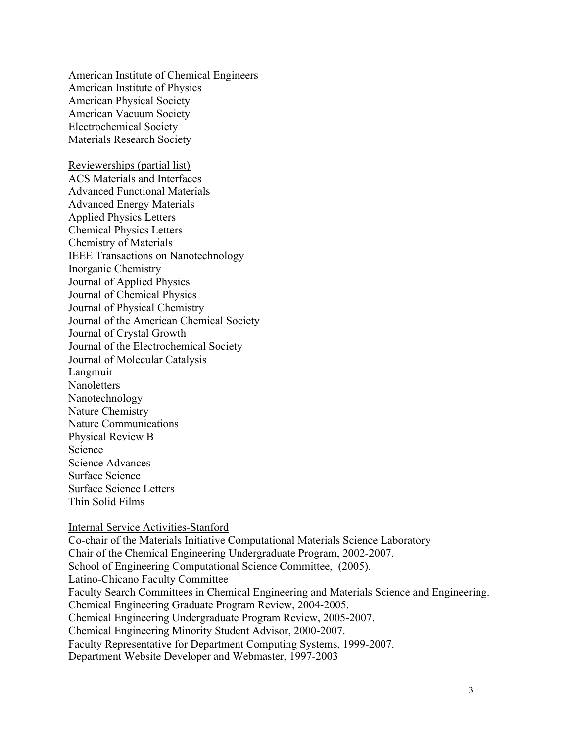American Institute of Chemical Engineers American Institute of Physics American Physical Society American Vacuum Society Electrochemical Society Materials Research Society

Reviewerships (partial list) ACS Materials and Interfaces Advanced Functional Materials Advanced Energy Materials Applied Physics Letters Chemical Physics Letters Chemistry of Materials IEEE Transactions on Nanotechnology Inorganic Chemistry Journal of Applied Physics Journal of Chemical Physics Journal of Physical Chemistry Journal of the American Chemical Society Journal of Crystal Growth Journal of the Electrochemical Society Journal of Molecular Catalysis Langmuir **Nanoletters** Nanotechnology Nature Chemistry Nature Communications Physical Review B Science Science Advances Surface Science Surface Science Letters

Thin Solid Films

#### Internal Service Activities-Stanford

Co-chair of the Materials Initiative Computational Materials Science Laboratory Chair of the Chemical Engineering Undergraduate Program, 2002-2007. School of Engineering Computational Science Committee, (2005). Latino-Chicano Faculty Committee Faculty Search Committees in Chemical Engineering and Materials Science and Engineering. Chemical Engineering Graduate Program Review, 2004-2005. Chemical Engineering Undergraduate Program Review, 2005-2007. Chemical Engineering Minority Student Advisor, 2000-2007. Faculty Representative for Department Computing Systems, 1999-2007. Department Website Developer and Webmaster, 1997-2003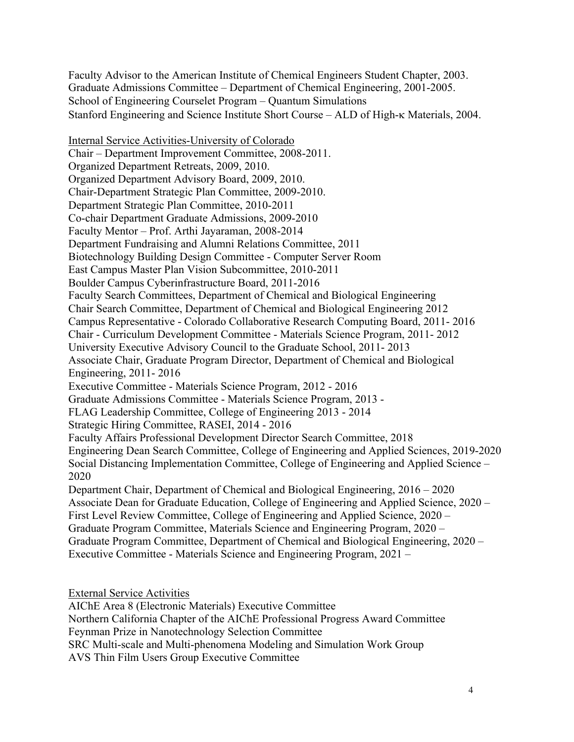Faculty Advisor to the American Institute of Chemical Engineers Student Chapter, 2003. Graduate Admissions Committee – Department of Chemical Engineering, 2001-2005. School of Engineering Courselet Program – Quantum Simulations Stanford Engineering and Science Institute Short Course – ALD of High- $\kappa$  Materials, 2004.

Internal Service Activities-University of Colorado Chair – Department Improvement Committee, 2008-2011. Organized Department Retreats, 2009, 2010. Organized Department Advisory Board, 2009, 2010. Chair-Department Strategic Plan Committee, 2009-2010. Department Strategic Plan Committee, 2010-2011 Co-chair Department Graduate Admissions, 2009-2010 Faculty Mentor – Prof. Arthi Jayaraman, 2008-2014 Department Fundraising and Alumni Relations Committee, 2011 Biotechnology Building Design Committee - Computer Server Room East Campus Master Plan Vision Subcommittee, 2010-2011 Boulder Campus Cyberinfrastructure Board, 2011-2016 Faculty Search Committees, Department of Chemical and Biological Engineering Chair Search Committee, Department of Chemical and Biological Engineering 2012 Campus Representative - Colorado Collaborative Research Computing Board, 2011- 2016 Chair - Curriculum Development Committee - Materials Science Program, 2011- 2012 University Executive Advisory Council to the Graduate School, 2011- 2013 Associate Chair, Graduate Program Director, Department of Chemical and Biological Engineering, 2011- 2016 Executive Committee - Materials Science Program, 2012 - 2016 Graduate Admissions Committee - Materials Science Program, 2013 - FLAG Leadership Committee, College of Engineering 2013 - 2014 Strategic Hiring Committee, RASEI, 2014 - 2016 Faculty Affairs Professional Development Director Search Committee, 2018 Engineering Dean Search Committee, College of Engineering and Applied Sciences, 2019-2020 Social Distancing Implementation Committee, College of Engineering and Applied Science – 2020 Department Chair, Department of Chemical and Biological Engineering, 2016 – 2020 Associate Dean for Graduate Education, College of Engineering and Applied Science, 2020 – First Level Review Committee, College of Engineering and Applied Science, 2020 – Graduate Program Committee, Materials Science and Engineering Program, 2020 – Graduate Program Committee, Department of Chemical and Biological Engineering, 2020 – Executive Committee - Materials Science and Engineering Program, 2021 –

External Service Activities

AIChE Area 8 (Electronic Materials) Executive Committee

Northern California Chapter of the AIChE Professional Progress Award Committee

Feynman Prize in Nanotechnology Selection Committee

SRC Multi-scale and Multi-phenomena Modeling and Simulation Work Group

AVS Thin Film Users Group Executive Committee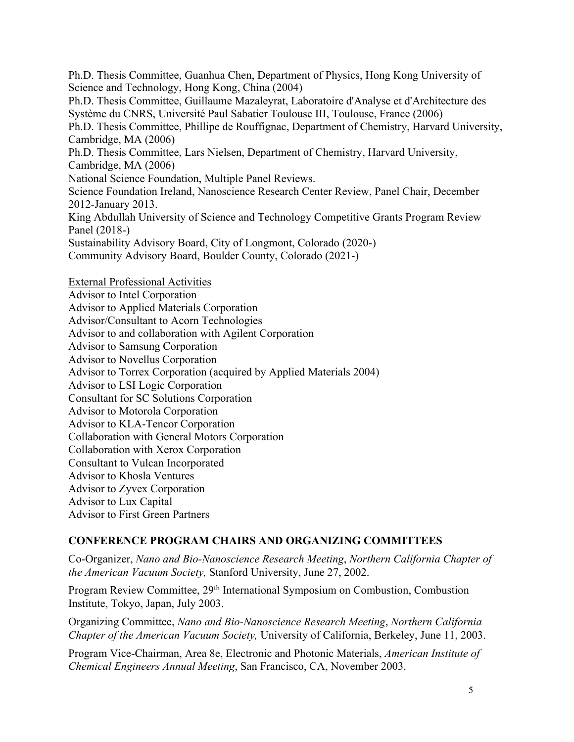Ph.D. Thesis Committee, Guanhua Chen, Department of Physics, Hong Kong University of Science and Technology, Hong Kong, China (2004) Ph.D. Thesis Committee, Guillaume Mazaleyrat, Laboratoire d'Analyse et d'Architecture des Système du CNRS, Université Paul Sabatier Toulouse III, Toulouse, France (2006) Ph.D. Thesis Committee, Phillipe de Rouffignac, Department of Chemistry, Harvard University, Cambridge, MA (2006) Ph.D. Thesis Committee, Lars Nielsen, Department of Chemistry, Harvard University, Cambridge, MA (2006) National Science Foundation, Multiple Panel Reviews. Science Foundation Ireland, Nanoscience Research Center Review, Panel Chair, December 2012-January 2013. King Abdullah University of Science and Technology Competitive Grants Program Review Panel (2018-) Sustainability Advisory Board, City of Longmont, Colorado (2020-) Community Advisory Board, Boulder County, Colorado (2021-)

External Professional Activities

Advisor to Intel Corporation Advisor to Applied Materials Corporation Advisor/Consultant to Acorn Technologies Advisor to and collaboration with Agilent Corporation Advisor to Samsung Corporation Advisor to Novellus Corporation Advisor to Torrex Corporation (acquired by Applied Materials 2004) Advisor to LSI Logic Corporation Consultant for SC Solutions Corporation Advisor to Motorola Corporation Advisor to KLA-Tencor Corporation Collaboration with General Motors Corporation Collaboration with Xerox Corporation Consultant to Vulcan Incorporated Advisor to Khosla Ventures Advisor to Zyvex Corporation Advisor to Lux Capital Advisor to First Green Partners

## **CONFERENCE PROGRAM CHAIRS AND ORGANIZING COMMITTEES**

Co-Organizer, *Nano and Bio-Nanoscience Research Meeting*, *Northern California Chapter of the American Vacuum Society,* Stanford University, June 27, 2002.

Program Review Committee, 29<sup>th</sup> International Symposium on Combustion, Combustion Institute, Tokyo, Japan, July 2003.

Organizing Committee, *Nano and Bio-Nanoscience Research Meeting*, *Northern California Chapter of the American Vacuum Society,* University of California, Berkeley, June 11, 2003.

Program Vice-Chairman, Area 8e, Electronic and Photonic Materials, *American Institute of Chemical Engineers Annual Meeting*, San Francisco, CA, November 2003.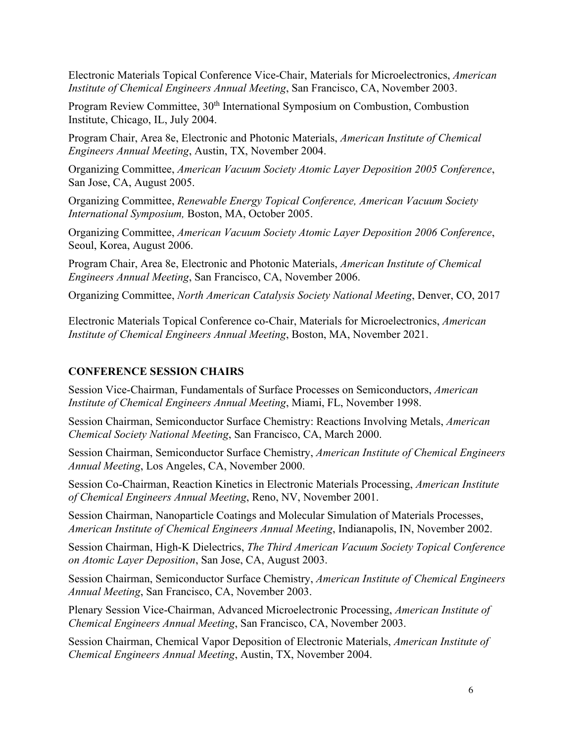Electronic Materials Topical Conference Vice-Chair, Materials for Microelectronics, *American Institute of Chemical Engineers Annual Meeting*, San Francisco, CA, November 2003.

Program Review Committee, 30<sup>th</sup> International Symposium on Combustion, Combustion Institute, Chicago, IL, July 2004.

Program Chair, Area 8e, Electronic and Photonic Materials, *American Institute of Chemical Engineers Annual Meeting*, Austin, TX, November 2004.

Organizing Committee, *American Vacuum Society Atomic Layer Deposition 2005 Conference*, San Jose, CA, August 2005.

Organizing Committee, *Renewable Energy Topical Conference, American Vacuum Society International Symposium,* Boston, MA, October 2005.

Organizing Committee, *American Vacuum Society Atomic Layer Deposition 2006 Conference*, Seoul, Korea, August 2006.

Program Chair, Area 8e, Electronic and Photonic Materials, *American Institute of Chemical Engineers Annual Meeting*, San Francisco, CA, November 2006.

Organizing Committee, *North American Catalysis Society National Meeting*, Denver, CO, 2017

Electronic Materials Topical Conference co-Chair, Materials for Microelectronics, *American Institute of Chemical Engineers Annual Meeting*, Boston, MA, November 2021.

### **CONFERENCE SESSION CHAIRS**

Session Vice-Chairman, Fundamentals of Surface Processes on Semiconductors, *American Institute of Chemical Engineers Annual Meeting*, Miami, FL, November 1998.

Session Chairman, Semiconductor Surface Chemistry: Reactions Involving Metals, *American Chemical Society National Meeting*, San Francisco, CA, March 2000.

Session Chairman, Semiconductor Surface Chemistry, *American Institute of Chemical Engineers Annual Meeting*, Los Angeles, CA, November 2000.

Session Co-Chairman, Reaction Kinetics in Electronic Materials Processing, *American Institute of Chemical Engineers Annual Meeting*, Reno, NV, November 2001.

Session Chairman, Nanoparticle Coatings and Molecular Simulation of Materials Processes, *American Institute of Chemical Engineers Annual Meeting*, Indianapolis, IN, November 2002.

Session Chairman, High-K Dielectrics, *The Third American Vacuum Society Topical Conference on Atomic Layer Deposition*, San Jose, CA, August 2003.

Session Chairman, Semiconductor Surface Chemistry, *American Institute of Chemical Engineers Annual Meeting*, San Francisco, CA, November 2003.

Plenary Session Vice-Chairman, Advanced Microelectronic Processing, *American Institute of Chemical Engineers Annual Meeting*, San Francisco, CA, November 2003.

Session Chairman, Chemical Vapor Deposition of Electronic Materials, *American Institute of Chemical Engineers Annual Meeting*, Austin, TX, November 2004.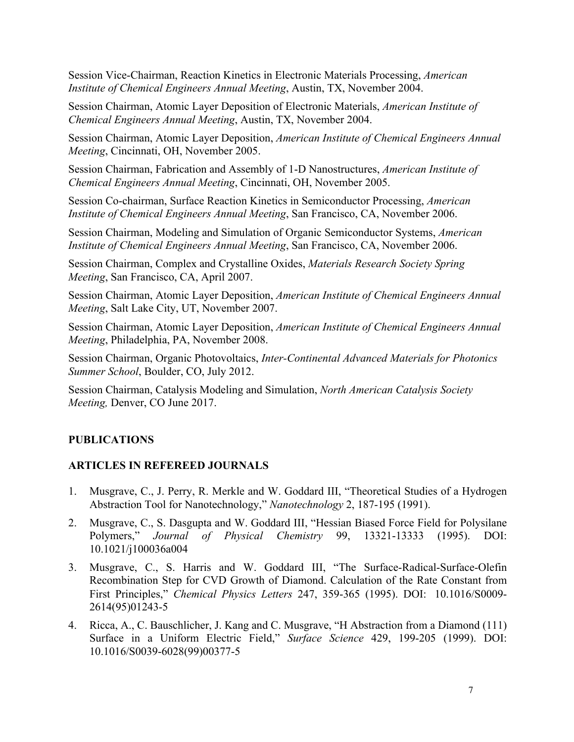Session Vice-Chairman, Reaction Kinetics in Electronic Materials Processing, *American Institute of Chemical Engineers Annual Meeting*, Austin, TX, November 2004.

Session Chairman, Atomic Layer Deposition of Electronic Materials, *American Institute of Chemical Engineers Annual Meeting*, Austin, TX, November 2004.

Session Chairman, Atomic Layer Deposition, *American Institute of Chemical Engineers Annual Meeting*, Cincinnati, OH, November 2005.

Session Chairman, Fabrication and Assembly of 1-D Nanostructures, *American Institute of Chemical Engineers Annual Meeting*, Cincinnati, OH, November 2005.

Session Co-chairman, Surface Reaction Kinetics in Semiconductor Processing, *American Institute of Chemical Engineers Annual Meeting*, San Francisco, CA, November 2006.

Session Chairman, Modeling and Simulation of Organic Semiconductor Systems, *American Institute of Chemical Engineers Annual Meeting*, San Francisco, CA, November 2006.

Session Chairman, Complex and Crystalline Oxides, *Materials Research Society Spring Meeting*, San Francisco, CA, April 2007.

Session Chairman, Atomic Layer Deposition, *American Institute of Chemical Engineers Annual Meeting*, Salt Lake City, UT, November 2007.

Session Chairman, Atomic Layer Deposition, *American Institute of Chemical Engineers Annual Meeting*, Philadelphia, PA, November 2008.

Session Chairman, Organic Photovoltaics, *Inter-Continental Advanced Materials for Photonics Summer School*, Boulder, CO, July 2012.

Session Chairman, Catalysis Modeling and Simulation, *North American Catalysis Society Meeting,* Denver, CO June 2017.

## **PUBLICATIONS**

## **ARTICLES IN REFEREED JOURNALS**

- 1. Musgrave, C., J. Perry, R. Merkle and W. Goddard III, "Theoretical Studies of a Hydrogen Abstraction Tool for Nanotechnology," *Nanotechnology* 2, 187-195 (1991).
- 2. Musgrave, C., S. Dasgupta and W. Goddard III, "Hessian Biased Force Field for Polysilane Polymers," *Journal of Physical Chemistry* 99, 13321-13333 (1995). DOI: 10.1021/j100036a004
- 3. Musgrave, C., S. Harris and W. Goddard III, "The Surface-Radical-Surface-Olefin Recombination Step for CVD Growth of Diamond. Calculation of the Rate Constant from First Principles," *Chemical Physics Letters* 247, 359-365 (1995). DOI: 10.1016/S0009- 2614(95)01243-5
- 4. Ricca, A., C. Bauschlicher, J. Kang and C. Musgrave, "H Abstraction from a Diamond (111) Surface in a Uniform Electric Field," *Surface Science* 429, 199-205 (1999). DOI: 10.1016/S0039-6028(99)00377-5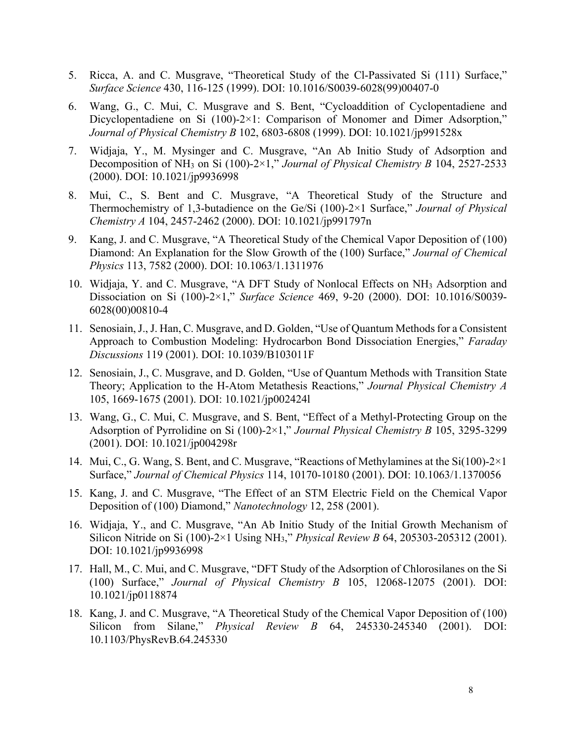- 5. Ricca, A. and C. Musgrave, "Theoretical Study of the Cl-Passivated Si (111) Surface," *Surface Science* 430, 116-125 (1999). DOI: 10.1016/S0039-6028(99)00407-0
- 6. Wang, G., C. Mui, C. Musgrave and S. Bent, "Cycloaddition of Cyclopentadiene and Dicyclopentadiene on Si  $(100)$ -2×1: Comparison of Monomer and Dimer Adsorption," *Journal of Physical Chemistry B* 102, 6803-6808 (1999). DOI: 10.1021/jp991528x
- 7. Widjaja, Y., M. Mysinger and C. Musgrave, "An Ab Initio Study of Adsorption and Decomposition of NH3 on Si (100)-2×1," *Journal of Physical Chemistry B* 104, 2527-2533 (2000). DOI: 10.1021/jp9936998
- 8. Mui, C., S. Bent and C. Musgrave, "A Theoretical Study of the Structure and Thermochemistry of 1,3-butadience on the Ge/Si (100)-2×1 Surface," *Journal of Physical Chemistry A* 104, 2457-2462 (2000). DOI: 10.1021/jp991797n
- 9. Kang, J. and C. Musgrave, "A Theoretical Study of the Chemical Vapor Deposition of (100) Diamond: An Explanation for the Slow Growth of the (100) Surface," *Journal of Chemical Physics* 113, 7582 (2000). DOI: 10.1063/1.1311976
- 10. Widjaja, Y. and C. Musgrave, "A DFT Study of Nonlocal Effects on NH3 Adsorption and Dissociation on Si (100)-2×1," *Surface Science* 469, 9-20 (2000). DOI: 10.1016/S0039- 6028(00)00810-4
- 11. Senosiain, J., J. Han, C. Musgrave, and D. Golden, "Use of Quantum Methods for a Consistent Approach to Combustion Modeling: Hydrocarbon Bond Dissociation Energies," *Faraday Discussions* 119 (2001). DOI: 10.1039/B103011F
- 12. Senosiain, J., C. Musgrave, and D. Golden, "Use of Quantum Methods with Transition State Theory; Application to the H-Atom Metathesis Reactions," *Journal Physical Chemistry A* 105, 1669-1675 (2001). DOI: 10.1021/jp002424l
- 13. Wang, G., C. Mui, C. Musgrave, and S. Bent, "Effect of a Methyl-Protecting Group on the Adsorption of Pyrrolidine on Si (100)-2×1," *Journal Physical Chemistry B* 105, 3295-3299 (2001). DOI: 10.1021/jp004298r
- 14. Mui, C., G. Wang, S. Bent, and C. Musgrave, "Reactions of Methylamines at the Si(100)-2×1 Surface," *Journal of Chemical Physics* 114, 10170-10180 (2001). DOI: 10.1063/1.1370056
- 15. Kang, J. and C. Musgrave, "The Effect of an STM Electric Field on the Chemical Vapor Deposition of (100) Diamond," *Nanotechnology* 12, 258 (2001).
- 16. Widjaja, Y., and C. Musgrave, "An Ab Initio Study of the Initial Growth Mechanism of Silicon Nitride on Si (100)-2×1 Using NH3," *Physical Review B* 64, 205303-205312 (2001). DOI: 10.1021/jp9936998
- 17. Hall, M., C. Mui, and C. Musgrave, "DFT Study of the Adsorption of Chlorosilanes on the Si (100) Surface," *Journal of Physical Chemistry B* 105, 12068-12075 (2001). DOI: 10.1021/jp0118874
- 18. Kang, J. and C. Musgrave, "A Theoretical Study of the Chemical Vapor Deposition of (100) Silicon from Silane," *Physical Review B* 64, 245330-245340 (2001). DOI: 10.1103/PhysRevB.64.245330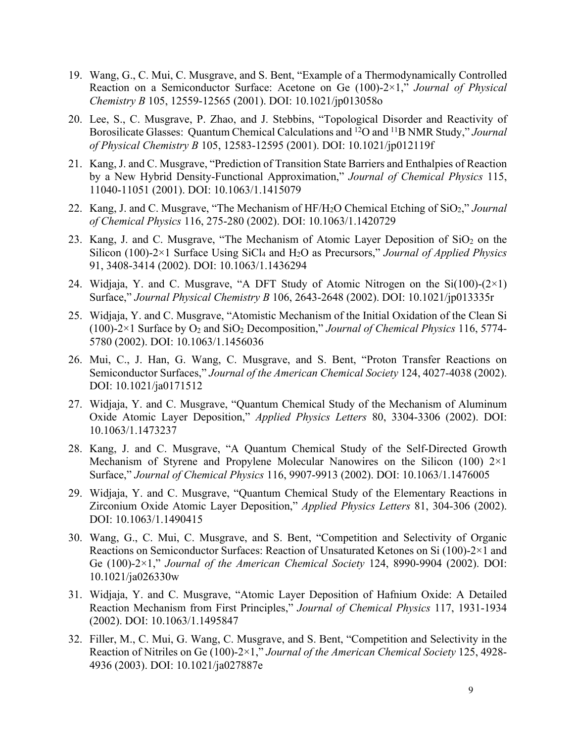- 19. Wang, G., C. Mui, C. Musgrave, and S. Bent, "Example of a Thermodynamically Controlled Reaction on a Semiconductor Surface: Acetone on Ge (100)-2×1," *Journal of Physical Chemistry B* 105, 12559-12565 (2001). DOI: 10.1021/jp013058o
- 20. Lee, S., C. Musgrave, P. Zhao, and J. Stebbins, "Topological Disorder and Reactivity of Borosilicate Glasses: Quantum Chemical Calculations and 12O and 11B NMR Study," *Journal of Physical Chemistry B* 105, 12583-12595 (2001). DOI: 10.1021/jp012119f
- 21. Kang, J. and C. Musgrave, "Prediction of Transition State Barriers and Enthalpies of Reaction by a New Hybrid Density-Functional Approximation," *Journal of Chemical Physics* 115, 11040-11051 (2001). DOI: 10.1063/1.1415079
- 22. Kang, J. and C. Musgrave, "The Mechanism of HF/H2O Chemical Etching of SiO2," *Journal of Chemical Physics* 116, 275-280 (2002). DOI: 10.1063/1.1420729
- 23. Kang, J. and C. Musgrave, "The Mechanism of Atomic Layer Deposition of  $SiO<sub>2</sub>$  on the Silicon (100)-2×1 Surface Using SiCl4 and H2O as Precursors," *Journal of Applied Physics* 91, 3408-3414 (2002). DOI: 10.1063/1.1436294
- 24. Widjaja, Y. and C. Musgrave, "A DFT Study of Atomic Nitrogen on the  $Si(100)-(2\times1)$ Surface," *Journal Physical Chemistry B* 106, 2643-2648 (2002). DOI: 10.1021/jp013335r
- 25. Widjaja, Y. and C. Musgrave, "Atomistic Mechanism of the Initial Oxidation of the Clean Si (100)-2×1 Surface by  $O_2$  and  $SiO_2$  Decomposition," *Journal of Chemical Physics* 116, 5774-5780 (2002). DOI: 10.1063/1.1456036
- 26. Mui, C., J. Han, G. Wang, C. Musgrave, and S. Bent, "Proton Transfer Reactions on Semiconductor Surfaces," *Journal of the American Chemical Society* 124, 4027-4038 (2002). DOI: 10.1021/ja0171512
- 27. Widjaja, Y. and C. Musgrave, "Quantum Chemical Study of the Mechanism of Aluminum Oxide Atomic Layer Deposition," *Applied Physics Letters* 80, 3304-3306 (2002). DOI: 10.1063/1.1473237
- 28. Kang, J. and C. Musgrave, "A Quantum Chemical Study of the Self-Directed Growth Mechanism of Styrene and Propylene Molecular Nanowires on the Silicon (100)  $2\times1$ Surface," *Journal of Chemical Physics* 116, 9907-9913 (2002). DOI: 10.1063/1.1476005
- 29. Widjaja, Y. and C. Musgrave, "Quantum Chemical Study of the Elementary Reactions in Zirconium Oxide Atomic Layer Deposition," *Applied Physics Letters* 81, 304-306 (2002). DOI: 10.1063/1.1490415
- 30. Wang, G., C. Mui, C. Musgrave, and S. Bent, "Competition and Selectivity of Organic Reactions on Semiconductor Surfaces: Reaction of Unsaturated Ketones on Si (100)-2×1 and Ge (100)-2×1," *Journal of the American Chemical Society* 124, 8990-9904 (2002). DOI: 10.1021/ja026330w
- 31. Widjaja, Y. and C. Musgrave, "Atomic Layer Deposition of Hafnium Oxide: A Detailed Reaction Mechanism from First Principles," *Journal of Chemical Physics* 117, 1931-1934 (2002). DOI: 10.1063/1.1495847
- 32. Filler, M., C. Mui, G. Wang, C. Musgrave, and S. Bent, "Competition and Selectivity in the Reaction of Nitriles on Ge (100)-2×1," *Journal of the American Chemical Society* 125, 4928- 4936 (2003). DOI: 10.1021/ja027887e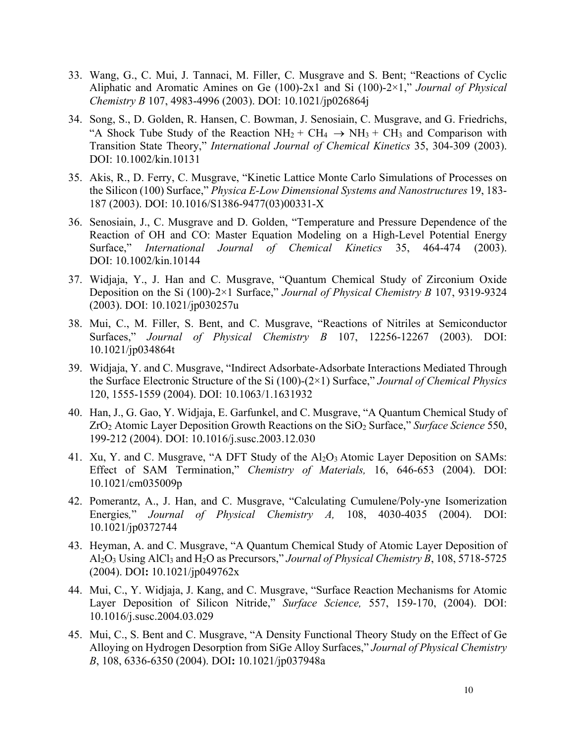- 33. Wang, G., C. Mui, J. Tannaci, M. Filler, C. Musgrave and S. Bent; "Reactions of Cyclic Aliphatic and Aromatic Amines on Ge (100)-2x1 and Si (100)-2×1," *Journal of Physical Chemistry B* 107, 4983-4996 (2003). DOI: 10.1021/jp026864j
- 34. Song, S., D. Golden, R. Hansen, C. Bowman, J. Senosiain, C. Musgrave, and G. Friedrichs, "A Shock Tube Study of the Reaction  $NH_2 + CH_4 \rightarrow NH_3 + CH_3$  and Comparison with Transition State Theory," *International Journal of Chemical Kinetics* 35, 304-309 (2003). DOI: 10.1002/kin.10131
- 35. Akis, R., D. Ferry, C. Musgrave, "Kinetic Lattice Monte Carlo Simulations of Processes on the Silicon (100) Surface," *Physica E-Low Dimensional Systems and Nanostructures* 19, 183- 187 (2003). DOI: 10.1016/S1386-9477(03)00331-X
- 36. Senosiain, J., C. Musgrave and D. Golden, "Temperature and Pressure Dependence of the Reaction of OH and CO: Master Equation Modeling on a High-Level Potential Energy Surface," *International Journal of Chemical Kinetics* 35, 464-474 (2003). DOI: 10.1002/kin.10144
- 37. Widjaja, Y., J. Han and C. Musgrave, "Quantum Chemical Study of Zirconium Oxide Deposition on the Si (100)-2×1 Surface," *Journal of Physical Chemistry B* 107, 9319-9324 (2003). DOI: 10.1021/jp030257u
- 38. Mui, C., M. Filler, S. Bent, and C. Musgrave, "Reactions of Nitriles at Semiconductor Surfaces," *Journal of Physical Chemistry B* 107, 12256-12267 (2003). DOI: 10.1021/jp034864t
- 39. Widjaja, Y. and C. Musgrave, "Indirect Adsorbate-Adsorbate Interactions Mediated Through the Surface Electronic Structure of the Si (100)-(2×1) Surface," *Journal of Chemical Physics* 120, 1555-1559 (2004). DOI: 10.1063/1.1631932
- 40. Han, J., G. Gao, Y. Widjaja, E. Garfunkel, and C. Musgrave, "A Quantum Chemical Study of ZrO2 Atomic Layer Deposition Growth Reactions on the SiO2 Surface," *Surface Science* 550, 199-212 (2004). DOI: 10.1016/j.susc.2003.12.030
- 41. Xu, Y. and C. Musgrave, "A DFT Study of the Al<sub>2</sub>O<sub>3</sub> Atomic Layer Deposition on SAMs: Effect of SAM Termination," *Chemistry of Materials,* 16, 646-653 (2004). DOI: 10.1021/cm035009p
- 42. Pomerantz, A., J. Han, and C. Musgrave, "Calculating Cumulene/Poly-yne Isomerization Energies*,*" *Journal of Physical Chemistry A,* 108, 4030-4035 (2004). DOI: 10.1021/jp0372744
- 43. Heyman, A. and C. Musgrave, "A Quantum Chemical Study of Atomic Layer Deposition of Al2O3 Using AlCl3 and H2O as Precursors," *Journal of Physical Chemistry B*, 108, 5718-5725 (2004). DOI**:** 10.1021/jp049762x
- 44. Mui, C., Y. Widjaja, J. Kang, and C. Musgrave, "Surface Reaction Mechanisms for Atomic Layer Deposition of Silicon Nitride," *Surface Science,* 557, 159-170, (2004). DOI: 10.1016/j.susc.2004.03.029
- 45. Mui, C., S. Bent and C. Musgrave, "A Density Functional Theory Study on the Effect of Ge Alloying on Hydrogen Desorption from SiGe Alloy Surfaces," *Journal of Physical Chemistry B*, 108, 6336-6350 (2004). DOI**:** 10.1021/jp037948a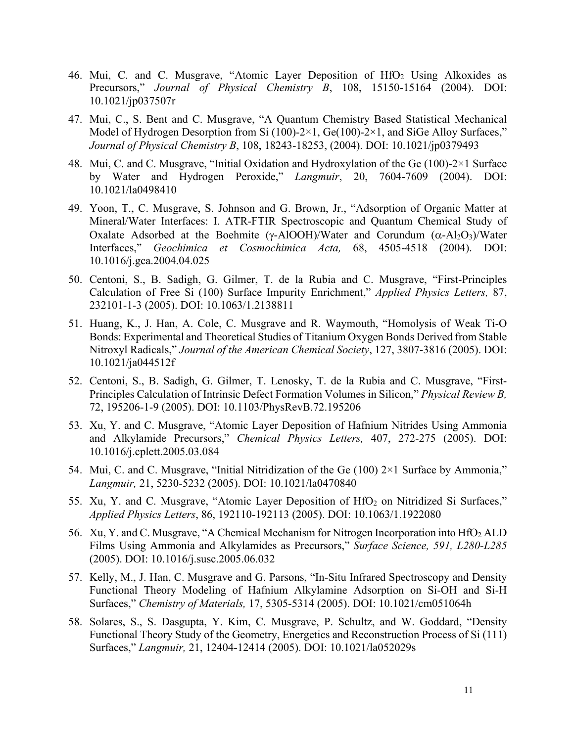- 46. Mui, C. and C. Musgrave, "Atomic Layer Deposition of HfO<sub>2</sub> Using Alkoxides as Precursors," *Journal of Physical Chemistry B*, 108, 15150-15164 (2004). DOI: 10.1021/jp037507r
- 47. Mui, C., S. Bent and C. Musgrave, "A Quantum Chemistry Based Statistical Mechanical Model of Hydrogen Desorption from Si  $(100)$ -2×1, Ge $(100)$ -2×1, and SiGe Alloy Surfaces," *Journal of Physical Chemistry B*, 108, 18243-18253, (2004). DOI: 10.1021/jp0379493
- 48. Mui, C. and C. Musgrave, "Initial Oxidation and Hydroxylation of the Ge (100)-2×1 Surface by Water and Hydrogen Peroxide," *Langmuir*, 20, 7604-7609 (2004). DOI: 10.1021/la0498410
- 49. Yoon, T., C. Musgrave, S. Johnson and G. Brown, Jr., "Adsorption of Organic Matter at Mineral/Water Interfaces: I. ATR-FTIR Spectroscopic and Quantum Chemical Study of Oxalate Adsorbed at the Boehmite ( $\gamma$ -AlOOH)/Water and Corundum ( $\alpha$ -Al<sub>2</sub>O<sub>3</sub>)/Water Interfaces," *Geochimica et Cosmochimica Acta,* 68, 4505-4518 (2004). DOI: 10.1016/j.gca.2004.04.025
- 50. Centoni, S., B. Sadigh, G. Gilmer, T. de la Rubia and C. Musgrave, "First-Principles Calculation of Free Si (100) Surface Impurity Enrichment," *Applied Physics Letters,* 87, 232101-1-3 (2005). DOI: 10.1063/1.2138811
- 51. Huang, K., J. Han, A. Cole, C. Musgrave and R. Waymouth, "Homolysis of Weak Ti-O Bonds: Experimental and Theoretical Studies of Titanium Oxygen Bonds Derived from Stable Nitroxyl Radicals," *Journal of the American Chemical Society*, 127, 3807-3816 (2005). DOI: 10.1021/ja044512f
- 52. Centoni, S., B. Sadigh, G. Gilmer, T. Lenosky, T. de la Rubia and C. Musgrave, "First-Principles Calculation of Intrinsic Defect Formation Volumes in Silicon," *Physical Review B,*  72, 195206-1-9 (2005). DOI: 10.1103/PhysRevB.72.195206
- 53. Xu, Y. and C. Musgrave, "Atomic Layer Deposition of Hafnium Nitrides Using Ammonia and Alkylamide Precursors," *Chemical Physics Letters,* 407, 272-275 (2005). DOI: 10.1016/j.cplett.2005.03.084
- 54. Mui, C. and C. Musgrave, "Initial Nitridization of the Ge (100) 2×1 Surface by Ammonia," *Langmuir,* 21, 5230-5232 (2005). DOI: 10.1021/la0470840
- 55. Xu, Y. and C. Musgrave, "Atomic Layer Deposition of HfO<sub>2</sub> on Nitridized Si Surfaces," *Applied Physics Letters*, 86, 192110-192113 (2005). DOI: 10.1063/1.1922080
- 56. Xu, Y. and C. Musgrave, "A Chemical Mechanism for Nitrogen Incorporation into HfO<sub>2</sub> ALD Films Using Ammonia and Alkylamides as Precursors," *Surface Science, 591, L280-L285*  (2005). DOI: 10.1016/j.susc.2005.06.032
- 57. Kelly, M., J. Han, C. Musgrave and G. Parsons, "In-Situ Infrared Spectroscopy and Density Functional Theory Modeling of Hafnium Alkylamine Adsorption on Si-OH and Si-H Surfaces," *Chemistry of Materials,* 17, 5305-5314 (2005). DOI: 10.1021/cm051064h
- 58. Solares, S., S. Dasgupta, Y. Kim, C. Musgrave, P. Schultz, and W. Goddard, "Density Functional Theory Study of the Geometry, Energetics and Reconstruction Process of Si (111) Surfaces," *Langmuir,* 21, 12404-12414 (2005). DOI: 10.1021/la052029s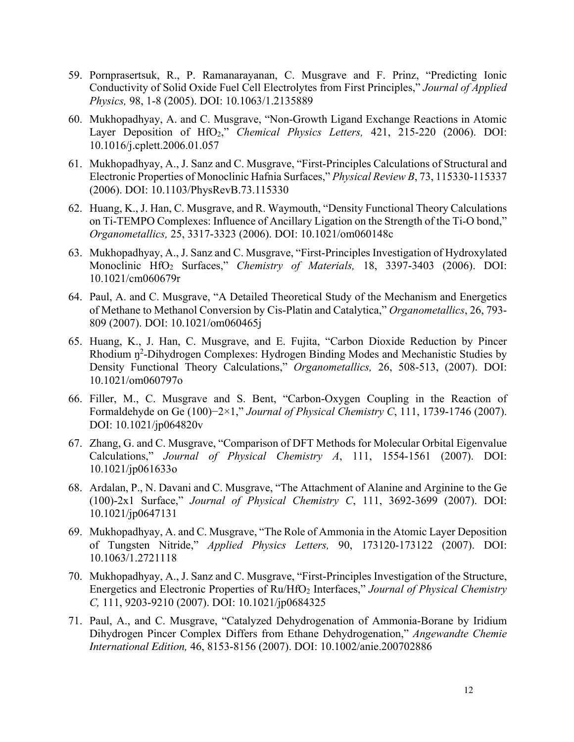- 59. Pornprasertsuk, R., P. Ramanarayanan, C. Musgrave and F. Prinz, "Predicting Ionic Conductivity of Solid Oxide Fuel Cell Electrolytes from First Principles," *Journal of Applied Physics,* 98, 1-8 (2005). DOI: 10.1063/1.2135889
- 60. Mukhopadhyay, A. and C. Musgrave, "Non-Growth Ligand Exchange Reactions in Atomic Layer Deposition of HfO<sub>2</sub>," *Chemical Physics Letters*, 421, 215-220 (2006). DOI: 10.1016/j.cplett.2006.01.057
- 61. Mukhopadhyay, A., J. Sanz and C. Musgrave, "First-Principles Calculations of Structural and Electronic Properties of Monoclinic Hafnia Surfaces," *Physical Review B*, 73, 115330-115337 (2006). DOI: 10.1103/PhysRevB.73.115330
- 62. Huang, K., J. Han, C. Musgrave, and R. Waymouth, "Density Functional Theory Calculations on Ti-TEMPO Complexes: Influence of Ancillary Ligation on the Strength of the Ti-O bond," *Organometallics,* 25, 3317-3323 (2006). DOI: 10.1021/om060148c
- 63. Mukhopadhyay, A., J. Sanz and C. Musgrave, "First-Principles Investigation of Hydroxylated Monoclinic HfO2 Surfaces," *Chemistry of Materials,* 18, 3397-3403 (2006). DOI: 10.1021/cm060679r
- 64. Paul, A. and C. Musgrave, "A Detailed Theoretical Study of the Mechanism and Energetics of Methane to Methanol Conversion by Cis-Platin and Catalytica," *Organometallics*, 26, 793- 809 (2007). DOI: 10.1021/om060465j
- 65. Huang, K., J. Han, C. Musgrave, and E. Fujita, "Carbon Dioxide Reduction by Pincer Rhodium n<sup>2</sup>-Dihydrogen Complexes: Hydrogen Binding Modes and Mechanistic Studies by Density Functional Theory Calculations," *Organometallics,* 26, 508-513, (2007). DOI: 10.1021/om060797o
- 66. Filler, M., C. Musgrave and S. Bent, "Carbon-Oxygen Coupling in the Reaction of Formaldehyde on Ge (100)−2×1," *Journal of Physical Chemistry C*, 111, 1739-1746 (2007). DOI: 10.1021/jp064820v
- 67. Zhang, G. and C. Musgrave, "Comparison of DFT Methods for Molecular Orbital Eigenvalue Calculations," *Journal of Physical Chemistry A*, 111, 1554-1561 (2007). DOI: 10.1021/jp061633o
- 68. Ardalan, P., N. Davani and C. Musgrave, "The Attachment of Alanine and Arginine to the Ge (100)-2x1 Surface," *Journal of Physical Chemistry C*, 111, 3692-3699 (2007). DOI: 10.1021/jp0647131
- 69. Mukhopadhyay, A. and C. Musgrave, "The Role of Ammonia in the Atomic Layer Deposition of Tungsten Nitride," *Applied Physics Letters,* 90, 173120-173122 (2007). DOI: 10.1063/1.2721118
- 70. Mukhopadhyay, A., J. Sanz and C. Musgrave, "First-Principles Investigation of the Structure, Energetics and Electronic Properties of Ru/HfO2 Interfaces," *Journal of Physical Chemistry C,* 111, 9203-9210 (2007). DOI: 10.1021/jp0684325
- 71. Paul, A., and C. Musgrave, "Catalyzed Dehydrogenation of Ammonia-Borane by Iridium Dihydrogen Pincer Complex Differs from Ethane Dehydrogenation," *Angewandte Chemie International Edition,* 46, 8153-8156 (2007). DOI: 10.1002/anie.200702886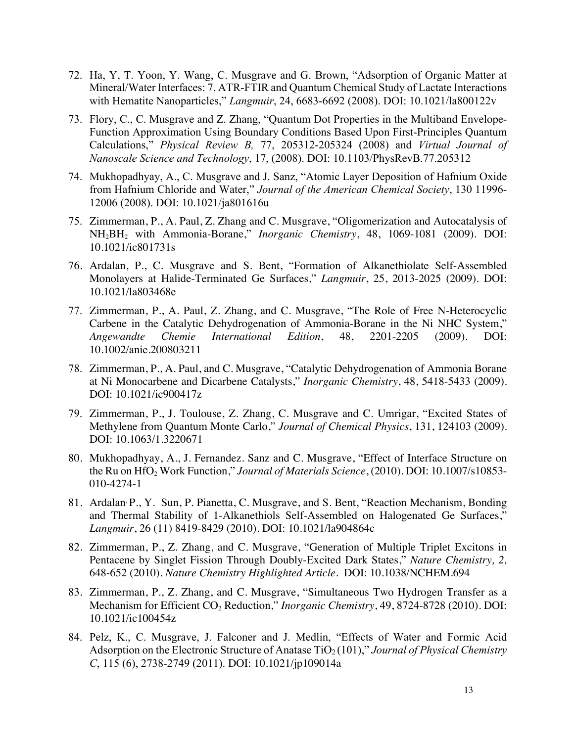- 72. Ha, Y, T. Yoon, Y. Wang, C. Musgrave and G. Brown, "Adsorption of Organic Matter at Mineral/Water Interfaces: 7. ATR-FTIR and Quantum Chemical Study of Lactate Interactions with Hematite Nanoparticles," *Langmuir*, 24, 6683-6692 (2008). DOI: 10.1021/la800122v
- 73. Flory, C., C. Musgrave and Z. Zhang, "Quantum Dot Properties in the Multiband Envelope-Function Approximation Using Boundary Conditions Based Upon First-Principles Quantum Calculations," *Physical Review B,* 77, 205312-205324 (2008) and *Virtual Journal of Nanoscale Science and Technology*, 17, (2008). DOI: 10.1103/PhysRevB.77.205312
- 74. Mukhopadhyay, A., C. Musgrave and J. Sanz, "Atomic Layer Deposition of Hafnium Oxide from Hafnium Chloride and Water," *Journal of the American Chemical Society*, 130 11996- 12006 (2008). DOI: 10.1021/ja801616u
- 75. Zimmerman, P., A. Paul, Z. Zhang and C. Musgrave, "Oligomerization and Autocatalysis of NH2BH2 with Ammonia-Borane," *Inorganic Chemistry*, 48, 1069-1081 (2009). DOI: 10.1021/ic801731s
- 76. Ardalan, P., C. Musgrave and S. Bent, "Formation of Alkanethiolate Self-Assembled Monolayers at Halide-Terminated Ge Surfaces," *Langmuir*, 25, 2013-2025 (2009). DOI: 10.1021/la803468e
- 77. Zimmerman, P., A. Paul, Z. Zhang, and C. Musgrave, "The Role of Free N-Heterocyclic Carbene in the Catalytic Dehydrogenation of Ammonia-Borane in the Ni NHC System," *Angewandte Chemie International Edition*, 48, 2201-2205 (2009). DOI: 10.1002/anie.200803211
- 78. Zimmerman, P., A. Paul, and C. Musgrave, "Catalytic Dehydrogenation of Ammonia Borane at Ni Monocarbene and Dicarbene Catalysts," *Inorganic Chemistry*, 48, 5418-5433 (2009). DOI: 10.1021/ic900417z
- 79. Zimmerman, P., J. Toulouse, Z. Zhang, C. Musgrave and C. Umrigar, "Excited States of Methylene from Quantum Monte Carlo," *Journal of Chemical Physics*, 131, 124103 (2009). DOI: 10.1063/1.3220671
- 80. Mukhopadhyay, A., J. Fernandez. Sanz and C. Musgrave, "Effect of Interface Structure on the Ru on HfO2 Work Function," *Journal of Materials Science*, (2010). DOI: 10.1007/s10853- 010-4274-1
- 81. Ardalan, P., Y. Sun, P. Pianetta, C. Musgrave, and S. Bent, "Reaction Mechanism, Bonding and Thermal Stability of 1-Alkanethiols Self-Assembled on Halogenated Ge Surfaces," *Langmuir*, 26 (11) 8419-8429 (2010). DOI: 10.1021/la904864c
- 82. Zimmerman, P., Z. Zhang, and C. Musgrave, "Generation of Multiple Triplet Excitons in Pentacene by Singlet Fission Through Doubly-Excited Dark States," *Nature Chemistry, 2,*  648-652 (2010). *Nature Chemistry Highlighted Article.* DOI: 10.1038/NCHEM.694
- 83. Zimmerman, P., Z. Zhang, and C. Musgrave, "Simultaneous Two Hydrogen Transfer as a Mechanism for Efficient CO<sub>2</sub> Reduction," *Inorganic Chemistry*, 49, 8724-8728 (2010). DOI: 10.1021/ic100454z
- 84. Pelz, K., C. Musgrave, J. Falconer and J. Medlin, "Effects of Water and Formic Acid Adsorption on the Electronic Structure of Anatase TiO<sub>2</sub>(101)," *Journal of Physical Chemistry C*, 115 (6), 2738-2749 (2011). DOI: 10.1021/jp109014a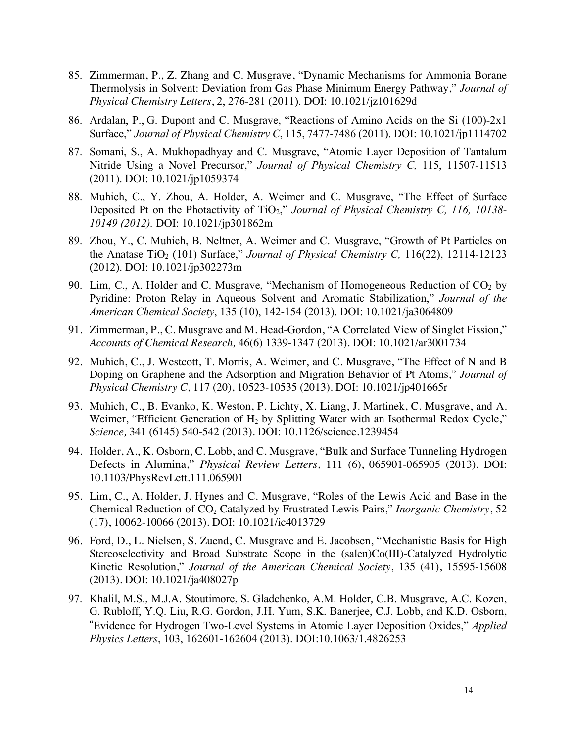- 85. Zimmerman, P., Z. Zhang and C. Musgrave, "Dynamic Mechanisms for Ammonia Borane Thermolysis in Solvent: Deviation from Gas Phase Minimum Energy Pathway," *Journal of Physical Chemistry Letters*, 2, 276-281 (2011). DOI: 10.1021/jz101629d
- 86. Ardalan, P., G. Dupont and C. Musgrave, "Reactions of Amino Acids on the Si (100)-2x1 Surface," *Journal of Physical Chemistry C*, 115, 7477-7486 (2011). DOI: 10.1021/jp1114702
- 87. Somani, S., A. Mukhopadhyay and C. Musgrave, "Atomic Layer Deposition of Tantalum Nitride Using a Novel Precursor," *Journal of Physical Chemistry C,* 115, 11507-11513 (2011). DOI: 10.1021/jp1059374
- 88. Muhich, C., Y. Zhou, A. Holder, A. Weimer and C. Musgrave, "The Effect of Surface Deposited Pt on the Photactivity of TiO2," *Journal of Physical Chemistry C, 116, 10138- 10149 (2012).* DOI: 10.1021/jp301862m
- 89. Zhou, Y., C. Muhich, B. Neltner, A. Weimer and C. Musgrave, "Growth of Pt Particles on the Anatase TiO2 (101) Surface," *Journal of Physical Chemistry C,* 116(22), 12114-12123 (2012). DOI: 10.1021/jp302273m
- 90. Lim, C., A. Holder and C. Musgrave, "Mechanism of Homogeneous Reduction of  $CO<sub>2</sub>$  by Pyridine: Proton Relay in Aqueous Solvent and Aromatic Stabilization," *Journal of the American Chemical Society*, 135 (10), 142-154 (2013). DOI: 10.1021/ja3064809
- 91. Zimmerman, P., C. Musgrave and M. Head-Gordon, "A Correlated View of Singlet Fission," *Accounts of Chemical Research,* 46(6) 1339-1347 (2013). DOI: 10.1021/ar3001734
- 92. Muhich, C., J. Westcott, T. Morris, A. Weimer, and C. Musgrave, "The Effect of N and B Doping on Graphene and the Adsorption and Migration Behavior of Pt Atoms," *Journal of Physical Chemistry C,* 117 (20), 10523-10535 (2013). DOI: 10.1021/jp401665r
- 93. Muhich, C., B. Evanko, K. Weston, P. Lichty, X. Liang, J. Martinek, C. Musgrave, and A. Weimer, "Efficient Generation of  $H_2$  by Splitting Water with an Isothermal Redox Cycle," *Science,* 341 (6145) 540-542 (2013). DOI: 10.1126/science.1239454
- 94. Holder, A., K. Osborn, C. Lobb, and C. Musgrave, "Bulk and Surface Tunneling Hydrogen Defects in Alumina," *Physical Review Letters,* 111 (6), 065901-065905 (2013). DOI: 10.1103/PhysRevLett.111.065901
- 95. Lim, C., A. Holder, J. Hynes and C. Musgrave, "Roles of the Lewis Acid and Base in the Chemical Reduction of CO<sub>2</sub> Catalyzed by Frustrated Lewis Pairs," *Inorganic Chemistry*, 52 (17), 10062-10066 (2013). DOI: 10.1021/ic4013729
- 96. Ford, D., L. Nielsen, S. Zuend, C. Musgrave and E. Jacobsen, "Mechanistic Basis for High Stereoselectivity and Broad Substrate Scope in the (salen)Co(III)-Catalyzed Hydrolytic Kinetic Resolution," *Journal of the American Chemical Society*, 135 (41), 15595-15608 (2013). DOI: 10.1021/ja408027p
- 97. Khalil, M.S., M.J.A. Stoutimore, S. Gladchenko, A.M. Holder, C.B. Musgrave, A.C. Kozen, G. Rubloff, Y.Q. Liu, R.G. Gordon, J.H. Yum, S.K. Banerjee, C.J. Lobb, and K.D. Osborn, "Evidence for Hydrogen Two-Level Systems in Atomic Layer Deposition Oxides," *Applied Physics Letters*, 103, 162601-162604 (2013). DOI:10.1063/1.4826253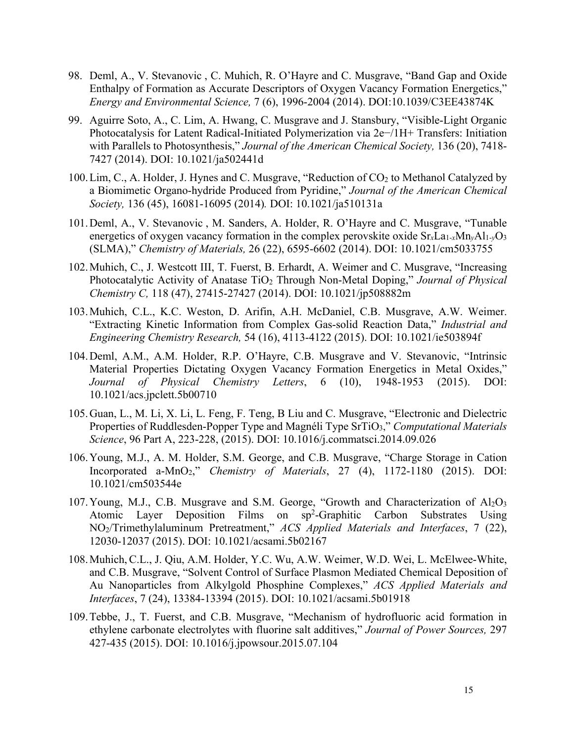- 98. Deml, A., V. Stevanovic , C. Muhich, R. O'Hayre and C. Musgrave, "Band Gap and Oxide Enthalpy of Formation as Accurate Descriptors of Oxygen Vacancy Formation Energetics," *Energy and Environmental Science,* 7 (6), 1996-2004 (2014). DOI:10.1039/C3EE43874K
- 99. Aguirre Soto, A., C. Lim, A. Hwang, C. Musgrave and J. Stansbury, "Visible-Light Organic Photocatalysis for Latent Radical-Initiated Polymerization via 2e−/1H+ Transfers: Initiation with Parallels to Photosynthesis," *Journal of the American Chemical Society,* 136 (20), 7418- 7427 (2014). DOI: 10.1021/ja502441d
- 100. Lim, C., A. Holder, J. Hynes and C. Musgrave, "Reduction of CO<sub>2</sub> to Methanol Catalyzed by a Biomimetic Organo-hydride Produced from Pyridine," *Journal of the American Chemical Society,* 136 (45), 16081-16095 (2014)*.* DOI: 10.1021/ja510131a
- 101.Deml, A., V. Stevanovic , M. Sanders, A. Holder, R. O'Hayre and C. Musgrave, "Tunable energetics of oxygen vacancy formation in the complex perovskite oxide Sr*x*La1-*x*Mn*y*Al1-*y*O3 (SLMA)," *Chemistry of Materials,* 26 (22), 6595-6602 (2014). DOI: 10.1021/cm5033755
- 102.Muhich, C., J. Westcott III, T. Fuerst, B. Erhardt, A. Weimer and C. Musgrave, "Increasing Photocatalytic Activity of Anatase TiO<sub>2</sub> Through Non-Metal Doping," *Journal of Physical Chemistry C,* 118 (47), 27415-27427 (2014). DOI: 10.1021/jp508882m
- 103.Muhich, C.L., K.C. Weston, D. Arifin, A.H. McDaniel, C.B. Musgrave, A.W. Weimer. "Extracting Kinetic Information from Complex Gas-solid Reaction Data," *Industrial and Engineering Chemistry Research,* 54 (16), 4113-4122 (2015). DOI: 10.1021/ie503894f
- 104.Deml, A.M., A.M. Holder, R.P. O'Hayre, C.B. Musgrave and V. Stevanovic, "Intrinsic Material Properties Dictating Oxygen Vacancy Formation Energetics in Metal Oxides," *Journal of Physical Chemistry Letters*, 6 (10), 1948-1953 (2015). DOI: 10.1021/acs.jpclett.5b00710
- 105.Guan, L., M. Li, X. Li, L. Feng, F. Teng, B Liu and C. Musgrave, "Electronic and Dielectric Properties of Ruddlesden-Popper Type and Magnéli Type SrTiO3," *Computational Materials Science*, 96 Part A, 223-228, (2015). DOI: 10.1016/j.commatsci.2014.09.026
- 106.Young, M.J., A. M. Holder, S.M. George, and C.B. Musgrave, "Charge Storage in Cation Incorporated a-MnO2," *Chemistry of Materials*, 27 (4), 1172-1180 (2015). DOI: 10.1021/cm503544e
- 107. Young, M.J., C.B. Musgrave and S.M. George, "Growth and Characterization of  $Al_2O_3$ Atomic Layer Deposition Films on sp<sup>2</sup>-Graphitic Carbon Substrates Using NO2/Trimethylaluminum Pretreatment," *ACS Applied Materials and Interfaces*, 7 (22), 12030-12037 (2015). DOI: 10.1021/acsami.5b02167
- 108.Muhich, C.L., J. Qiu, A.M. Holder, Y.C. Wu, A.W. Weimer, W.D. Wei, L. McElwee-White, and C.B. Musgrave, "Solvent Control of Surface Plasmon Mediated Chemical Deposition of Au Nanoparticles from Alkylgold Phosphine Complexes," *ACS Applied Materials and Interfaces*, 7 (24), 13384-13394 (2015). DOI: 10.1021/acsami.5b01918
- 109.Tebbe, J., T. Fuerst, and C.B. Musgrave, "Mechanism of hydrofluoric acid formation in ethylene carbonate electrolytes with fluorine salt additives," *Journal of Power Sources,* 297 427-435 (2015). DOI: 10.1016/j.jpowsour.2015.07.104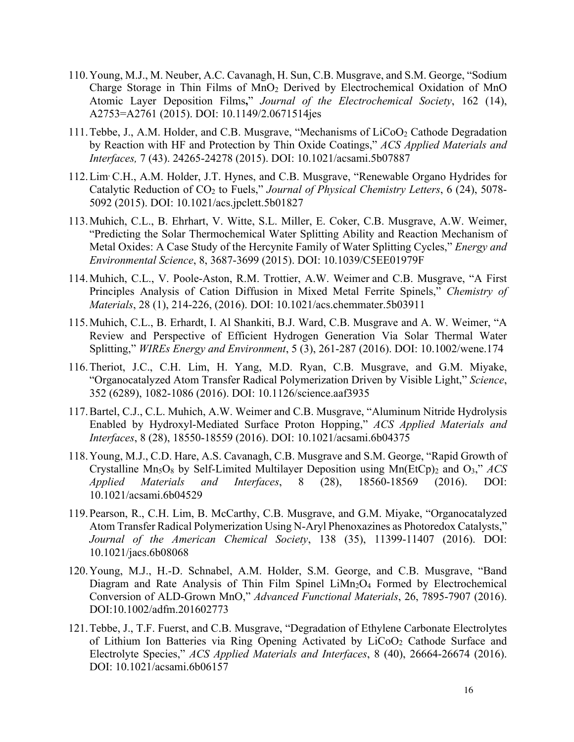- 110.Young, M.J., M. Neuber, A.C. Cavanagh, H. Sun, C.B. Musgrave, and S.M. George, "Sodium Charge Storage in Thin Films of  $MnO<sub>2</sub>$  Derived by Electrochemical Oxidation of MnO Atomic Layer Deposition Films**,**" *Journal of the Electrochemical Society*, 162 (14), A2753=A2761 (2015). DOI: 10.1149/2.0671514jes
- 111. Tebbe, J., A.M. Holder, and C.B. Musgrave, "Mechanisms of LiCoO<sub>2</sub> Cathode Degradation by Reaction with HF and Protection by Thin Oxide Coatings," *ACS Applied Materials and Interfaces,* 7 (43). 24265-24278 (2015). DOI: 10.1021/acsami.5b07887
- 112.Lim, C.H., A.M. Holder, J.T. Hynes, and C.B. Musgrave, "Renewable Organo Hydrides for Catalytic Reduction of CO<sub>2</sub> to Fuels," *Journal of Physical Chemistry Letters*, 6 (24), 5078-5092 (2015). DOI: 10.1021/acs.jpclett.5b01827
- 113.Muhich, C.L., B. Ehrhart, V. Witte, S.L. Miller, E. Coker, C.B. Musgrave, A.W. Weimer, "Predicting the Solar Thermochemical Water Splitting Ability and Reaction Mechanism of Metal Oxides: A Case Study of the Hercynite Family of Water Splitting Cycles," *Energy and Environmental Science*, 8, 3687-3699 (2015). DOI: 10.1039/C5EE01979F
- 114.Muhich, C.L., V. Poole-Aston, R.M. Trottier, A.W. Weimer and C.B. Musgrave, "A First Principles Analysis of Cation Diffusion in Mixed Metal Ferrite Spinels," *Chemistry of Materials*, 28 (1), 214-226, (2016). DOI: 10.1021/acs.chemmater.5b03911
- 115.Muhich, C.L., B. Erhardt, I. Al Shankiti, B.J. Ward, C.B. Musgrave and A. W. Weimer, "A Review and Perspective of Efficient Hydrogen Generation Via Solar Thermal Water Splitting," *WIREs Energy and Environment*, 5 (3), 261-287 (2016). DOI: 10.1002/wene.174
- 116.Theriot, J.C., C.H. Lim, H. Yang, M.D. Ryan, C.B. Musgrave, and G.M. Miyake, "Organocatalyzed Atom Transfer Radical Polymerization Driven by Visible Light," *Science*, 352 (6289), 1082-1086 (2016). DOI: 10.1126/science.aaf3935
- 117.Bartel, C.J., C.L. Muhich, A.W. Weimer and C.B. Musgrave, "Aluminum Nitride Hydrolysis Enabled by Hydroxyl-Mediated Surface Proton Hopping," *ACS Applied Materials and Interfaces*, 8 (28), 18550-18559 (2016). DOI: 10.1021/acsami.6b04375
- 118.Young, M.J., C.D. Hare, A.S. Cavanagh, C.B. Musgrave and S.M. George, "Rapid Growth of Crystalline  $Mn_5O_8$  by Self-Limited Multilayer Deposition using  $Mn(EtCp)_2$  and  $O_3$ ," *ACS Applied Materials and Interfaces*, 8 (28), 18560-18569 (2016). DOI: 10.1021/acsami.6b04529
- 119.Pearson, R., C.H. Lim, B. McCarthy, C.B. Musgrave, and G.M. Miyake, "Organocatalyzed Atom Transfer Radical Polymerization Using N-Aryl Phenoxazines as Photoredox Catalysts," *Journal of the American Chemical Society*, 138 (35), 11399-11407 (2016). DOI: 10.1021/jacs.6b08068
- 120.Young, M.J., H.-D. Schnabel, A.M. Holder, S.M. George, and C.B. Musgrave, "Band Diagram and Rate Analysis of Thin Film Spinel LiMn<sub>2</sub>O<sub>4</sub> Formed by Electrochemical Conversion of ALD-Grown MnO," *Advanced Functional Materials*, 26, 7895-7907 (2016). DOI:10.1002/adfm.201602773
- 121.Tebbe, J., T.F. Fuerst, and C.B. Musgrave, "Degradation of Ethylene Carbonate Electrolytes of Lithium Ion Batteries via Ring Opening Activated by LiCoO2 Cathode Surface and Electrolyte Species," *ACS Applied Materials and Interfaces*, 8 (40), 26664-26674 (2016). DOI: 10.1021/acsami.6b06157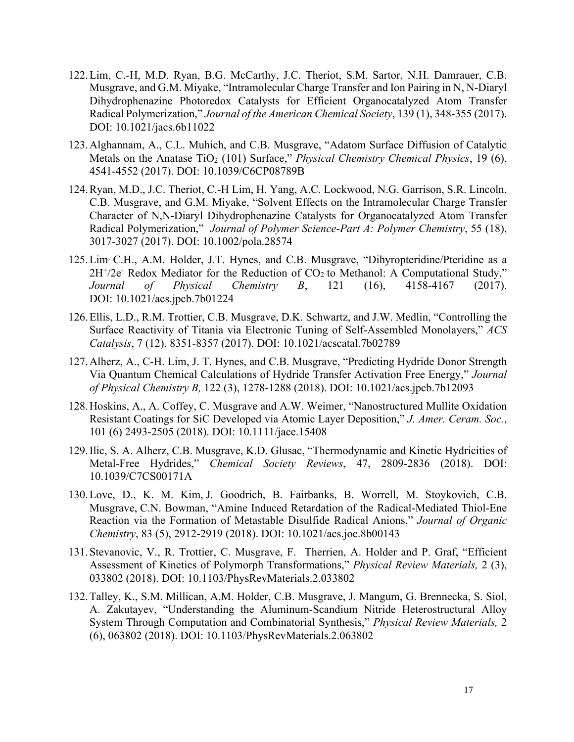- 122.Lim, C.-H, M.D. Ryan, B.G. McCarthy, J.C. Theriot, S.M. Sartor, N.H. Damrauer, C.B. Musgrave, and G.M. Miyake, "Intramolecular Charge Transfer and Ion Pairing in N, N-Diaryl Dihydrophenazine Photoredox Catalysts for Efficient Organocatalyzed Atom Transfer Radical Polymerization," *Journal of the American Chemical Society*, 139 (1), 348-355 (2017). DOI: 10.1021/jacs.6b11022
- 123.Alghannam, A., C.L. Muhich, and C.B. Musgrave, "Adatom Surface Diffusion of Catalytic Metals on the Anatase TiO<sub>2</sub> (101) Surface," *Physical Chemistry Chemical Physics*, 19 (6), 4541-4552 (2017). DOI: 10.1039/C6CP08789B
- 124.Ryan, M.D., J.C. Theriot, C.-H Lim, H. Yang, A.C. Lockwood, N.G. Garrison, S.R. Lincoln, C.B. Musgrave, and G.M. Miyake, "Solvent Effects on the Intramolecular Charge Transfer Character of N,N**-**Diaryl Dihydrophenazine Catalysts for Organocatalyzed Atom Transfer Radical Polymerization," *Journal of Polymer Science*-*Part A: Polymer Chemistry*, 55 (18), 3017-3027 (2017). DOI: 10.1002/pola.28574
- 125.Lim, C.H., A.M. Holder, J.T. Hynes, and C.B. Musgrave, "Dihyropteridine/Pteridine as a  $2H^+/2e^-$  Redox Mediator for the Reduction of  $CO<sub>2</sub>$  to Methanol: A Computational Study," *Journal of Physical Chemistry B*, 121 (16), 4158-4167 (2017). DOI: 10.1021/acs.jpcb.7b01224
- 126.Ellis, L.D., R.M. Trottier, C.B. Musgrave, D.K. Schwartz, and J.W. Medlin, "Controlling the Surface Reactivity of Titania via Electronic Tuning of Self-Assembled Monolayers," *ACS Catalysis*, 7 (12), 8351-8357 (2017). DOI: 10.1021/acscatal.7b02789
- 127.Alherz, A., C-H. Lim, J. T. Hynes, and C.B. Musgrave, "Predicting Hydride Donor Strength Via Quantum Chemical Calculations of Hydride Transfer Activation Free Energy," *Journal of Physical Chemistry B,* 122 (3), 1278-1288 (2018). DOI: 10.1021/acs.jpcb.7b12093
- 128.Hoskins, A., A. Coffey, C. Musgrave and A.W. Weimer, "Nanostructured Mullite Oxidation Resistant Coatings for SiC Developed via Atomic Layer Deposition," *J. Amer. Ceram. Soc.*, 101 (6) 2493-2505 (2018). DOI: 10.1111/jace.15408
- 129.Ilic, S. A. Alherz, C.B. Musgrave, K.D. Glusac, "Thermodynamic and Kinetic Hydricities of Metal-Free Hydrides," *Chemical Society Reviews*, 47, 2809-2836 (2018). DOI: 10.1039/C7CS00171A
- 130.Love, D., K. M. Kim, J. Goodrich, B. Fairbanks, B. Worrell, M. Stoykovich, C.B. Musgrave, C.N. Bowman, "Amine Induced Retardation of the Radical-Mediated Thiol-Ene Reaction via the Formation of Metastable Disulfide Radical Anions," *Journal of Organic Chemistry*, 83 (5), 2912-2919 (2018). DOI: 10.1021/acs.joc.8b00143
- 131.Stevanovic, V., R. Trottier, C. Musgrave, F. Therrien, A. Holder and P. Graf, "Efficient Assessment of Kinetics of Polymorph Transformations," *Physical Review Materials,* 2 (3), 033802 (2018). DOI: 10.1103/PhysRevMaterials.2.033802
- 132.Talley, K., S.M. Millican, A.M. Holder, C.B. Musgrave, J. Mangum, G. Brennecka, S. Siol, A. Zakutayev, "Understanding the Aluminum-Scandium Nitride Heterostructural Alloy System Through Computation and Combinatorial Synthesis," *Physical Review Materials,* 2 (6), 063802 (2018). DOI: 10.1103/PhysRevMaterials.2.063802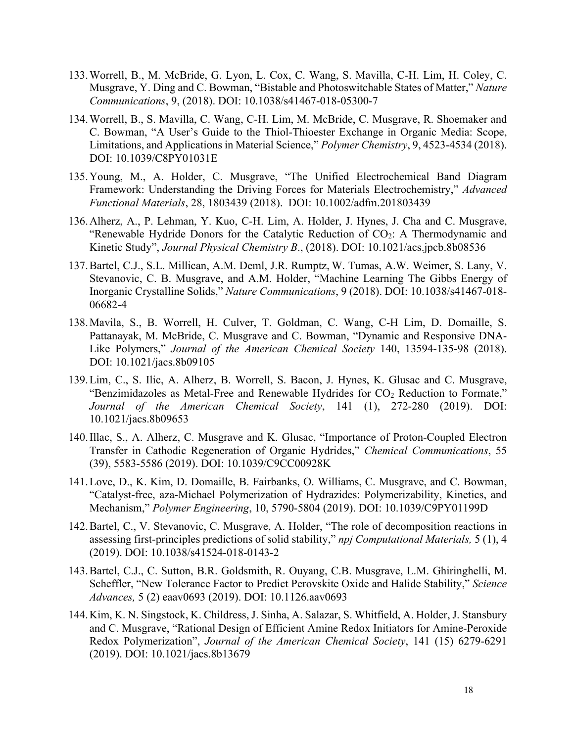- 133.Worrell, B., M. McBride, G. Lyon, L. Cox, C. Wang, S. Mavilla, C-H. Lim, H. Coley, C. Musgrave, Y. Ding and C. Bowman, "Bistable and Photoswitchable States of Matter," *Nature Communications*, 9, (2018). DOI: 10.1038/s41467-018-05300-7
- 134.Worrell, B., S. Mavilla, C. Wang, C-H. Lim, M. McBride, C. Musgrave, R. Shoemaker and C. Bowman, "A User's Guide to the Thiol-Thioester Exchange in Organic Media: Scope, Limitations, and Applications in Material Science," *Polymer Chemistry*, 9, 4523-4534 (2018). DOI: 10.1039/C8PY01031E
- 135.Young, M., A. Holder, C. Musgrave, "The Unified Electrochemical Band Diagram Framework: Understanding the Driving Forces for Materials Electrochemistry," *Advanced Functional Materials*, 28, 1803439 (2018). DOI: 10.1002/adfm.201803439
- 136.Alherz, A., P. Lehman, Y. Kuo, C-H. Lim, A. Holder, J. Hynes, J. Cha and C. Musgrave, "Renewable Hydride Donors for the Catalytic Reduction of  $CO<sub>2</sub>$ : A Thermodynamic and Kinetic Study", *Journal Physical Chemistry B*., (2018). DOI: 10.1021/acs.jpcb.8b08536
- 137.Bartel, C.J., S.L. Millican, A.M. Deml, J.R. Rumptz, W. Tumas, A.W. Weimer, S. Lany, V. Stevanovic, C. B. Musgrave, and A.M. Holder, "Machine Learning The Gibbs Energy of Inorganic Crystalline Solids," *Nature Communications*, 9 (2018). DOI: 10.1038/s41467-018- 06682-4
- 138.Mavila, S., B. Worrell, H. Culver, T. Goldman, C. Wang, C-H Lim, D. Domaille, S. Pattanayak, M. McBride, C. Musgrave and C. Bowman, "Dynamic and Responsive DNA-Like Polymers," *Journal of the American Chemical Society* 140, 13594-135-98 (2018). DOI: 10.1021/jacs.8b09105
- 139.Lim, C., S. Ilic, A. Alherz, B. Worrell, S. Bacon, J. Hynes, K. Glusac and C. Musgrave, "Benzimidazoles as Metal-Free and Renewable Hydrides for CO<sub>2</sub> Reduction to Formate," *Journal of the American Chemical Society*, 141 (1), 272-280 (2019). DOI: 10.1021/jacs.8b09653
- 140.Illac, S., A. Alherz, C. Musgrave and K. Glusac, "Importance of Proton-Coupled Electron Transfer in Cathodic Regeneration of Organic Hydrides," *Chemical Communications*, 55 (39), 5583-5586 (2019). DOI: 10.1039/C9CC00928K
- 141.Love, D., K. Kim, D. Domaille, B. Fairbanks, O. Williams, C. Musgrave, and C. Bowman, "Catalyst-free, aza-Michael Polymerization of Hydrazides: Polymerizability, Kinetics, and Mechanism," *Polymer Engineering*, 10, 5790-5804 (2019). DOI: 10.1039/C9PY01199D
- 142.Bartel, C., V. Stevanovic, C. Musgrave, A. Holder, "The role of decomposition reactions in assessing first-principles predictions of solid stability," *npj Computational Materials,* 5 (1), 4 (2019). DOI: 10.1038/s41524-018-0143-2
- 143.Bartel, C.J., C. Sutton, B.R. Goldsmith, R. Ouyang, C.B. Musgrave, L.M. Ghiringhelli, M. Scheffler, "New Tolerance Factor to Predict Perovskite Oxide and Halide Stability," *Science Advances,* 5 (2) eaav0693 (2019). DOI: 10.1126.aav0693
- 144.Kim, K. N. Singstock, K. Childress, J. Sinha, A. Salazar, S. Whitfield, A. Holder, J. Stansbury and C. Musgrave, "Rational Design of Efficient Amine Redox Initiators for Amine-Peroxide Redox Polymerization", *Journal of the American Chemical Society*, 141 (15) 6279-6291 (2019). DOI: 10.1021/jacs.8b13679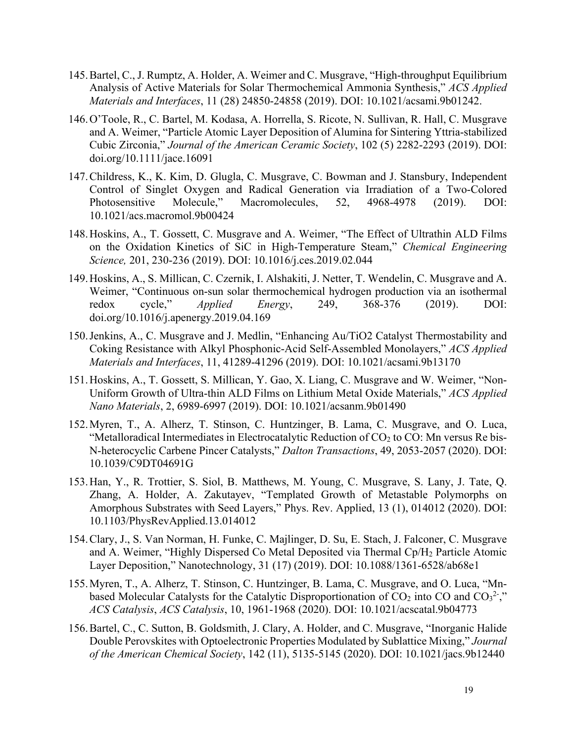- 145.Bartel, C., J. Rumptz, A. Holder, A. Weimer and C. Musgrave, "High-throughput Equilibrium Analysis of Active Materials for Solar Thermochemical Ammonia Synthesis," *ACS Applied Materials and Interfaces*, 11 (28) 24850-24858 (2019). DOI: 10.1021/acsami.9b01242.
- 146.O'Toole, R., C. Bartel, M. Kodasa, A. Horrella, S. Ricote, N. Sullivan, R. Hall, C. Musgrave and A. Weimer, "Particle Atomic Layer Deposition of Alumina for Sintering Yttria-stabilized Cubic Zirconia," *Journal of the American Ceramic Society*, 102 (5) 2282-2293 (2019). DOI: doi.org/10.1111/jace.16091
- 147.Childress, K., K. Kim, D. Glugla, C. Musgrave, C. Bowman and J. Stansbury, Independent Control of Singlet Oxygen and Radical Generation via Irradiation of a Two-Colored Photosensitive Molecule," Macromolecules, 52, 4968-4978 (2019). DOI: 10.1021/acs.macromol.9b00424
- 148.Hoskins, A., T. Gossett, C. Musgrave and A. Weimer, "The Effect of Ultrathin ALD Films on the Oxidation Kinetics of SiC in High-Temperature Steam," *Chemical Engineering Science,* 201, 230-236 (2019). DOI: 10.1016/j.ces.2019.02.044
- 149.Hoskins, A., S. Millican, C. Czernik, I. Alshakiti, J. Netter, T. Wendelin, C. Musgrave and A. Weimer, "Continuous on-sun solar thermochemical hydrogen production via an isothermal redox cycle," *Applied Energy*, 249, 368-376 (2019). DOI: doi.org/10.1016/j.apenergy.2019.04.169
- 150.Jenkins, A., C. Musgrave and J. Medlin, "Enhancing Au/TiO2 Catalyst Thermostability and Coking Resistance with Alkyl Phosphonic-Acid Self-Assembled Monolayers," *ACS Applied Materials and Interfaces*, 11, 41289-41296 (2019). DOI: 10.1021/acsami.9b13170
- 151.Hoskins, A., T. Gossett, S. Millican, Y. Gao, X. Liang, C. Musgrave and W. Weimer, "Non-Uniform Growth of Ultra-thin ALD Films on Lithium Metal Oxide Materials," *ACS Applied Nano Materials*, 2, 6989-6997 (2019). DOI: 10.1021/acsanm.9b01490
- 152.Myren, T., A. Alherz, T. Stinson, C. Huntzinger, B. Lama, C. Musgrave, and O. Luca, "Metalloradical Intermediates in Electrocatalytic Reduction of CO<sub>2</sub> to CO: Mn versus Re bis-N-heterocyclic Carbene Pincer Catalysts," *Dalton Transactions*, 49, 2053-2057 (2020). DOI: 10.1039/C9DT04691G
- 153.Han, Y., R. Trottier, S. Siol, B. Matthews, M. Young, C. Musgrave, S. Lany, J. Tate, Q. Zhang, A. Holder, A. Zakutayev, "Templated Growth of Metastable Polymorphs on Amorphous Substrates with Seed Layers," Phys. Rev. Applied, 13 (1), 014012 (2020). DOI: 10.1103/PhysRevApplied.13.014012
- 154.Clary, J., S. Van Norman, H. Funke, C. Majlinger, D. Su, E. Stach, J. Falconer, C. Musgrave and A. Weimer, "Highly Dispersed Co Metal Deposited via Thermal Cp/H2 Particle Atomic Layer Deposition," Nanotechnology, 31 (17) (2019). DOI: 10.1088/1361-6528/ab68e1
- 155.Myren, T., A. Alherz, T. Stinson, C. Huntzinger, B. Lama, C. Musgrave, and O. Luca, "Mnbased Molecular Catalysts for the Catalytic Disproportionation of  $CO<sub>2</sub>$  into CO and  $CO<sub>3</sub><sup>2</sup>$ ." *ACS Catalysis*, *ACS Catalysis*, 10, 1961-1968 (2020). DOI: 10.1021/acscatal.9b04773
- 156.Bartel, C., C. Sutton, B. Goldsmith, J. Clary, A. Holder, and C. Musgrave, "Inorganic Halide Double Perovskites with Optoelectronic Properties Modulated by Sublattice Mixing," *Journal of the American Chemical Society*, 142 (11), 5135-5145 (2020). DOI: 10.1021/jacs.9b12440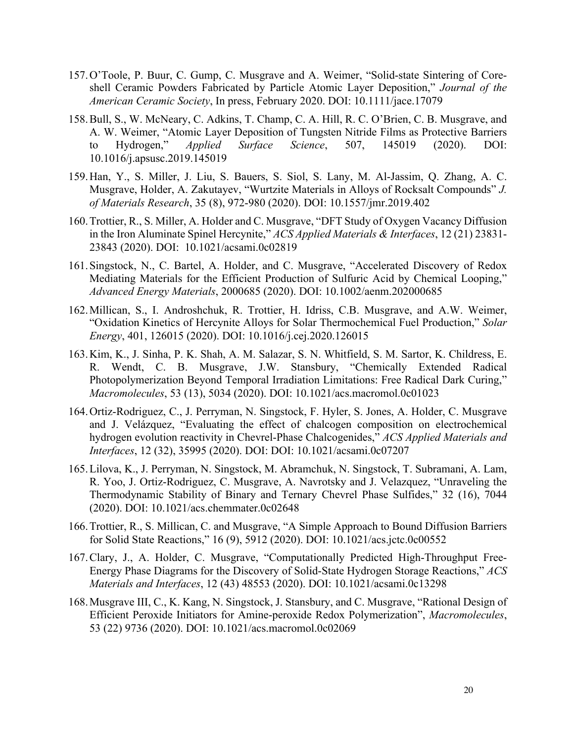- 157.O'Toole, P. Buur, C. Gump, C. Musgrave and A. Weimer, "Solid-state Sintering of Coreshell Ceramic Powders Fabricated by Particle Atomic Layer Deposition," *Journal of the American Ceramic Society*, In press, February 2020. DOI: 10.1111/jace.17079
- 158.Bull, S., W. McNeary, C. Adkins, T. Champ, C. A. Hill, R. C. O'Brien, C. B. Musgrave, and A. W. Weimer, "Atomic Layer Deposition of Tungsten Nitride Films as Protective Barriers to Hydrogen," *Applied Surface Science*, 507, 145019 (2020). DOI: 10.1016/j.apsusc.2019.145019
- 159.Han, Y., S. Miller, J. Liu, S. Bauers, S. Siol, S. Lany, M. Al-Jassim, Q. Zhang, A. C. Musgrave, Holder, A. Zakutayev, "Wurtzite Materials in Alloys of Rocksalt Compounds" *J. of Materials Research*, 35 (8), 972-980 (2020). DOI: 10.1557/jmr.2019.402
- 160.Trottier, R., S. Miller, A. Holder and C. Musgrave, "DFT Study of Oxygen Vacancy Diffusion in the Iron Aluminate Spinel Hercynite," *ACS Applied Materials & Interfaces*, 12 (21) 23831- 23843 (2020). DOI: 10.1021/acsami.0c02819
- 161.Singstock, N., C. Bartel, A. Holder, and C. Musgrave, "Accelerated Discovery of Redox Mediating Materials for the Efficient Production of Sulfuric Acid by Chemical Looping," *Advanced Energy Materials*, 2000685 (2020). DOI: 10.1002/aenm.202000685
- 162.Millican, S., I. Androshchuk, R. Trottier, H. Idriss, C.B. Musgrave, and A.W. Weimer, "Oxidation Kinetics of Hercynite Alloys for Solar Thermochemical Fuel Production," *Solar Energy*, 401, 126015 (2020). DOI: 10.1016/j.cej.2020.126015
- 163.Kim, K., J. Sinha, P. K. Shah, A. M. Salazar, S. N. Whitfield, S. M. Sartor, K. Childress, E. R. Wendt, C. B. Musgrave, J.W. Stansbury, "Chemically Extended Radical Photopolymerization Beyond Temporal Irradiation Limitations: Free Radical Dark Curing," *Macromolecules*, 53 (13), 5034 (2020). DOI: 10.1021/acs.macromol.0c01023
- 164.Ortiz-Rodriguez, C., J. Perryman, N. Singstock, F. Hyler, S. Jones, A. Holder, C. Musgrave and J. Velázquez, "Evaluating the effect of chalcogen composition on electrochemical hydrogen evolution reactivity in Chevrel-Phase Chalcogenides," *ACS Applied Materials and Interfaces*, 12 (32), 35995 (2020). DOI: DOI: 10.1021/acsami.0c07207
- 165.Lilova, K., J. Perryman, N. Singstock, M. Abramchuk, N. Singstock, T. Subramani, A. Lam, R. Yoo, J. Ortiz-Rodriguez, C. Musgrave, A. Navrotsky and J. Velazquez, "Unraveling the Thermodynamic Stability of Binary and Ternary Chevrel Phase Sulfides," 32 (16), 7044 (2020). DOI: 10.1021/acs.chemmater.0c02648
- 166.Trottier, R., S. Millican, C. and Musgrave, "A Simple Approach to Bound Diffusion Barriers for Solid State Reactions," 16 (9), 5912 (2020). DOI: 10.1021/acs.jctc.0c00552
- 167.Clary, J., A. Holder, C. Musgrave, "Computationally Predicted High-Throughput Free-Energy Phase Diagrams for the Discovery of Solid-State Hydrogen Storage Reactions," *ACS Materials and Interfaces*, 12 (43) 48553 (2020). DOI: 10.1021/acsami.0c13298
- 168.Musgrave III, C., K. Kang, N. Singstock, J. Stansbury, and C. Musgrave, "Rational Design of Efficient Peroxide Initiators for Amine-peroxide Redox Polymerization", *Macromolecules*, 53 (22) 9736 (2020). DOI: 10.1021/acs.macromol.0c02069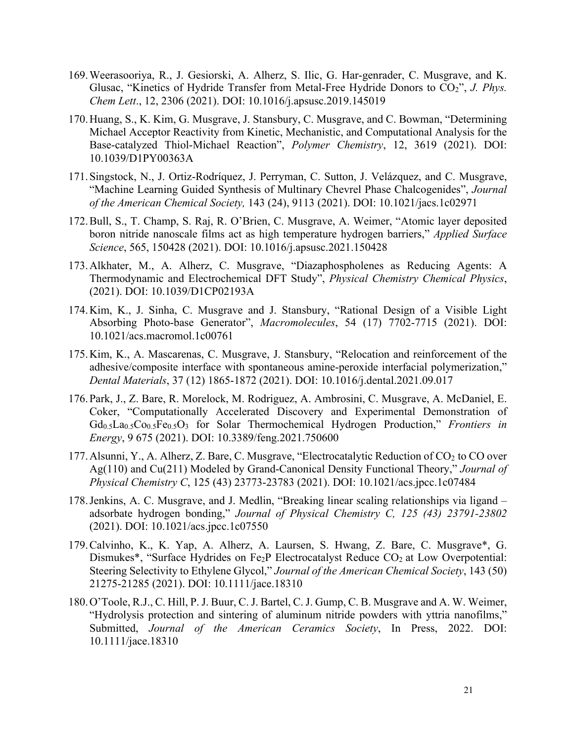- 169.Weerasooriya, R., J. Gesiorski, A. Alherz, S. Ilic, G. Har-genrader, C. Musgrave, and K. Glusac, "Kinetics of Hydride Transfer from Metal-Free Hydride Donors to CO<sub>2</sub>", *J. Phys. Chem Lett*., 12, 2306 (2021). DOI: 10.1016/j.apsusc.2019.145019
- 170.Huang, S., K. Kim, G. Musgrave, J. Stansbury, C. Musgrave, and C. Bowman, "Determining Michael Acceptor Reactivity from Kinetic, Mechanistic, and Computational Analysis for the Base-catalyzed Thiol-Michael Reaction", *Polymer Chemistry*, 12, 3619 (2021). DOI: 10.1039/D1PY00363A
- 171.Singstock, N., J. Ortiz-Rodríquez, J. Perryman, C. Sutton, J. Velázquez, and C. Musgrave, "Machine Learning Guided Synthesis of Multinary Chevrel Phase Chalcogenides", *Journal of the American Chemical Society,* 143 (24), 9113 (2021). DOI: 10.1021/jacs.1c02971
- 172.Bull, S., T. Champ, S. Raj, R. O'Brien, C. Musgrave, A. Weimer, "Atomic layer deposited boron nitride nanoscale films act as high temperature hydrogen barriers," *Applied Surface Science*, 565, 150428 (2021). DOI: 10.1016/j.apsusc.2021.150428
- 173.Alkhater, M., A. Alherz, C. Musgrave, "Diazaphospholenes as Reducing Agents: A Thermodynamic and Electrochemical DFT Study", *Physical Chemistry Chemical Physics*, (2021). DOI: 10.1039/D1CP02193A
- 174.Kim, K., J. Sinha, C. Musgrave and J. Stansbury, "Rational Design of a Visible Light Absorbing Photo-base Generator", *Macromolecules*, 54 (17) 7702-7715 (2021). DOI: 10.1021/acs.macromol.1c00761
- 175.Kim, K., A. Mascarenas, C. Musgrave, J. Stansbury, "Relocation and reinforcement of the adhesive/composite interface with spontaneous amine-peroxide interfacial polymerization," *Dental Materials*, 37 (12) 1865-1872 (2021). DOI: 10.1016/j.dental.2021.09.017
- 176.Park, J., Z. Bare, R. Morelock, M. Rodriguez, A. Ambrosini, C. Musgrave, A. McDaniel, E. Coker, "Computationally Accelerated Discovery and Experimental Demonstration of Gd<sub>0.5</sub>La<sub>0.5</sub>Co<sub>0.5</sub>Fe<sub>0.5</sub>O<sub>3</sub> for Solar Thermochemical Hydrogen Production," *Frontiers in Energy*, 9 675 (2021). DOI: 10.3389/feng.2021.750600
- 177. Alsunni, Y., A. Alherz, Z. Bare, C. Musgrave, "Electrocatalytic Reduction of  $CO<sub>2</sub>$  to CO over Ag(110) and Cu(211) Modeled by Grand-Canonical Density Functional Theory," *Journal of Physical Chemistry C*, 125 (43) 23773-23783 (2021). DOI: 10.1021/acs.jpcc.1c07484
- 178.Jenkins, A. C. Musgrave, and J. Medlin, "Breaking linear scaling relationships via ligand adsorbate hydrogen bonding," *Journal of Physical Chemistry C, 125 (43) 23791-23802*  (2021). DOI: 10.1021/acs.jpcc.1c07550
- 179.Calvinho, K., K. Yap, A. Alherz, A. Laursen, S. Hwang, Z. Bare, C. Musgrave\*, G. Dismukes\*, "Surface Hydrides on Fe<sub>2</sub>P Electrocatalyst Reduce CO<sub>2</sub> at Low Overpotential: Steering Selectivity to Ethylene Glycol," *Journal of the American Chemical Society*, 143 (50) 21275-21285 (2021). DOI: 10.1111/jace.18310
- 180.O'Toole, R.J., C. Hill, P. J. Buur, C. J. Bartel, C. J. Gump, C. B. Musgrave and A. W. Weimer, "Hydrolysis protection and sintering of aluminum nitride powders with yttria nanofilms," Submitted, *Journal of the American Ceramics Society*, In Press, 2022. DOI: 10.1111/jace.18310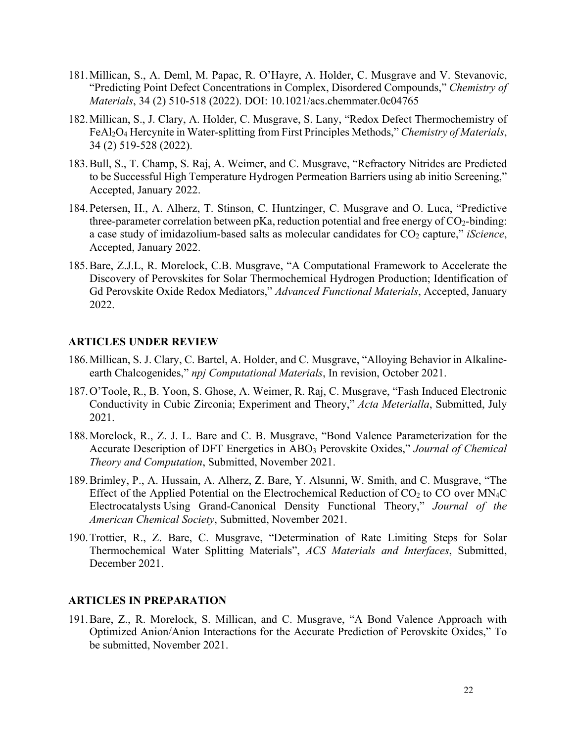- 181.Millican, S., A. Deml, M. Papac, R. O'Hayre, A. Holder, C. Musgrave and V. Stevanovic, "Predicting Point Defect Concentrations in Complex, Disordered Compounds," *Chemistry of Materials*, 34 (2) 510-518 (2022). DOI: 10.1021/acs.chemmater.0c04765
- 182.Millican, S., J. Clary, A. Holder, C. Musgrave, S. Lany, "Redox Defect Thermochemistry of FeAl2O4 Hercynite in Water-splitting from First Principles Methods," *Chemistry of Materials*, 34 (2) 519-528 (2022).
- 183.Bull, S., T. Champ, S. Raj, A. Weimer, and C. Musgrave, "Refractory Nitrides are Predicted to be Successful High Temperature Hydrogen Permeation Barriers using ab initio Screening," Accepted, January 2022.
- 184.Petersen, H., A. Alherz, T. Stinson, C. Huntzinger, C. Musgrave and O. Luca, "Predictive three-parameter correlation between pKa, reduction potential and free energy of  $CO<sub>2</sub>$ -binding: a case study of imidazolium-based salts as molecular candidates for  $CO_2$  capture," *iScience*, Accepted, January 2022.
- 185.Bare, Z.J.L, R. Morelock, C.B. Musgrave, "A Computational Framework to Accelerate the Discovery of Perovskites for Solar Thermochemical Hydrogen Production; Identification of Gd Perovskite Oxide Redox Mediators," *Advanced Functional Materials*, Accepted, January 2022.

#### **ARTICLES UNDER REVIEW**

- 186.Millican, S. J. Clary, C. Bartel, A. Holder, and C. Musgrave, "Alloying Behavior in Alkalineearth Chalcogenides," *npj Computational Materials*, In revision, October 2021.
- 187.O'Toole, R., B. Yoon, S. Ghose, A. Weimer, R. Raj, C. Musgrave, "Fash Induced Electronic Conductivity in Cubic Zirconia; Experiment and Theory," *Acta Meterialla*, Submitted, July 2021.
- 188.Morelock, R., Z. J. L. Bare and C. B. Musgrave, "Bond Valence Parameterization for the Accurate Description of DFT Energetics in ABO3 Perovskite Oxides," *Journal of Chemical Theory and Computation*, Submitted, November 2021.
- 189.Brimley, P., A. Hussain, A. Alherz, Z. Bare, Y. Alsunni, W. Smith, and C. Musgrave, "The Effect of the Applied Potential on the Electrochemical Reduction of  $CO<sub>2</sub>$  to CO over MN<sub>4</sub>C Electrocatalysts Using Grand-Canonical Density Functional Theory," *Journal of the American Chemical Society*, Submitted, November 2021.
- 190.Trottier, R., Z. Bare, C. Musgrave, "Determination of Rate Limiting Steps for Solar Thermochemical Water Splitting Materials", *ACS Materials and Interfaces*, Submitted, December 2021.

#### **ARTICLES IN PREPARATION**

191.Bare, Z., R. Morelock, S. Millican, and C. Musgrave, "A Bond Valence Approach with Optimized Anion/Anion Interactions for the Accurate Prediction of Perovskite Oxides," To be submitted, November 2021.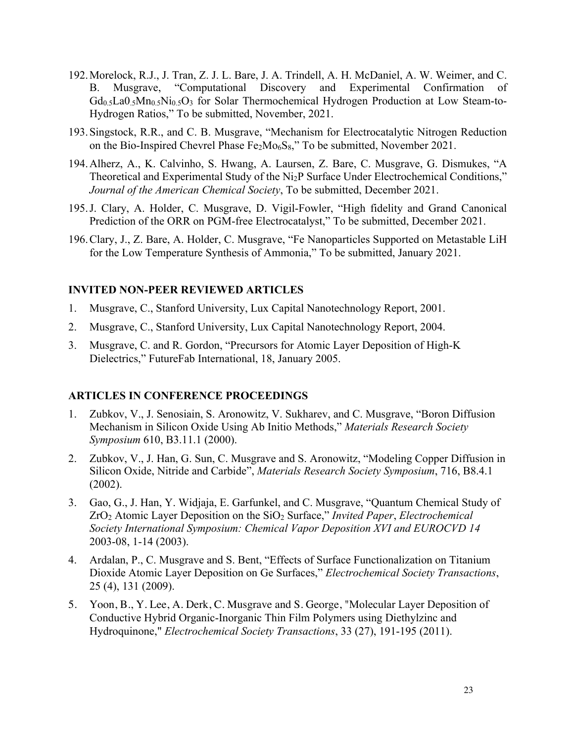- 192.Morelock, R.J., J. Tran, Z. J. L. Bare, J. A. Trindell, A. H. McDaniel, A. W. Weimer, and C. B. Musgrave, "Computational Discovery and Experimental Confirmation of Gd<sub>0.5</sub>La0.<sub>5</sub>Mn<sub>0.5</sub>N<sub>i0.5</sub>O<sub>3</sub> for Solar Thermochemical Hydrogen Production at Low Steam-to-Hydrogen Ratios," To be submitted, November, 2021.
- 193.Singstock, R.R., and C. B. Musgrave, "Mechanism for Electrocatalytic Nitrogen Reduction on the Bio-Inspired Chevrel Phase  $Fe<sub>2</sub>Mo<sub>6</sub>S<sub>8</sub>$ ," To be submitted, November 2021.
- 194.Alherz, A., K. Calvinho, S. Hwang, A. Laursen, Z. Bare, C. Musgrave, G. Dismukes, "A Theoretical and Experimental Study of the Ni2P Surface Under Electrochemical Conditions," *Journal of the American Chemical Society*, To be submitted, December 2021.
- 195.J. Clary, A. Holder, C. Musgrave, D. Vigil-Fowler, "High fidelity and Grand Canonical Prediction of the ORR on PGM-free Electrocatalyst," To be submitted, December 2021.
- 196.Clary, J., Z. Bare, A. Holder, C. Musgrave, "Fe Nanoparticles Supported on Metastable LiH for the Low Temperature Synthesis of Ammonia," To be submitted, January 2021.

#### **INVITED NON-PEER REVIEWED ARTICLES**

- 1. Musgrave, C., Stanford University, Lux Capital Nanotechnology Report, 2001.
- 2. Musgrave, C., Stanford University, Lux Capital Nanotechnology Report, 2004.
- 3. Musgrave, C. and R. Gordon, "Precursors for Atomic Layer Deposition of High-K Dielectrics," FutureFab International, 18, January 2005.

#### **ARTICLES IN CONFERENCE PROCEEDINGS**

- 1. Zubkov, V., J. Senosiain, S. Aronowitz, V. Sukharev, and C. Musgrave, "Boron Diffusion Mechanism in Silicon Oxide Using Ab Initio Methods," *Materials Research Society Symposium* 610, B3.11.1 (2000).
- 2. Zubkov, V., J. Han, G. Sun, C. Musgrave and S. Aronowitz, "Modeling Copper Diffusion in Silicon Oxide, Nitride and Carbide", *Materials Research Society Symposium*, 716, B8.4.1 (2002).
- 3. Gao, G., J. Han, Y. Widjaja, E. Garfunkel, and C. Musgrave, "Quantum Chemical Study of ZrO2 Atomic Layer Deposition on the SiO2 Surface," *Invited Paper*, *Electrochemical Society International Symposium: Chemical Vapor Deposition XVI and EUROCVD 14* 2003-08, 1-14 (2003).
- 4. Ardalan, P., C. Musgrave and S. Bent, "Effects of Surface Functionalization on Titanium Dioxide Atomic Layer Deposition on Ge Surfaces," *Electrochemical Society Transactions*, 25 (4), 131 (2009).
- 5. Yoon, B., Y. Lee, A. Derk, C. Musgrave and S. George, "Molecular Layer Deposition of Conductive Hybrid Organic-Inorganic Thin Film Polymers using Diethylzinc and Hydroquinone," *Electrochemical Society Transactions*, 33 (27), 191-195 (2011).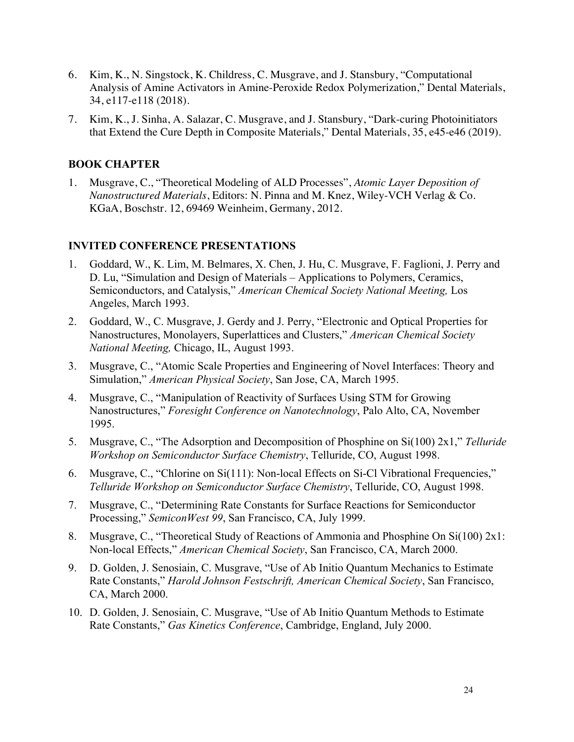- 6. Kim, K., N. Singstock, K. Childress, C. Musgrave, and J. Stansbury, "Computational Analysis of Amine Activators in Amine-Peroxide Redox Polymerization," Dental Materials, 34, e117-e118 (2018).
- 7. Kim, K., J. Sinha, A. Salazar, C. Musgrave, and J. Stansbury, "Dark-curing Photoinitiators that Extend the Cure Depth in Composite Materials," Dental Materials, 35, e45-e46 (2019).

### **BOOK CHAPTER**

1. Musgrave, C., "Theoretical Modeling of ALD Processes", *Atomic Layer Deposition of Nanostructured Materials*, Editors: N. Pinna and M. Knez, Wiley-VCH Verlag & Co. KGaA, Boschstr. 12, 69469 Weinheim, Germany, 2012.

#### **INVITED CONFERENCE PRESENTATIONS**

- 1. Goddard, W., K. Lim, M. Belmares, X. Chen, J. Hu, C. Musgrave, F. Faglioni, J. Perry and D. Lu, "Simulation and Design of Materials – Applications to Polymers, Ceramics, Semiconductors, and Catalysis," *American Chemical Society National Meeting,* Los Angeles, March 1993.
- 2. Goddard, W., C. Musgrave, J. Gerdy and J. Perry, "Electronic and Optical Properties for Nanostructures, Monolayers, Superlattices and Clusters," *American Chemical Society National Meeting,* Chicago, IL, August 1993.
- 3. Musgrave, C., "Atomic Scale Properties and Engineering of Novel Interfaces: Theory and Simulation," *American Physical Society*, San Jose, CA, March 1995.
- 4. Musgrave, C., "Manipulation of Reactivity of Surfaces Using STM for Growing Nanostructures," *Foresight Conference on Nanotechnology*, Palo Alto, CA, November 1995.
- 5. Musgrave, C., "The Adsorption and Decomposition of Phosphine on Si(100) 2x1," *Telluride Workshop on Semiconductor Surface Chemistry*, Telluride, CO, August 1998.
- 6. Musgrave, C., "Chlorine on Si(111): Non-local Effects on Si-Cl Vibrational Frequencies," *Telluride Workshop on Semiconductor Surface Chemistry*, Telluride, CO, August 1998.
- 7. Musgrave, C., "Determining Rate Constants for Surface Reactions for Semiconductor Processing," *SemiconWest 99*, San Francisco, CA, July 1999.
- 8. Musgrave, C., "Theoretical Study of Reactions of Ammonia and Phosphine On Si(100) 2x1: Non-local Effects," *American Chemical Society*, San Francisco, CA, March 2000.
- 9. D. Golden, J. Senosiain, C. Musgrave, "Use of Ab Initio Quantum Mechanics to Estimate Rate Constants," *Harold Johnson Festschrift, American Chemical Society*, San Francisco, CA, March 2000.
- 10. D. Golden, J. Senosiain, C. Musgrave, "Use of Ab Initio Quantum Methods to Estimate Rate Constants," *Gas Kinetics Conference*, Cambridge, England, July 2000.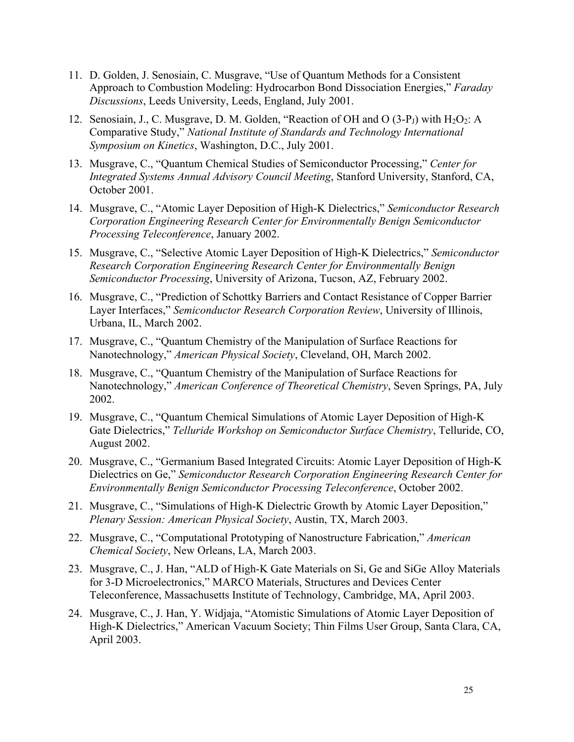- 11. D. Golden, J. Senosiain, C. Musgrave, "Use of Quantum Methods for a Consistent Approach to Combustion Modeling: Hydrocarbon Bond Dissociation Energies," *Faraday Discussions*, Leeds University, Leeds, England, July 2001.
- 12. Senosiain, J., C. Musgrave, D. M. Golden, "Reaction of OH and O  $(3-P<sub>J</sub>)$  with  $H<sub>2</sub>O<sub>2</sub>$ : A Comparative Study," *National Institute of Standards and Technology International Symposium on Kinetics*, Washington, D.C., July 2001.
- 13. Musgrave, C., "Quantum Chemical Studies of Semiconductor Processing," *Center for Integrated Systems Annual Advisory Council Meeting*, Stanford University, Stanford, CA, October 2001.
- 14. Musgrave, C., "Atomic Layer Deposition of High-K Dielectrics," *Semiconductor Research Corporation Engineering Research Center for Environmentally Benign Semiconductor Processing Teleconference*, January 2002.
- 15. Musgrave, C., "Selective Atomic Layer Deposition of High-K Dielectrics," *Semiconductor Research Corporation Engineering Research Center for Environmentally Benign Semiconductor Processing*, University of Arizona, Tucson, AZ, February 2002.
- 16. Musgrave, C., "Prediction of Schottky Barriers and Contact Resistance of Copper Barrier Layer Interfaces," *Semiconductor Research Corporation Review*, University of Illinois, Urbana, IL, March 2002.
- 17. Musgrave, C., "Quantum Chemistry of the Manipulation of Surface Reactions for Nanotechnology," *American Physical Society*, Cleveland, OH, March 2002.
- 18. Musgrave, C., "Quantum Chemistry of the Manipulation of Surface Reactions for Nanotechnology," *American Conference of Theoretical Chemistry*, Seven Springs, PA, July 2002.
- 19. Musgrave, C., "Quantum Chemical Simulations of Atomic Layer Deposition of High-K Gate Dielectrics," *Telluride Workshop on Semiconductor Surface Chemistry*, Telluride, CO, August 2002.
- 20. Musgrave, C., "Germanium Based Integrated Circuits: Atomic Layer Deposition of High-K Dielectrics on Ge," *Semiconductor Research Corporation Engineering Research Center for Environmentally Benign Semiconductor Processing Teleconference*, October 2002.
- 21. Musgrave, C., "Simulations of High-K Dielectric Growth by Atomic Layer Deposition," *Plenary Session: American Physical Society*, Austin, TX, March 2003.
- 22. Musgrave, C., "Computational Prototyping of Nanostructure Fabrication," *American Chemical Society*, New Orleans, LA, March 2003.
- 23. Musgrave, C., J. Han, "ALD of High-K Gate Materials on Si, Ge and SiGe Alloy Materials for 3-D Microelectronics," MARCO Materials, Structures and Devices Center Teleconference, Massachusetts Institute of Technology, Cambridge, MA, April 2003.
- 24. Musgrave, C., J. Han, Y. Widjaja, "Atomistic Simulations of Atomic Layer Deposition of High-K Dielectrics," American Vacuum Society; Thin Films User Group, Santa Clara, CA, April 2003.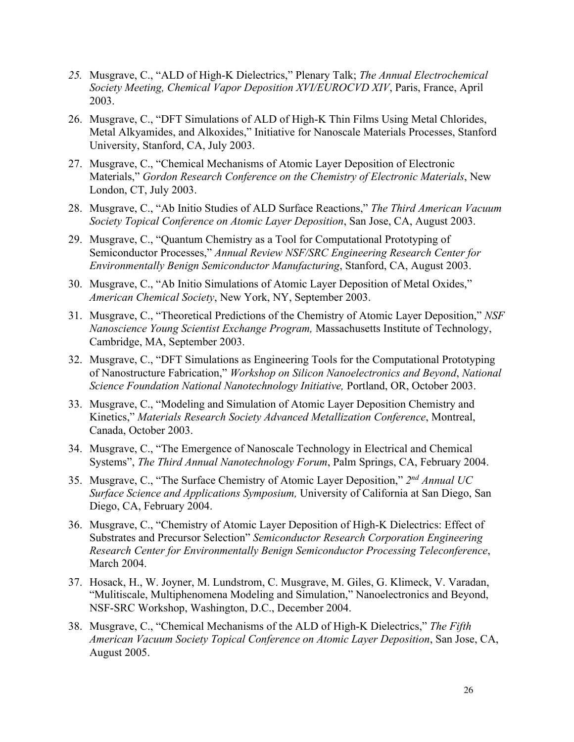- *25.* Musgrave, C., "ALD of High-K Dielectrics," Plenary Talk; *The Annual Electrochemical Society Meeting, Chemical Vapor Deposition XVI/EUROCVD XIV*, Paris, France, April 2003.
- 26. Musgrave, C., "DFT Simulations of ALD of High-K Thin Films Using Metal Chlorides, Metal Alkyamides, and Alkoxides," Initiative for Nanoscale Materials Processes, Stanford University, Stanford, CA, July 2003.
- 27. Musgrave, C., "Chemical Mechanisms of Atomic Layer Deposition of Electronic Materials," *Gordon Research Conference on the Chemistry of Electronic Materials*, New London, CT, July 2003.
- 28. Musgrave, C., "Ab Initio Studies of ALD Surface Reactions," *The Third American Vacuum Society Topical Conference on Atomic Layer Deposition*, San Jose, CA, August 2003.
- 29. Musgrave, C., "Quantum Chemistry as a Tool for Computational Prototyping of Semiconductor Processes," *Annual Review NSF/SRC Engineering Research Center for Environmentally Benign Semiconductor Manufacturing*, Stanford, CA, August 2003.
- 30. Musgrave, C., "Ab Initio Simulations of Atomic Layer Deposition of Metal Oxides," *American Chemical Society*, New York, NY, September 2003.
- 31. Musgrave, C., "Theoretical Predictions of the Chemistry of Atomic Layer Deposition," *NSF Nanoscience Young Scientist Exchange Program,* Massachusetts Institute of Technology, Cambridge, MA, September 2003.
- 32. Musgrave, C., "DFT Simulations as Engineering Tools for the Computational Prototyping of Nanostructure Fabrication," *Workshop on Silicon Nanoelectronics and Beyond*, *National Science Foundation National Nanotechnology Initiative,* Portland, OR, October 2003.
- 33. Musgrave, C., "Modeling and Simulation of Atomic Layer Deposition Chemistry and Kinetics," *Materials Research Society Advanced Metallization Conference*, Montreal, Canada, October 2003.
- 34. Musgrave, C., "The Emergence of Nanoscale Technology in Electrical and Chemical Systems", *The Third Annual Nanotechnology Forum*, Palm Springs, CA, February 2004.
- 35. Musgrave, C., "The Surface Chemistry of Atomic Layer Deposition," *2nd Annual UC Surface Science and Applications Symposium,* University of California at San Diego, San Diego, CA, February 2004.
- 36. Musgrave, C., "Chemistry of Atomic Layer Deposition of High-K Dielectrics: Effect of Substrates and Precursor Selection" *Semiconductor Research Corporation Engineering Research Center for Environmentally Benign Semiconductor Processing Teleconference*, March 2004.
- 37. Hosack, H., W. Joyner, M. Lundstrom, C. Musgrave, M. Giles, G. Klimeck, V. Varadan, "Mulitiscale, Multiphenomena Modeling and Simulation," Nanoelectronics and Beyond, NSF-SRC Workshop, Washington, D.C., December 2004.
- 38. Musgrave, C., "Chemical Mechanisms of the ALD of High-K Dielectrics," *The Fifth American Vacuum Society Topical Conference on Atomic Layer Deposition*, San Jose, CA, August 2005.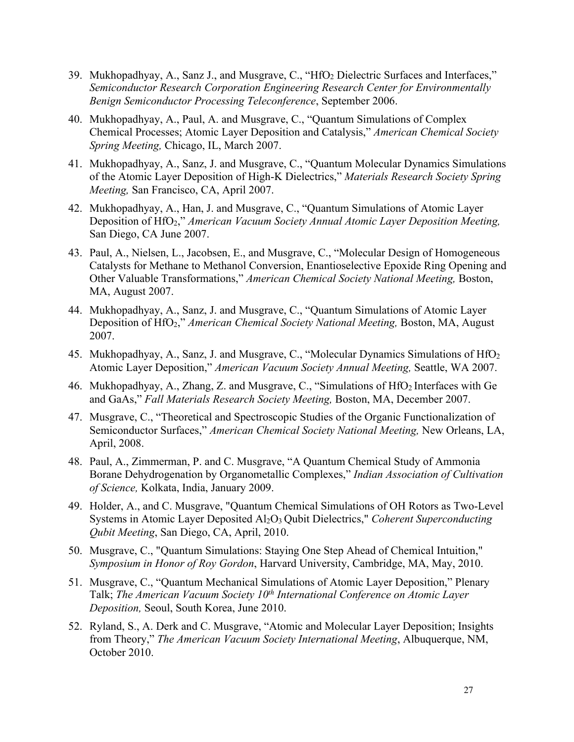- 39. Mukhopadhyay, A., Sanz J., and Musgrave, C., "HfO2 Dielectric Surfaces and Interfaces," *Semiconductor Research Corporation Engineering Research Center for Environmentally Benign Semiconductor Processing Teleconference*, September 2006.
- 40. Mukhopadhyay, A., Paul, A. and Musgrave, C., "Quantum Simulations of Complex Chemical Processes; Atomic Layer Deposition and Catalysis," *American Chemical Society Spring Meeting,* Chicago, IL, March 2007.
- 41. Mukhopadhyay, A., Sanz, J. and Musgrave, C., "Quantum Molecular Dynamics Simulations of the Atomic Layer Deposition of High-K Dielectrics," *Materials Research Society Spring Meeting,* San Francisco, CA, April 2007.
- 42. Mukhopadhyay, A., Han, J. and Musgrave, C., "Quantum Simulations of Atomic Layer Deposition of HfO2," *American Vacuum Society Annual Atomic Layer Deposition Meeting,*  San Diego, CA June 2007.
- 43. Paul, A., Nielsen, L., Jacobsen, E., and Musgrave, C., "Molecular Design of Homogeneous Catalysts for Methane to Methanol Conversion, Enantioselective Epoxide Ring Opening and Other Valuable Transformations," *American Chemical Society National Meeting,* Boston, MA, August 2007.
- 44. Mukhopadhyay, A., Sanz, J. and Musgrave, C., "Quantum Simulations of Atomic Layer Deposition of HfO2," *American Chemical Society National Meeting,* Boston, MA, August 2007.
- 45. Mukhopadhyay, A., Sanz, J. and Musgrave, C., "Molecular Dynamics Simulations of HfO<sub>2</sub> Atomic Layer Deposition," *American Vacuum Society Annual Meeting,* Seattle, WA 2007.
- 46. Mukhopadhyay, A., Zhang, Z. and Musgrave, C., "Simulations of HfO<sub>2</sub> Interfaces with Ge and GaAs," *Fall Materials Research Society Meeting,* Boston, MA, December 2007.
- 47. Musgrave, C., "Theoretical and Spectroscopic Studies of the Organic Functionalization of Semiconductor Surfaces," *American Chemical Society National Meeting,* New Orleans, LA, April, 2008.
- 48. Paul, A., Zimmerman, P. and C. Musgrave, "A Quantum Chemical Study of Ammonia Borane Dehydrogenation by Organometallic Complexes," *Indian Association of Cultivation of Science,* Kolkata, India, January 2009.
- 49. Holder, A., and C. Musgrave, "Quantum Chemical Simulations of OH Rotors as Two-Level Systems in Atomic Layer Deposited Al2O3 Qubit Dielectrics," *Coherent Superconducting Qubit Meeting*, San Diego, CA, April, 2010.
- 50. Musgrave, C., "Quantum Simulations: Staying One Step Ahead of Chemical Intuition," *Symposium in Honor of Roy Gordon*, Harvard University, Cambridge, MA, May, 2010.
- 51. Musgrave, C., "Quantum Mechanical Simulations of Atomic Layer Deposition," Plenary Talk; *The American Vacuum Society 10<sup>th</sup> International Conference on Atomic Layer Deposition,* Seoul, South Korea, June 2010.
- 52. Ryland, S., A. Derk and C. Musgrave, "Atomic and Molecular Layer Deposition; Insights from Theory," *The American Vacuum Society International Meeting*, Albuquerque, NM, October 2010.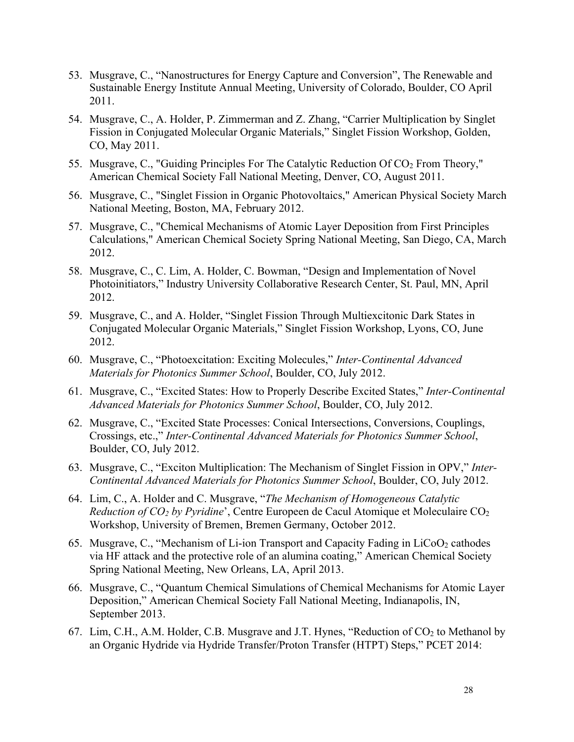- 53. Musgrave, C., "Nanostructures for Energy Capture and Conversion", The Renewable and Sustainable Energy Institute Annual Meeting, University of Colorado, Boulder, CO April 2011.
- 54. Musgrave, C., A. Holder, P. Zimmerman and Z. Zhang, "Carrier Multiplication by Singlet Fission in Conjugated Molecular Organic Materials," Singlet Fission Workshop, Golden, CO, May 2011.
- 55. Musgrave, C., "Guiding Principles For The Catalytic Reduction Of CO<sub>2</sub> From Theory," American Chemical Society Fall National Meeting, Denver, CO, August 2011.
- 56. Musgrave, C., "Singlet Fission in Organic Photovoltaics," American Physical Society March National Meeting, Boston, MA, February 2012.
- 57. Musgrave, C., "Chemical Mechanisms of Atomic Layer Deposition from First Principles Calculations," American Chemical Society Spring National Meeting, San Diego, CA, March 2012.
- 58. Musgrave, C., C. Lim, A. Holder, C. Bowman, "Design and Implementation of Novel Photoinitiators," Industry University Collaborative Research Center, St. Paul, MN, April 2012.
- 59. Musgrave, C., and A. Holder, "Singlet Fission Through Multiexcitonic Dark States in Conjugated Molecular Organic Materials," Singlet Fission Workshop, Lyons, CO, June 2012.
- 60. Musgrave, C., "Photoexcitation: Exciting Molecules," *Inter-Continental Advanced Materials for Photonics Summer School*, Boulder, CO, July 2012.
- 61. Musgrave, C., "Excited States: How to Properly Describe Excited States," *Inter-Continental Advanced Materials for Photonics Summer School*, Boulder, CO, July 2012.
- 62. Musgrave, C., "Excited State Processes: Conical Intersections, Conversions, Couplings, Crossings, etc.," *Inter-Continental Advanced Materials for Photonics Summer School*, Boulder, CO, July 2012.
- 63. Musgrave, C., "Exciton Multiplication: The Mechanism of Singlet Fission in OPV," *Inter-Continental Advanced Materials for Photonics Summer School*, Boulder, CO, July 2012.
- 64. Lim, C., A. Holder and C. Musgrave, "*The Mechanism of Homogeneous Catalytic Reduction of CO2 by Pyridine*', Centre Europeen de Cacul Atomique et Moleculaire CO2 Workshop, University of Bremen, Bremen Germany, October 2012.
- 65. Musgrave, C., "Mechanism of Li-ion Transport and Capacity Fading in  $LiCoO<sub>2</sub>$  cathodes via HF attack and the protective role of an alumina coating," American Chemical Society Spring National Meeting, New Orleans, LA, April 2013.
- 66. Musgrave, C., "Quantum Chemical Simulations of Chemical Mechanisms for Atomic Layer Deposition," American Chemical Society Fall National Meeting, Indianapolis, IN, September 2013.
- 67. Lim, C.H., A.M. Holder, C.B. Musgrave and J.T. Hynes, "Reduction of  $CO<sub>2</sub>$  to Methanol by an Organic Hydride via Hydride Transfer/Proton Transfer (HTPT) Steps," PCET 2014: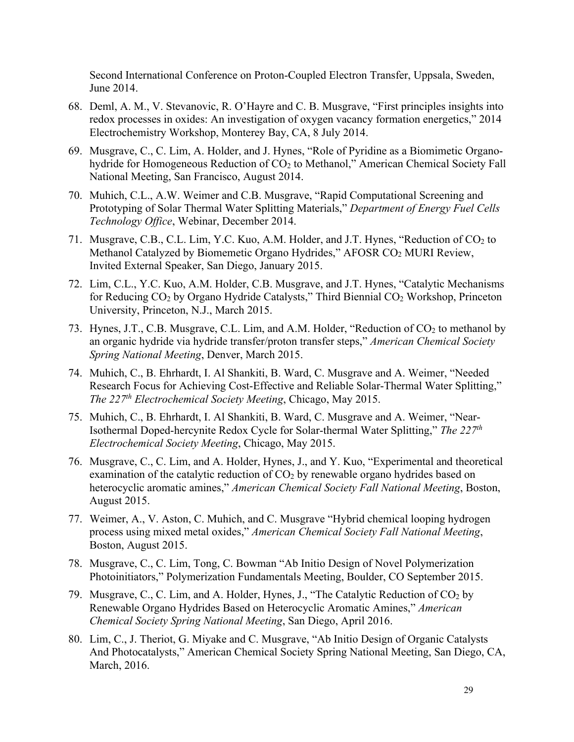Second International Conference on Proton-Coupled Electron Transfer, Uppsala, Sweden, June 2014.

- 68. Deml, A. M., V. Stevanovic, R. O'Hayre and C. B. Musgrave, "First principles insights into redox processes in oxides: An investigation of oxygen vacancy formation energetics," 2014 Electrochemistry Workshop, Monterey Bay, CA, 8 July 2014.
- 69. Musgrave, C., C. Lim, A. Holder, and J. Hynes, "Role of Pyridine as a Biomimetic Organohydride for Homogeneous Reduction of CO<sub>2</sub> to Methanol," American Chemical Society Fall National Meeting, San Francisco, August 2014.
- 70. Muhich, C.L., A.W. Weimer and C.B. Musgrave, "Rapid Computational Screening and Prototyping of Solar Thermal Water Splitting Materials," *Department of Energy Fuel Cells Technology Office*, Webinar, December 2014.
- 71. Musgrave, C.B., C.L. Lim, Y.C. Kuo, A.M. Holder, and J.T. Hynes, "Reduction of CO<sub>2</sub> to Methanol Catalyzed by Biomemetic Organo Hydrides," AFOSR CO<sub>2</sub> MURI Review, Invited External Speaker, San Diego, January 2015.
- 72. Lim, C.L., Y.C. Kuo, A.M. Holder, C.B. Musgrave, and J.T. Hynes, "Catalytic Mechanisms for Reducing CO2 by Organo Hydride Catalysts," Third Biennial CO2 Workshop, Princeton University, Princeton, N.J., March 2015.
- 73. Hynes, J.T., C.B. Musgrave, C.L. Lim, and A.M. Holder, "Reduction of  $CO<sub>2</sub>$  to methanol by an organic hydride via hydride transfer/proton transfer steps," *American Chemical Society Spring National Meeting*, Denver, March 2015.
- 74. Muhich, C., B. Ehrhardt, I. Al Shankiti, B. Ward, C. Musgrave and A. Weimer, "Needed Research Focus for Achieving Cost-Effective and Reliable Solar-Thermal Water Splitting," *The 227th Electrochemical Society Meeting*, Chicago, May 2015.
- 75. Muhich, C., B. Ehrhardt, I. Al Shankiti, B. Ward, C. Musgrave and A. Weimer, "Near-Isothermal Doped-hercynite Redox Cycle for Solar-thermal Water Splitting," *The 227th Electrochemical Society Meeting*, Chicago, May 2015.
- 76. Musgrave, C., C. Lim, and A. Holder, Hynes, J., and Y. Kuo, "Experimental and theoretical examination of the catalytic reduction of  $CO<sub>2</sub>$  by renewable organo hydrides based on heterocyclic aromatic amines," *American Chemical Society Fall National Meeting*, Boston, August 2015.
- 77. Weimer, A., V. Aston, C. Muhich, and C. Musgrave "Hybrid chemical looping hydrogen process using mixed metal oxides," *American Chemical Society Fall National Meeting*, Boston, August 2015.
- 78. Musgrave, C., C. Lim, Tong, C. Bowman "Ab Initio Design of Novel Polymerization Photoinitiators," Polymerization Fundamentals Meeting, Boulder, CO September 2015.
- 79. Musgrave, C., C. Lim, and A. Holder, Hynes, J., "The Catalytic Reduction of  $CO<sub>2</sub>$  by Renewable Organo Hydrides Based on Heterocyclic Aromatic Amines," *American Chemical Society Spring National Meeting*, San Diego, April 2016.
- 80. Lim, C., J. Theriot, G. Miyake and C. Musgrave, "Ab Initio Design of Organic Catalysts And Photocatalysts," American Chemical Society Spring National Meeting, San Diego, CA, March, 2016.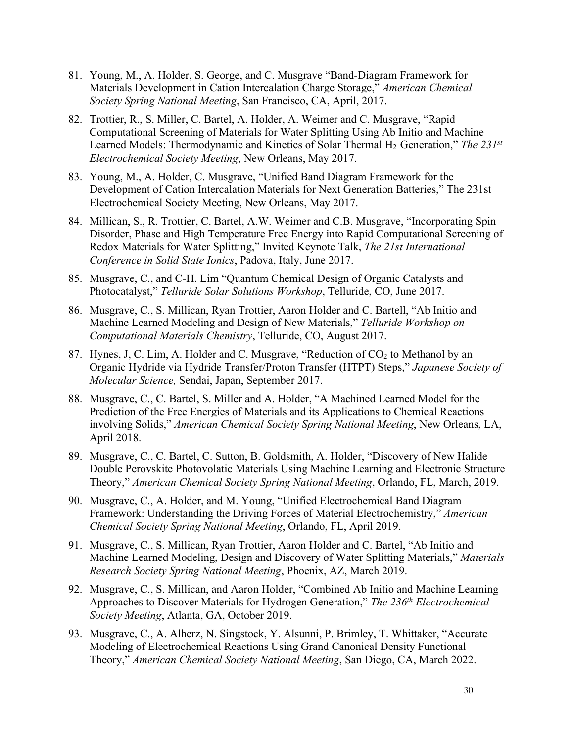- 81. Young, M., A. Holder, S. George, and C. Musgrave "Band-Diagram Framework for Materials Development in Cation Intercalation Charge Storage," *American Chemical Society Spring National Meeting*, San Francisco, CA, April, 2017.
- 82. Trottier, R., S. Miller, C. Bartel, A. Holder, A. Weimer and C. Musgrave, "Rapid Computational Screening of Materials for Water Splitting Using Ab Initio and Machine Learned Models: Thermodynamic and Kinetics of Solar Thermal H2 Generation," *The 231st Electrochemical Society Meeting*, New Orleans, May 2017.
- 83. Young, M., A. Holder, C. Musgrave, "Unified Band Diagram Framework for the Development of Cation Intercalation Materials for Next Generation Batteries," The 231st Electrochemical Society Meeting, New Orleans, May 2017.
- 84. Millican, S., R. Trottier, C. Bartel, A.W. Weimer and C.B. Musgrave, "Incorporating Spin Disorder, Phase and High Temperature Free Energy into Rapid Computational Screening of Redox Materials for Water Splitting," Invited Keynote Talk, *The 21st International Conference in Solid State Ionics*, Padova, Italy, June 2017.
- 85. Musgrave, C., and C-H. Lim "Quantum Chemical Design of Organic Catalysts and Photocatalyst," *Telluride Solar Solutions Workshop*, Telluride, CO, June 2017.
- 86. Musgrave, C., S. Millican, Ryan Trottier, Aaron Holder and C. Bartell, "Ab Initio and Machine Learned Modeling and Design of New Materials," *Telluride Workshop on Computational Materials Chemistry*, Telluride, CO, August 2017.
- 87. Hynes, J, C. Lim, A. Holder and C. Musgrave, "Reduction of CO<sub>2</sub> to Methanol by an Organic Hydride via Hydride Transfer/Proton Transfer (HTPT) Steps," *Japanese Society of Molecular Science,* Sendai, Japan, September 2017.
- 88. Musgrave, C., C. Bartel, S. Miller and A. Holder, "A Machined Learned Model for the Prediction of the Free Energies of Materials and its Applications to Chemical Reactions involving Solids," *American Chemical Society Spring National Meeting*, New Orleans, LA, April 2018.
- 89. Musgrave, C., C. Bartel, C. Sutton, B. Goldsmith, A. Holder, "Discovery of New Halide Double Perovskite Photovolatic Materials Using Machine Learning and Electronic Structure Theory," *American Chemical Society Spring National Meeting*, Orlando, FL, March, 2019.
- 90. Musgrave, C., A. Holder, and M. Young, "Unified Electrochemical Band Diagram Framework: Understanding the Driving Forces of Material Electrochemistry," *American Chemical Society Spring National Meeting*, Orlando, FL, April 2019.
- 91. Musgrave, C., S. Millican, Ryan Trottier, Aaron Holder and C. Bartel, "Ab Initio and Machine Learned Modeling, Design and Discovery of Water Splitting Materials," *Materials Research Society Spring National Meeting*, Phoenix, AZ, March 2019.
- 92. Musgrave, C., S. Millican, and Aaron Holder, "Combined Ab Initio and Machine Learning Approaches to Discover Materials for Hydrogen Generation," *The 236th Electrochemical Society Meeting*, Atlanta, GA, October 2019.
- 93. Musgrave, C., A. Alherz, N. Singstock, Y. Alsunni, P. Brimley, T. Whittaker, "Accurate Modeling of Electrochemical Reactions Using Grand Canonical Density Functional Theory," *American Chemical Society National Meeting*, San Diego, CA, March 2022.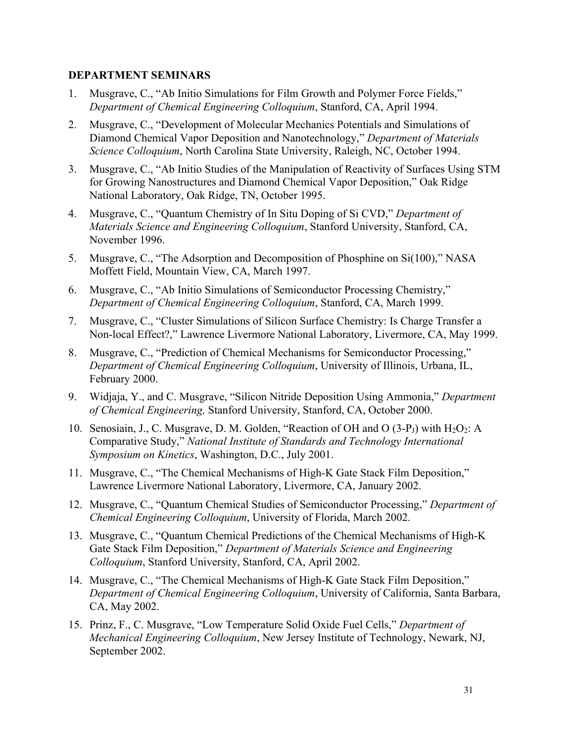### **DEPARTMENT SEMINARS**

- 1. Musgrave, C., "Ab Initio Simulations for Film Growth and Polymer Force Fields," *Department of Chemical Engineering Colloquium*, Stanford, CA, April 1994.
- 2. Musgrave, C., "Development of Molecular Mechanics Potentials and Simulations of Diamond Chemical Vapor Deposition and Nanotechnology," *Department of Materials Science Colloquium*, North Carolina State University, Raleigh, NC, October 1994.
- 3. Musgrave, C., "Ab Initio Studies of the Manipulation of Reactivity of Surfaces Using STM for Growing Nanostructures and Diamond Chemical Vapor Deposition," Oak Ridge National Laboratory, Oak Ridge, TN, October 1995.
- 4. Musgrave, C., "Quantum Chemistry of In Situ Doping of Si CVD," *Department of Materials Science and Engineering Colloquium*, Stanford University, Stanford, CA, November 1996.
- 5. Musgrave, C., "The Adsorption and Decomposition of Phosphine on Si(100)," NASA Moffett Field, Mountain View, CA, March 1997.
- 6. Musgrave, C., "Ab Initio Simulations of Semiconductor Processing Chemistry," *Department of Chemical Engineering Colloquium*, Stanford, CA, March 1999.
- 7. Musgrave, C., "Cluster Simulations of Silicon Surface Chemistry: Is Charge Transfer a Non-local Effect?," Lawrence Livermore National Laboratory, Livermore, CA, May 1999.
- 8. Musgrave, C., "Prediction of Chemical Mechanisms for Semiconductor Processing," *Department of Chemical Engineering Colloquium*, University of Illinois, Urbana, IL, February 2000.
- 9. Widjaja, Y., and C. Musgrave, "Silicon Nitride Deposition Using Ammonia," *Department of Chemical Engineering,* Stanford University, Stanford, CA, October 2000.
- 10. Senosiain, J., C. Musgrave, D. M. Golden, "Reaction of OH and O  $(3-P<sub>J</sub>)$  with  $H<sub>2</sub>O<sub>2</sub>$ : A Comparative Study," *National Institute of Standards and Technology International Symposium on Kinetics*, Washington, D.C., July 2001.
- 11. Musgrave, C., "The Chemical Mechanisms of High-K Gate Stack Film Deposition," Lawrence Livermore National Laboratory, Livermore, CA, January 2002.
- 12. Musgrave, C., "Quantum Chemical Studies of Semiconductor Processing," *Department of Chemical Engineering Colloquium*, University of Florida, March 2002.
- 13. Musgrave, C., "Quantum Chemical Predictions of the Chemical Mechanisms of High-K Gate Stack Film Deposition," *Department of Materials Science and Engineering Colloquium*, Stanford University, Stanford, CA, April 2002.
- 14. Musgrave, C., "The Chemical Mechanisms of High-K Gate Stack Film Deposition," *Department of Chemical Engineering Colloquium*, University of California, Santa Barbara, CA, May 2002.
- 15. Prinz, F., C. Musgrave, "Low Temperature Solid Oxide Fuel Cells," *Department of Mechanical Engineering Colloquium*, New Jersey Institute of Technology, Newark, NJ, September 2002.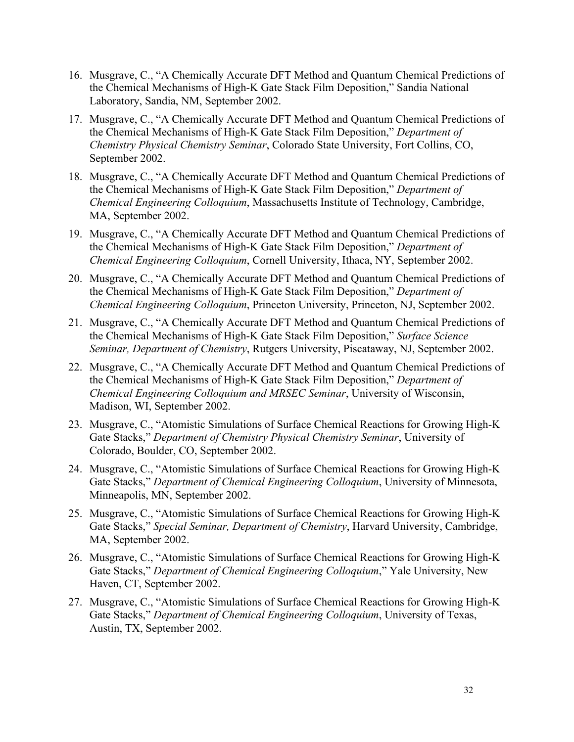- 16. Musgrave, C., "A Chemically Accurate DFT Method and Quantum Chemical Predictions of the Chemical Mechanisms of High-K Gate Stack Film Deposition," Sandia National Laboratory, Sandia, NM, September 2002.
- 17. Musgrave, C., "A Chemically Accurate DFT Method and Quantum Chemical Predictions of the Chemical Mechanisms of High-K Gate Stack Film Deposition," *Department of Chemistry Physical Chemistry Seminar*, Colorado State University, Fort Collins, CO, September 2002.
- 18. Musgrave, C., "A Chemically Accurate DFT Method and Quantum Chemical Predictions of the Chemical Mechanisms of High-K Gate Stack Film Deposition," *Department of Chemical Engineering Colloquium*, Massachusetts Institute of Technology, Cambridge, MA, September 2002.
- 19. Musgrave, C., "A Chemically Accurate DFT Method and Quantum Chemical Predictions of the Chemical Mechanisms of High-K Gate Stack Film Deposition," *Department of Chemical Engineering Colloquium*, Cornell University, Ithaca, NY, September 2002.
- 20. Musgrave, C., "A Chemically Accurate DFT Method and Quantum Chemical Predictions of the Chemical Mechanisms of High-K Gate Stack Film Deposition," *Department of Chemical Engineering Colloquium*, Princeton University, Princeton, NJ, September 2002.
- 21. Musgrave, C., "A Chemically Accurate DFT Method and Quantum Chemical Predictions of the Chemical Mechanisms of High-K Gate Stack Film Deposition," *Surface Science Seminar, Department of Chemistry*, Rutgers University, Piscataway, NJ, September 2002.
- 22. Musgrave, C., "A Chemically Accurate DFT Method and Quantum Chemical Predictions of the Chemical Mechanisms of High-K Gate Stack Film Deposition," *Department of Chemical Engineering Colloquium and MRSEC Seminar*, University of Wisconsin, Madison, WI, September 2002.
- 23. Musgrave, C., "Atomistic Simulations of Surface Chemical Reactions for Growing High-K Gate Stacks," *Department of Chemistry Physical Chemistry Seminar*, University of Colorado, Boulder, CO, September 2002.
- 24. Musgrave, C., "Atomistic Simulations of Surface Chemical Reactions for Growing High-K Gate Stacks," *Department of Chemical Engineering Colloquium*, University of Minnesota, Minneapolis, MN, September 2002.
- 25. Musgrave, C., "Atomistic Simulations of Surface Chemical Reactions for Growing High-K Gate Stacks," *Special Seminar, Department of Chemistry*, Harvard University, Cambridge, MA, September 2002.
- 26. Musgrave, C., "Atomistic Simulations of Surface Chemical Reactions for Growing High-K Gate Stacks," *Department of Chemical Engineering Colloquium*," Yale University, New Haven, CT, September 2002.
- 27. Musgrave, C., "Atomistic Simulations of Surface Chemical Reactions for Growing High-K Gate Stacks," *Department of Chemical Engineering Colloquium*, University of Texas, Austin, TX, September 2002.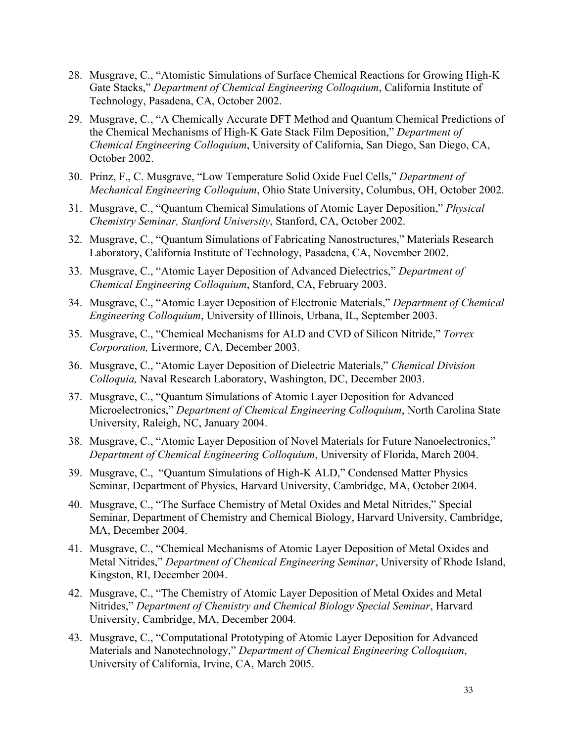- 28. Musgrave, C., "Atomistic Simulations of Surface Chemical Reactions for Growing High-K Gate Stacks," *Department of Chemical Engineering Colloquium*, California Institute of Technology, Pasadena, CA, October 2002.
- 29. Musgrave, C., "A Chemically Accurate DFT Method and Quantum Chemical Predictions of the Chemical Mechanisms of High-K Gate Stack Film Deposition," *Department of Chemical Engineering Colloquium*, University of California, San Diego, San Diego, CA, October 2002.
- 30. Prinz, F., C. Musgrave, "Low Temperature Solid Oxide Fuel Cells," *Department of Mechanical Engineering Colloquium*, Ohio State University, Columbus, OH, October 2002.
- 31. Musgrave, C., "Quantum Chemical Simulations of Atomic Layer Deposition," *Physical Chemistry Seminar, Stanford University*, Stanford, CA, October 2002.
- 32. Musgrave, C., "Quantum Simulations of Fabricating Nanostructures," Materials Research Laboratory, California Institute of Technology, Pasadena, CA, November 2002.
- 33. Musgrave, C., "Atomic Layer Deposition of Advanced Dielectrics," *Department of Chemical Engineering Colloquium*, Stanford, CA, February 2003.
- 34. Musgrave, C., "Atomic Layer Deposition of Electronic Materials," *Department of Chemical Engineering Colloquium*, University of Illinois, Urbana, IL, September 2003.
- 35. Musgrave, C., "Chemical Mechanisms for ALD and CVD of Silicon Nitride," *Torrex Corporation,* Livermore, CA, December 2003.
- 36. Musgrave, C., "Atomic Layer Deposition of Dielectric Materials," *Chemical Division Colloquia,* Naval Research Laboratory, Washington, DC, December 2003.
- 37. Musgrave, C., "Quantum Simulations of Atomic Layer Deposition for Advanced Microelectronics," *Department of Chemical Engineering Colloquium*, North Carolina State University, Raleigh, NC, January 2004.
- 38. Musgrave, C., "Atomic Layer Deposition of Novel Materials for Future Nanoelectronics," *Department of Chemical Engineering Colloquium*, University of Florida, March 2004.
- 39. Musgrave, C., "Quantum Simulations of High-K ALD," Condensed Matter Physics Seminar, Department of Physics, Harvard University, Cambridge, MA, October 2004.
- 40. Musgrave, C., "The Surface Chemistry of Metal Oxides and Metal Nitrides," Special Seminar, Department of Chemistry and Chemical Biology, Harvard University, Cambridge, MA, December 2004.
- 41. Musgrave, C., "Chemical Mechanisms of Atomic Layer Deposition of Metal Oxides and Metal Nitrides," *Department of Chemical Engineering Seminar*, University of Rhode Island, Kingston, RI, December 2004.
- 42. Musgrave, C., "The Chemistry of Atomic Layer Deposition of Metal Oxides and Metal Nitrides," *Department of Chemistry and Chemical Biology Special Seminar*, Harvard University, Cambridge, MA, December 2004.
- 43. Musgrave, C., "Computational Prototyping of Atomic Layer Deposition for Advanced Materials and Nanotechnology," *Department of Chemical Engineering Colloquium*, University of California, Irvine, CA, March 2005.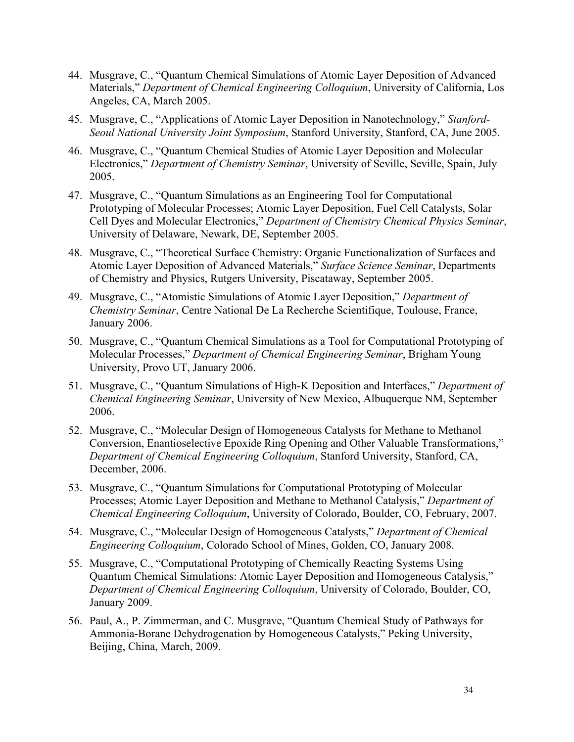- 44. Musgrave, C., "Quantum Chemical Simulations of Atomic Layer Deposition of Advanced Materials," *Department of Chemical Engineering Colloquium*, University of California, Los Angeles, CA, March 2005.
- 45. Musgrave, C., "Applications of Atomic Layer Deposition in Nanotechnology," *Stanford-Seoul National University Joint Symposium*, Stanford University, Stanford, CA, June 2005.
- 46. Musgrave, C., "Quantum Chemical Studies of Atomic Layer Deposition and Molecular Electronics," *Department of Chemistry Seminar*, University of Seville, Seville, Spain, July 2005.
- 47. Musgrave, C., "Quantum Simulations as an Engineering Tool for Computational Prototyping of Molecular Processes; Atomic Layer Deposition, Fuel Cell Catalysts, Solar Cell Dyes and Molecular Electronics," *Department of Chemistry Chemical Physics Seminar*, University of Delaware, Newark, DE, September 2005.
- 48. Musgrave, C., "Theoretical Surface Chemistry: Organic Functionalization of Surfaces and Atomic Layer Deposition of Advanced Materials," *Surface Science Seminar*, Departments of Chemistry and Physics, Rutgers University, Piscataway, September 2005.
- 49. Musgrave, C., "Atomistic Simulations of Atomic Layer Deposition," *Department of Chemistry Seminar*, Centre National De La Recherche Scientifique, Toulouse, France, January 2006.
- 50. Musgrave, C., "Quantum Chemical Simulations as a Tool for Computational Prototyping of Molecular Processes," *Department of Chemical Engineering Seminar*, Brigham Young University, Provo UT, January 2006.
- 51. Musgrave, C., "Quantum Simulations of High-K Deposition and Interfaces," *Department of Chemical Engineering Seminar*, University of New Mexico, Albuquerque NM, September 2006.
- 52. Musgrave, C., "Molecular Design of Homogeneous Catalysts for Methane to Methanol Conversion, Enantioselective Epoxide Ring Opening and Other Valuable Transformations," *Department of Chemical Engineering Colloquium*, Stanford University, Stanford, CA, December, 2006.
- 53. Musgrave, C., "Quantum Simulations for Computational Prototyping of Molecular Processes; Atomic Layer Deposition and Methane to Methanol Catalysis," *Department of Chemical Engineering Colloquium*, University of Colorado, Boulder, CO, February, 2007.
- 54. Musgrave, C., "Molecular Design of Homogeneous Catalysts," *Department of Chemical Engineering Colloquium*, Colorado School of Mines, Golden, CO, January 2008.
- 55. Musgrave, C., "Computational Prototyping of Chemically Reacting Systems Using Quantum Chemical Simulations: Atomic Layer Deposition and Homogeneous Catalysis," *Department of Chemical Engineering Colloquium*, University of Colorado, Boulder, CO, January 2009.
- 56. Paul, A., P. Zimmerman, and C. Musgrave, "Quantum Chemical Study of Pathways for Ammonia-Borane Dehydrogenation by Homogeneous Catalysts," Peking University, Beijing, China, March, 2009.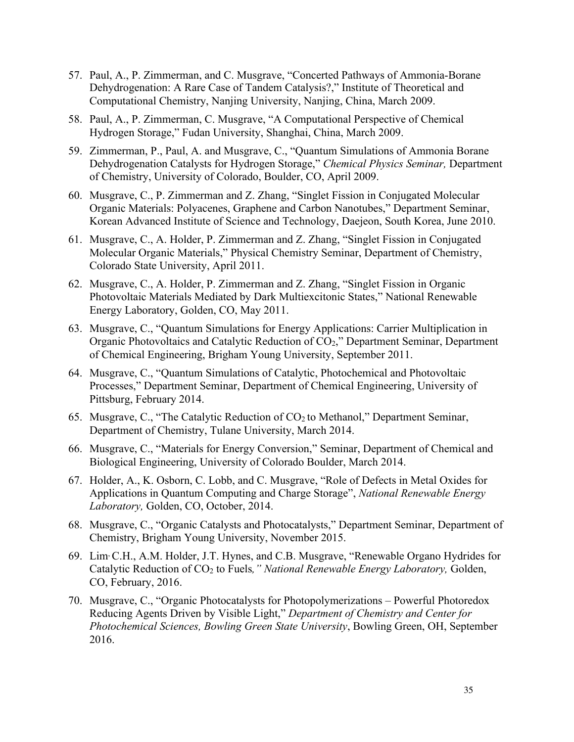- 57. Paul, A., P. Zimmerman, and C. Musgrave, "Concerted Pathways of Ammonia-Borane Dehydrogenation: A Rare Case of Tandem Catalysis?," Institute of Theoretical and Computational Chemistry, Nanjing University, Nanjing, China, March 2009.
- 58. Paul, A., P. Zimmerman, C. Musgrave, "A Computational Perspective of Chemical Hydrogen Storage," Fudan University, Shanghai, China, March 2009.
- 59. Zimmerman, P., Paul, A. and Musgrave, C., "Quantum Simulations of Ammonia Borane Dehydrogenation Catalysts for Hydrogen Storage," *Chemical Physics Seminar,* Department of Chemistry, University of Colorado, Boulder, CO, April 2009.
- 60. Musgrave, C., P. Zimmerman and Z. Zhang, "Singlet Fission in Conjugated Molecular Organic Materials: Polyacenes, Graphene and Carbon Nanotubes," Department Seminar, Korean Advanced Institute of Science and Technology, Daejeon, South Korea, June 2010.
- 61. Musgrave, C., A. Holder, P. Zimmerman and Z. Zhang, "Singlet Fission in Conjugated Molecular Organic Materials," Physical Chemistry Seminar, Department of Chemistry, Colorado State University, April 2011.
- 62. Musgrave, C., A. Holder, P. Zimmerman and Z. Zhang, "Singlet Fission in Organic Photovoltaic Materials Mediated by Dark Multiexcitonic States," National Renewable Energy Laboratory, Golden, CO, May 2011.
- 63. Musgrave, C., "Quantum Simulations for Energy Applications: Carrier Multiplication in Organic Photovoltaics and Catalytic Reduction of CO<sub>2</sub>," Department Seminar, Department of Chemical Engineering, Brigham Young University, September 2011.
- 64. Musgrave, C., "Quantum Simulations of Catalytic, Photochemical and Photovoltaic Processes," Department Seminar, Department of Chemical Engineering, University of Pittsburg, February 2014.
- 65. Musgrave, C., "The Catalytic Reduction of  $CO<sub>2</sub>$  to Methanol," Department Seminar, Department of Chemistry, Tulane University, March 2014.
- 66. Musgrave, C., "Materials for Energy Conversion," Seminar, Department of Chemical and Biological Engineering, University of Colorado Boulder, March 2014.
- 67. Holder, A., K. Osborn, C. Lobb, and C. Musgrave, "Role of Defects in Metal Oxides for Applications in Quantum Computing and Charge Storage", *National Renewable Energy Laboratory,* Golden, CO, October, 2014.
- 68. Musgrave, C., "Organic Catalysts and Photocatalysts," Department Seminar, Department of Chemistry, Brigham Young University, November 2015.
- 69. Lim, C.H., A.M. Holder, J.T. Hynes, and C.B. Musgrave, "Renewable Organo Hydrides for Catalytic Reduction of CO<sub>2</sub> to Fuels," National Renewable Energy Laboratory, Golden, CO, February, 2016.
- 70. Musgrave, C., "Organic Photocatalysts for Photopolymerizations Powerful Photoredox Reducing Agents Driven by Visible Light," *Department of Chemistry and Center for Photochemical Sciences, Bowling Green State University*, Bowling Green, OH, September 2016.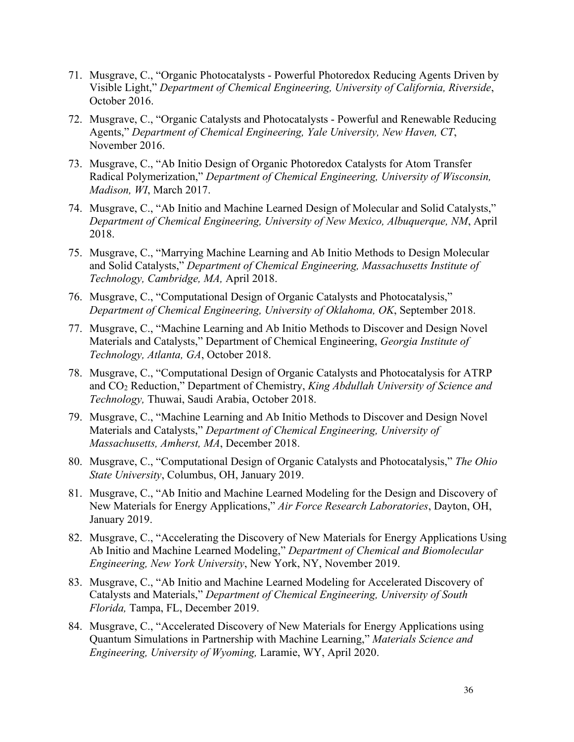- 71. Musgrave, C., "Organic Photocatalysts Powerful Photoredox Reducing Agents Driven by Visible Light," *Department of Chemical Engineering, University of California, Riverside*, October 2016.
- 72. Musgrave, C., "Organic Catalysts and Photocatalysts Powerful and Renewable Reducing Agents," *Department of Chemical Engineering, Yale University, New Haven, CT*, November 2016.
- 73. Musgrave, C., "Ab Initio Design of Organic Photoredox Catalysts for Atom Transfer Radical Polymerization," *Department of Chemical Engineering, University of Wisconsin, Madison, WI*, March 2017.
- 74. Musgrave, C., "Ab Initio and Machine Learned Design of Molecular and Solid Catalysts," *Department of Chemical Engineering, University of New Mexico, Albuquerque, NM*, April 2018.
- 75. Musgrave, C., "Marrying Machine Learning and Ab Initio Methods to Design Molecular and Solid Catalysts," *Department of Chemical Engineering, Massachusetts Institute of Technology, Cambridge, MA,* April 2018.
- 76. Musgrave, C., "Computational Design of Organic Catalysts and Photocatalysis," *Department of Chemical Engineering, University of Oklahoma, OK*, September 2018.
- 77. Musgrave, C., "Machine Learning and Ab Initio Methods to Discover and Design Novel Materials and Catalysts," Department of Chemical Engineering, *Georgia Institute of Technology, Atlanta, GA*, October 2018.
- 78. Musgrave, C., "Computational Design of Organic Catalysts and Photocatalysis for ATRP and CO2 Reduction," Department of Chemistry, *King Abdullah University of Science and Technology,* Thuwai, Saudi Arabia, October 2018.
- 79. Musgrave, C., "Machine Learning and Ab Initio Methods to Discover and Design Novel Materials and Catalysts," *Department of Chemical Engineering, University of Massachusetts, Amherst, MA*, December 2018.
- 80. Musgrave, C., "Computational Design of Organic Catalysts and Photocatalysis," *The Ohio State University*, Columbus, OH, January 2019.
- 81. Musgrave, C., "Ab Initio and Machine Learned Modeling for the Design and Discovery of New Materials for Energy Applications," *Air Force Research Laboratories*, Dayton, OH, January 2019.
- 82. Musgrave, C., "Accelerating the Discovery of New Materials for Energy Applications Using Ab Initio and Machine Learned Modeling," *Department of Chemical and Biomolecular Engineering, New York University*, New York, NY, November 2019.
- 83. Musgrave, C., "Ab Initio and Machine Learned Modeling for Accelerated Discovery of Catalysts and Materials," *Department of Chemical Engineering, University of South Florida,* Tampa, FL, December 2019.
- 84. Musgrave, C., "Accelerated Discovery of New Materials for Energy Applications using Quantum Simulations in Partnership with Machine Learning," *Materials Science and Engineering, University of Wyoming,* Laramie, WY, April 2020.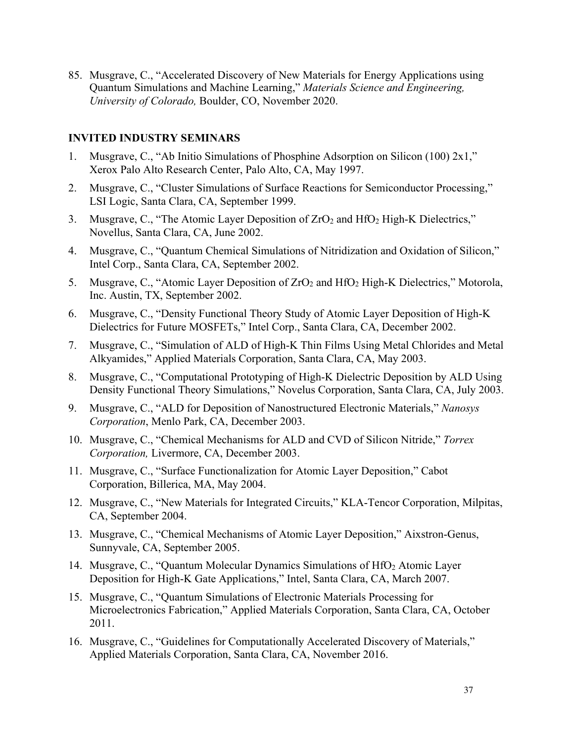85. Musgrave, C., "Accelerated Discovery of New Materials for Energy Applications using Quantum Simulations and Machine Learning," *Materials Science and Engineering, University of Colorado,* Boulder, CO, November 2020.

### **INVITED INDUSTRY SEMINARS**

- 1. Musgrave, C., "Ab Initio Simulations of Phosphine Adsorption on Silicon (100) 2x1," Xerox Palo Alto Research Center, Palo Alto, CA, May 1997.
- 2. Musgrave, C., "Cluster Simulations of Surface Reactions for Semiconductor Processing," LSI Logic, Santa Clara, CA, September 1999.
- 3. Musgrave, C., "The Atomic Layer Deposition of  $ZrO<sub>2</sub>$  and  $HfO<sub>2</sub>$  High-K Dielectrics," Novellus, Santa Clara, CA, June 2002.
- 4. Musgrave, C., "Quantum Chemical Simulations of Nitridization and Oxidation of Silicon," Intel Corp., Santa Clara, CA, September 2002.
- 5. Musgrave, C., "Atomic Layer Deposition of ZrO<sub>2</sub> and HfO<sub>2</sub> High-K Dielectrics," Motorola, Inc. Austin, TX, September 2002.
- 6. Musgrave, C., "Density Functional Theory Study of Atomic Layer Deposition of High-K Dielectrics for Future MOSFETs," Intel Corp., Santa Clara, CA, December 2002.
- 7. Musgrave, C., "Simulation of ALD of High-K Thin Films Using Metal Chlorides and Metal Alkyamides," Applied Materials Corporation, Santa Clara, CA, May 2003.
- 8. Musgrave, C., "Computational Prototyping of High-K Dielectric Deposition by ALD Using Density Functional Theory Simulations," Novelus Corporation, Santa Clara, CA, July 2003.
- 9. Musgrave, C., "ALD for Deposition of Nanostructured Electronic Materials," *Nanosys Corporation*, Menlo Park, CA, December 2003.
- 10. Musgrave, C., "Chemical Mechanisms for ALD and CVD of Silicon Nitride," *Torrex Corporation,* Livermore, CA, December 2003.
- 11. Musgrave, C., "Surface Functionalization for Atomic Layer Deposition," Cabot Corporation, Billerica, MA, May 2004.
- 12. Musgrave, C., "New Materials for Integrated Circuits," KLA-Tencor Corporation, Milpitas, CA, September 2004.
- 13. Musgrave, C., "Chemical Mechanisms of Atomic Layer Deposition," Aixstron-Genus, Sunnyvale, CA, September 2005.
- 14. Musgrave, C., "Quantum Molecular Dynamics Simulations of HfO<sub>2</sub> Atomic Layer Deposition for High-K Gate Applications," Intel, Santa Clara, CA, March 2007.
- 15. Musgrave, C., "Quantum Simulations of Electronic Materials Processing for Microelectronics Fabrication," Applied Materials Corporation, Santa Clara, CA, October 2011.
- 16. Musgrave, C., "Guidelines for Computationally Accelerated Discovery of Materials," Applied Materials Corporation, Santa Clara, CA, November 2016.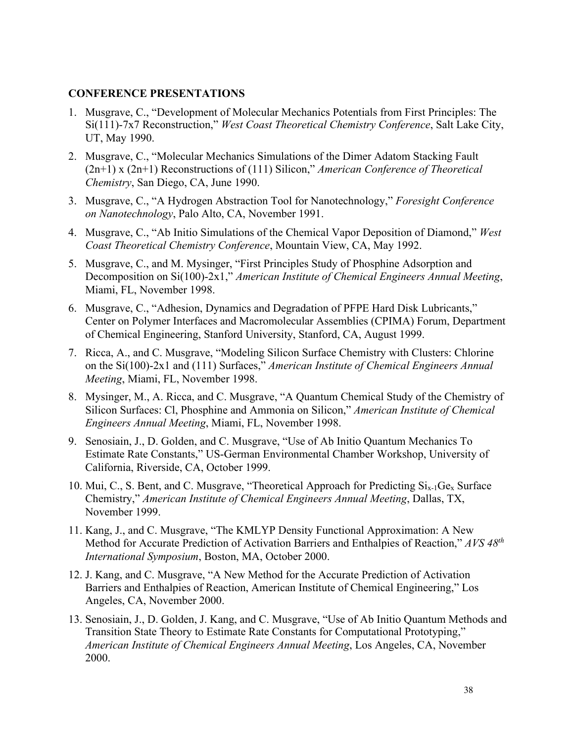### **CONFERENCE PRESENTATIONS**

- 1. Musgrave, C., "Development of Molecular Mechanics Potentials from First Principles: The Si(111)-7x7 Reconstruction," *West Coast Theoretical Chemistry Conference*, Salt Lake City, UT, May 1990.
- 2. Musgrave, C., "Molecular Mechanics Simulations of the Dimer Adatom Stacking Fault (2n+1) x (2n+1) Reconstructions of (111) Silicon," *American Conference of Theoretical Chemistry*, San Diego, CA, June 1990.
- 3. Musgrave, C., "A Hydrogen Abstraction Tool for Nanotechnology," *Foresight Conference on Nanotechnology*, Palo Alto, CA, November 1991.
- 4. Musgrave, C., "Ab Initio Simulations of the Chemical Vapor Deposition of Diamond," *West Coast Theoretical Chemistry Conference*, Mountain View, CA, May 1992.
- 5. Musgrave, C., and M. Mysinger, "First Principles Study of Phosphine Adsorption and Decomposition on Si(100)-2x1," *American Institute of Chemical Engineers Annual Meeting*, Miami, FL, November 1998.
- 6. Musgrave, C., "Adhesion, Dynamics and Degradation of PFPE Hard Disk Lubricants," Center on Polymer Interfaces and Macromolecular Assemblies (CPIMA) Forum, Department of Chemical Engineering, Stanford University, Stanford, CA, August 1999.
- 7. Ricca, A., and C. Musgrave, "Modeling Silicon Surface Chemistry with Clusters: Chlorine on the Si(100)-2x1 and (111) Surfaces," *American Institute of Chemical Engineers Annual Meeting*, Miami, FL, November 1998.
- 8. Mysinger, M., A. Ricca, and C. Musgrave, "A Quantum Chemical Study of the Chemistry of Silicon Surfaces: Cl, Phosphine and Ammonia on Silicon," *American Institute of Chemical Engineers Annual Meeting*, Miami, FL, November 1998.
- 9. Senosiain, J., D. Golden, and C. Musgrave, "Use of Ab Initio Quantum Mechanics To Estimate Rate Constants," US-German Environmental Chamber Workshop, University of California, Riverside, CA, October 1999.
- 10. Mui, C., S. Bent, and C. Musgrave, "Theoretical Approach for Predicting  $Si_{x-1}Ge_x$  Surface Chemistry," *American Institute of Chemical Engineers Annual Meeting*, Dallas, TX, November 1999.
- 11. Kang, J., and C. Musgrave, "The KMLYP Density Functional Approximation: A New Method for Accurate Prediction of Activation Barriers and Enthalpies of Reaction," *AVS 48th International Symposium*, Boston, MA, October 2000.
- 12. J. Kang, and C. Musgrave, "A New Method for the Accurate Prediction of Activation Barriers and Enthalpies of Reaction, American Institute of Chemical Engineering," Los Angeles, CA, November 2000.
- 13. Senosiain, J., D. Golden, J. Kang, and C. Musgrave, "Use of Ab Initio Quantum Methods and Transition State Theory to Estimate Rate Constants for Computational Prototyping," *American Institute of Chemical Engineers Annual Meeting*, Los Angeles, CA, November 2000.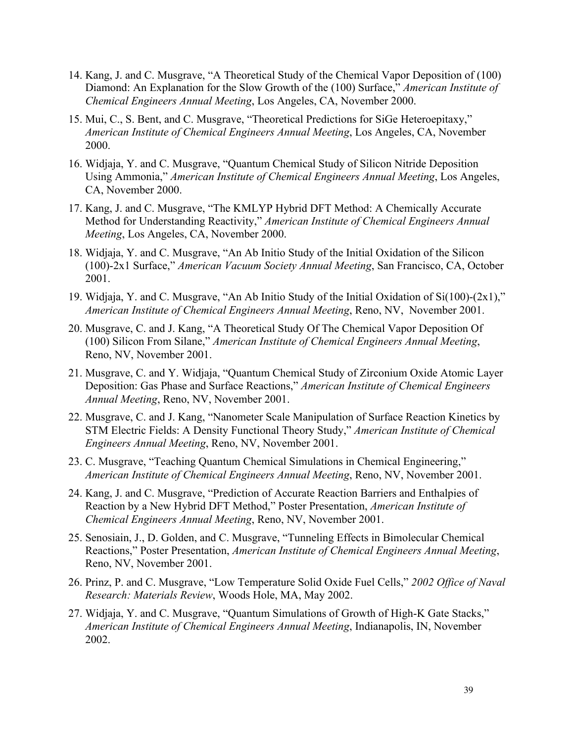- 14. Kang, J. and C. Musgrave, "A Theoretical Study of the Chemical Vapor Deposition of (100) Diamond: An Explanation for the Slow Growth of the (100) Surface," *American Institute of Chemical Engineers Annual Meeting*, Los Angeles, CA, November 2000.
- 15. Mui, C., S. Bent, and C. Musgrave, "Theoretical Predictions for SiGe Heteroepitaxy," *American Institute of Chemical Engineers Annual Meeting*, Los Angeles, CA, November 2000.
- 16. Widjaja, Y. and C. Musgrave, "Quantum Chemical Study of Silicon Nitride Deposition Using Ammonia," *American Institute of Chemical Engineers Annual Meeting*, Los Angeles, CA, November 2000.
- 17. Kang, J. and C. Musgrave, "The KMLYP Hybrid DFT Method: A Chemically Accurate Method for Understanding Reactivity," *American Institute of Chemical Engineers Annual Meeting*, Los Angeles, CA, November 2000.
- 18. Widjaja, Y. and C. Musgrave, "An Ab Initio Study of the Initial Oxidation of the Silicon (100)-2x1 Surface," *American Vacuum Society Annual Meeting*, San Francisco, CA, October 2001.
- 19. Widjaja, Y. and C. Musgrave, "An Ab Initio Study of the Initial Oxidation of Si(100)-(2x1)," *American Institute of Chemical Engineers Annual Meeting*, Reno, NV, November 2001.
- 20. Musgrave, C. and J. Kang, "A Theoretical Study Of The Chemical Vapor Deposition Of (100) Silicon From Silane," *American Institute of Chemical Engineers Annual Meeting*, Reno, NV, November 2001.
- 21. Musgrave, C. and Y. Widjaja, "Quantum Chemical Study of Zirconium Oxide Atomic Layer Deposition: Gas Phase and Surface Reactions," *American Institute of Chemical Engineers Annual Meeting*, Reno, NV, November 2001.
- 22. Musgrave, C. and J. Kang, "Nanometer Scale Manipulation of Surface Reaction Kinetics by STM Electric Fields: A Density Functional Theory Study," *American Institute of Chemical Engineers Annual Meeting*, Reno, NV, November 2001.
- 23. C. Musgrave, "Teaching Quantum Chemical Simulations in Chemical Engineering," *American Institute of Chemical Engineers Annual Meeting*, Reno, NV, November 2001.
- 24. Kang, J. and C. Musgrave, "Prediction of Accurate Reaction Barriers and Enthalpies of Reaction by a New Hybrid DFT Method," Poster Presentation, *American Institute of Chemical Engineers Annual Meeting*, Reno, NV, November 2001.
- 25. Senosiain, J., D. Golden, and C. Musgrave, "Tunneling Effects in Bimolecular Chemical Reactions," Poster Presentation, *American Institute of Chemical Engineers Annual Meeting*, Reno, NV, November 2001.
- 26. Prinz, P. and C. Musgrave, "Low Temperature Solid Oxide Fuel Cells," *2002 Office of Naval Research: Materials Review*, Woods Hole, MA, May 2002.
- 27. Widjaja, Y. and C. Musgrave, "Quantum Simulations of Growth of High-K Gate Stacks," *American Institute of Chemical Engineers Annual Meeting*, Indianapolis, IN, November 2002.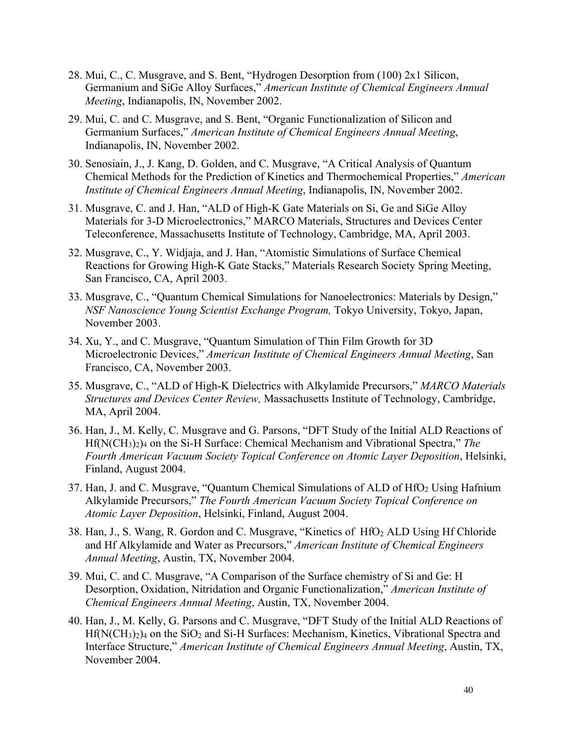- 28. Mui, C., C. Musgrave, and S. Bent, "Hydrogen Desorption from (100) 2x1 Silicon, Germanium and SiGe Alloy Surfaces," *American Institute of Chemical Engineers Annual Meeting*, Indianapolis, IN, November 2002.
- 29. Mui, C. and C. Musgrave, and S. Bent, "Organic Functionalization of Silicon and Germanium Surfaces," *American Institute of Chemical Engineers Annual Meeting*, Indianapolis, IN, November 2002.
- 30. Senosiain, J., J. Kang, D. Golden, and C. Musgrave, "A Critical Analysis of Quantum Chemical Methods for the Prediction of Kinetics and Thermochemical Properties," *American Institute of Chemical Engineers Annual Meeting*, Indianapolis, IN, November 2002.
- 31. Musgrave, C. and J. Han, "ALD of High-K Gate Materials on Si, Ge and SiGe Alloy Materials for 3-D Microelectronics," MARCO Materials, Structures and Devices Center Teleconference, Massachusetts Institute of Technology, Cambridge, MA, April 2003.
- 32. Musgrave, C., Y. Widjaja, and J. Han, "Atomistic Simulations of Surface Chemical Reactions for Growing High-K Gate Stacks," Materials Research Society Spring Meeting, San Francisco, CA, April 2003.
- 33. Musgrave, C., "Quantum Chemical Simulations for Nanoelectronics: Materials by Design," *NSF Nanoscience Young Scientist Exchange Program,* Tokyo University, Tokyo, Japan, November 2003.
- 34. Xu, Y., and C. Musgrave, "Quantum Simulation of Thin Film Growth for 3D Microelectronic Devices," *American Institute of Chemical Engineers Annual Meeting*, San Francisco, CA, November 2003.
- 35. Musgrave, C., "ALD of High-K Dielectrics with Alkylamide Precursors," *MARCO Materials Structures and Devices Center Review,* Massachusetts Institute of Technology, Cambridge, MA, April 2004.
- 36. Han, J., M. Kelly, C. Musgrave and G. Parsons, "DFT Study of the Initial ALD Reactions of Hf(N(CH3)2)4 on the Si-H Surface: Chemical Mechanism and Vibrational Spectra," *The Fourth American Vacuum Society Topical Conference on Atomic Layer Deposition*, Helsinki, Finland, August 2004.
- 37. Han, J. and C. Musgrave, "Quantum Chemical Simulations of ALD of HfO<sub>2</sub> Using Hafnium Alkylamide Precursors," *The Fourth American Vacuum Society Topical Conference on Atomic Layer Deposition*, Helsinki, Finland, August 2004.
- 38. Han, J., S. Wang, R. Gordon and C. Musgrave, "Kinetics of HfO2 ALD Using Hf Chloride and Hf Alkylamide and Water as Precursors," *American Institute of Chemical Engineers Annual Meeting*, Austin, TX, November 2004.
- 39. Mui, C. and C. Musgrave, "A Comparison of the Surface chemistry of Si and Ge: H Desorption, Oxidation, Nitridation and Organic Functionalization," *American Institute of Chemical Engineers Annual Meeting*, Austin, TX, November 2004.
- 40. Han, J., M. Kelly, G. Parsons and C. Musgrave, "DFT Study of the Initial ALD Reactions of  $Hf(N(CH_3)_2)_4$  on the SiO<sub>2</sub> and Si-H Surfaces: Mechanism, Kinetics, Vibrational Spectra and Interface Structure," *American Institute of Chemical Engineers Annual Meeting*, Austin, TX, November 2004.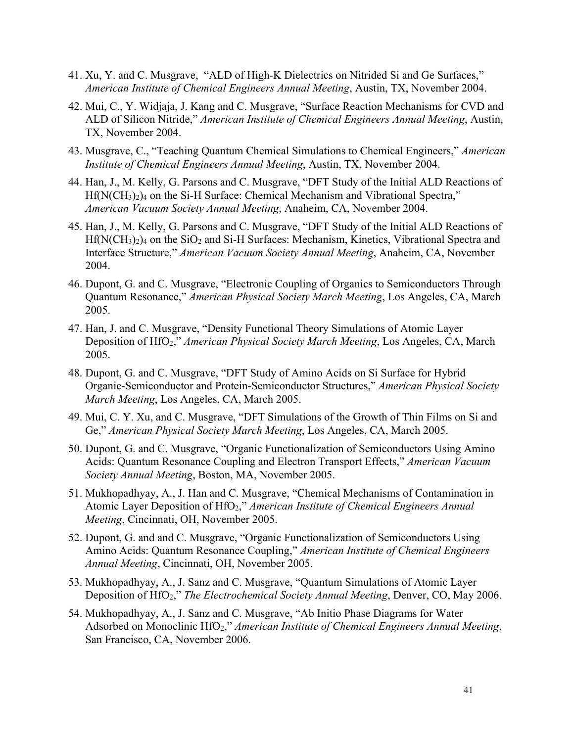- 41. Xu, Y. and C. Musgrave, "ALD of High-K Dielectrics on Nitrided Si and Ge Surfaces," *American Institute of Chemical Engineers Annual Meeting*, Austin, TX, November 2004.
- 42. Mui, C., Y. Widjaja, J. Kang and C. Musgrave, "Surface Reaction Mechanisms for CVD and ALD of Silicon Nitride," *American Institute of Chemical Engineers Annual Meeting*, Austin, TX, November 2004.
- 43. Musgrave, C., "Teaching Quantum Chemical Simulations to Chemical Engineers," *American Institute of Chemical Engineers Annual Meeting*, Austin, TX, November 2004.
- 44. Han, J., M. Kelly, G. Parsons and C. Musgrave, "DFT Study of the Initial ALD Reactions of Hf(N(CH<sub>3</sub>)<sub>2</sub>)<sub>4</sub> on the Si-H Surface: Chemical Mechanism and Vibrational Spectra," *American Vacuum Society Annual Meeting*, Anaheim, CA, November 2004.
- 45. Han, J., M. Kelly, G. Parsons and C. Musgrave, "DFT Study of the Initial ALD Reactions of  $Hf(N(CH_3)_2)_4$  on the SiO<sub>2</sub> and Si-H Surfaces: Mechanism, Kinetics, Vibrational Spectra and Interface Structure," *American Vacuum Society Annual Meeting*, Anaheim, CA, November 2004.
- 46. Dupont, G. and C. Musgrave, "Electronic Coupling of Organics to Semiconductors Through Quantum Resonance," *American Physical Society March Meeting*, Los Angeles, CA, March 2005.
- 47. Han, J. and C. Musgrave, "Density Functional Theory Simulations of Atomic Layer Deposition of HfO2," *American Physical Society March Meeting*, Los Angeles, CA, March 2005.
- 48. Dupont, G. and C. Musgrave, "DFT Study of Amino Acids on Si Surface for Hybrid Organic-Semiconductor and Protein-Semiconductor Structures," *American Physical Society March Meeting*, Los Angeles, CA, March 2005.
- 49. Mui, C. Y. Xu, and C. Musgrave, "DFT Simulations of the Growth of Thin Films on Si and Ge," *American Physical Society March Meeting*, Los Angeles, CA, March 2005.
- 50. Dupont, G. and C. Musgrave, "Organic Functionalization of Semiconductors Using Amino Acids: Quantum Resonance Coupling and Electron Transport Effects," *American Vacuum Society Annual Meeting*, Boston, MA, November 2005.
- 51. Mukhopadhyay, A., J. Han and C. Musgrave, "Chemical Mechanisms of Contamination in Atomic Layer Deposition of HfO2," *American Institute of Chemical Engineers Annual Meeting*, Cincinnati, OH, November 2005.
- 52. Dupont, G. and and C. Musgrave, "Organic Functionalization of Semiconductors Using Amino Acids: Quantum Resonance Coupling," *American Institute of Chemical Engineers Annual Meeting*, Cincinnati, OH, November 2005.
- 53. Mukhopadhyay, A., J. Sanz and C. Musgrave, "Quantum Simulations of Atomic Layer Deposition of HfO2," *The Electrochemical Society Annual Meeting*, Denver, CO, May 2006.
- 54. Mukhopadhyay, A., J. Sanz and C. Musgrave, "Ab Initio Phase Diagrams for Water Adsorbed on Monoclinic HfO2," *American Institute of Chemical Engineers Annual Meeting*, San Francisco, CA, November 2006.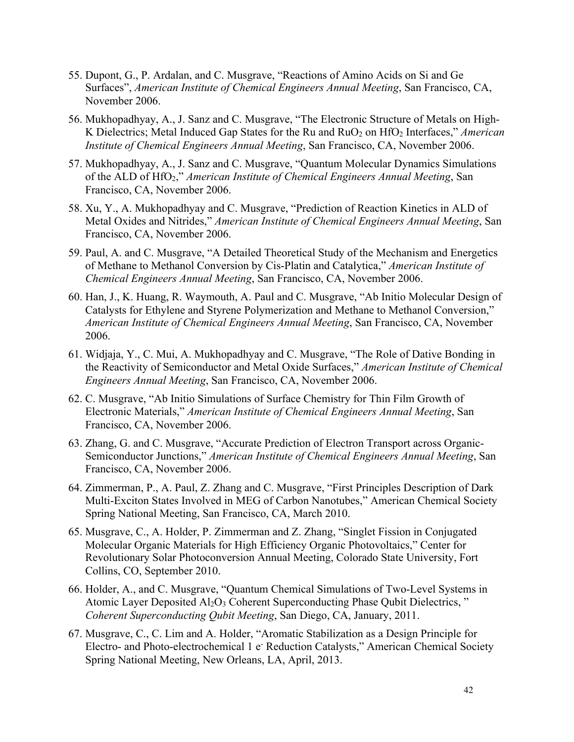- 55. Dupont, G., P. Ardalan, and C. Musgrave, "Reactions of Amino Acids on Si and Ge Surfaces", *American Institute of Chemical Engineers Annual Meeting*, San Francisco, CA, November 2006.
- 56. Mukhopadhyay, A., J. Sanz and C. Musgrave, "The Electronic Structure of Metals on High-K Dielectrics; Metal Induced Gap States for the Ru and RuO<sub>2</sub> on HfO<sub>2</sub> Interfaces," *American Institute of Chemical Engineers Annual Meeting*, San Francisco, CA, November 2006.
- 57. Mukhopadhyay, A., J. Sanz and C. Musgrave, "Quantum Molecular Dynamics Simulations of the ALD of HfO2," *American Institute of Chemical Engineers Annual Meeting*, San Francisco, CA, November 2006.
- 58. Xu, Y., A. Mukhopadhyay and C. Musgrave, "Prediction of Reaction Kinetics in ALD of Metal Oxides and Nitrides," *American Institute of Chemical Engineers Annual Meeting*, San Francisco, CA, November 2006.
- 59. Paul, A. and C. Musgrave, "A Detailed Theoretical Study of the Mechanism and Energetics of Methane to Methanol Conversion by Cis-Platin and Catalytica," *American Institute of Chemical Engineers Annual Meeting*, San Francisco, CA, November 2006.
- 60. Han, J., K. Huang, R. Waymouth, A. Paul and C. Musgrave, "Ab Initio Molecular Design of Catalysts for Ethylene and Styrene Polymerization and Methane to Methanol Conversion," *American Institute of Chemical Engineers Annual Meeting*, San Francisco, CA, November 2006.
- 61. Widjaja, Y., C. Mui, A. Mukhopadhyay and C. Musgrave, "The Role of Dative Bonding in the Reactivity of Semiconductor and Metal Oxide Surfaces," *American Institute of Chemical Engineers Annual Meeting*, San Francisco, CA, November 2006.
- 62. C. Musgrave, "Ab Initio Simulations of Surface Chemistry for Thin Film Growth of Electronic Materials," *American Institute of Chemical Engineers Annual Meeting*, San Francisco, CA, November 2006.
- 63. Zhang, G. and C. Musgrave, "Accurate Prediction of Electron Transport across Organic-Semiconductor Junctions," *American Institute of Chemical Engineers Annual Meeting*, San Francisco, CA, November 2006.
- 64. Zimmerman, P., A. Paul, Z. Zhang and C. Musgrave, "First Principles Description of Dark Multi-Exciton States Involved in MEG of Carbon Nanotubes," American Chemical Society Spring National Meeting, San Francisco, CA, March 2010.
- 65. Musgrave, C., A. Holder, P. Zimmerman and Z. Zhang, "Singlet Fission in Conjugated Molecular Organic Materials for High Efficiency Organic Photovoltaics," Center for Revolutionary Solar Photoconversion Annual Meeting, Colorado State University, Fort Collins, CO, September 2010.
- 66. Holder, A., and C. Musgrave, "Quantum Chemical Simulations of Two-Level Systems in Atomic Layer Deposited Al<sub>2</sub>O<sub>3</sub> Coherent Superconducting Phase Qubit Dielectrics," *Coherent Superconducting Qubit Meeting*, San Diego, CA, January, 2011.
- 67. Musgrave, C., C. Lim and A. Holder, "Aromatic Stabilization as a Design Principle for Electro- and Photo-electrochemical 1 e<sup>-</sup> Reduction Catalysts," American Chemical Society Spring National Meeting, New Orleans, LA, April, 2013.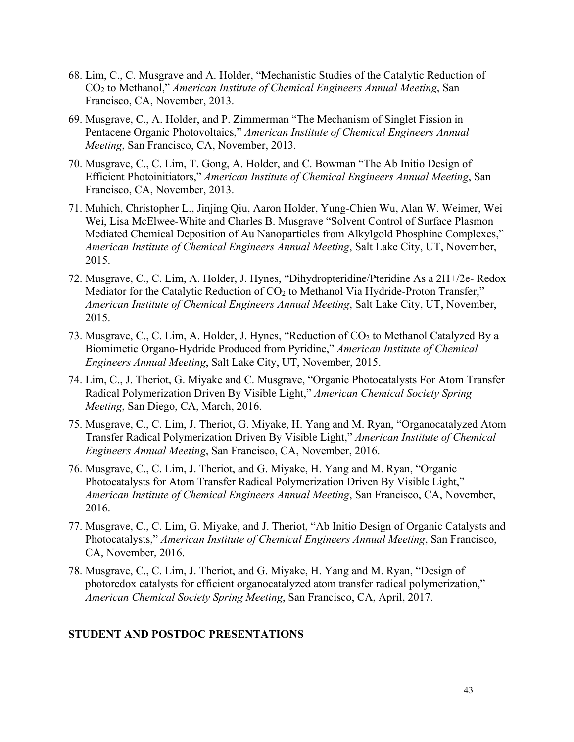- 68. Lim, C., C. Musgrave and A. Holder, "Mechanistic Studies of the Catalytic Reduction of CO2 to Methanol," *American Institute of Chemical Engineers Annual Meeting*, San Francisco, CA, November, 2013.
- 69. Musgrave, C., A. Holder, and P. Zimmerman "The Mechanism of Singlet Fission in Pentacene Organic Photovoltaics," *American Institute of Chemical Engineers Annual Meeting*, San Francisco, CA, November, 2013.
- 70. Musgrave, C., C. Lim, T. Gong, A. Holder, and C. Bowman "The Ab Initio Design of Efficient Photoinitiators," *American Institute of Chemical Engineers Annual Meeting*, San Francisco, CA, November, 2013.
- 71. Muhich, Christopher L., Jinjing Qiu, Aaron Holder, Yung-Chien Wu, Alan W. Weimer, Wei Wei, Lisa McElwee-White and Charles B. Musgrave "Solvent Control of Surface Plasmon Mediated Chemical Deposition of Au Nanoparticles from Alkylgold Phosphine Complexes," *American Institute of Chemical Engineers Annual Meeting*, Salt Lake City, UT, November, 2015.
- 72. Musgrave, C., C. Lim, A. Holder, J. Hynes, "Dihydropteridine/Pteridine As a 2H+/2e- Redox Mediator for the Catalytic Reduction of CO<sub>2</sub> to Methanol Via Hydride-Proton Transfer," *American Institute of Chemical Engineers Annual Meeting*, Salt Lake City, UT, November, 2015.
- 73. Musgrave, C., C. Lim, A. Holder, J. Hynes, "Reduction of CO<sub>2</sub> to Methanol Catalyzed By a Biomimetic Organo-Hydride Produced from Pyridine," *American Institute of Chemical Engineers Annual Meeting*, Salt Lake City, UT, November, 2015.
- 74. Lim, C., J. Theriot, G. Miyake and C. Musgrave, "Organic Photocatalysts For Atom Transfer Radical Polymerization Driven By Visible Light," *American Chemical Society Spring Meeting*, San Diego, CA, March, 2016.
- 75. Musgrave, C., C. Lim, J. Theriot, G. Miyake, H. Yang and M. Ryan, "Organocatalyzed Atom Transfer Radical Polymerization Driven By Visible Light," *American Institute of Chemical Engineers Annual Meeting*, San Francisco, CA, November, 2016.
- 76. Musgrave, C., C. Lim, J. Theriot, and G. Miyake, H. Yang and M. Ryan, "Organic Photocatalysts for Atom Transfer Radical Polymerization Driven By Visible Light," *American Institute of Chemical Engineers Annual Meeting*, San Francisco, CA, November, 2016.
- 77. Musgrave, C., C. Lim, G. Miyake, and J. Theriot, "Ab Initio Design of Organic Catalysts and Photocatalysts," *American Institute of Chemical Engineers Annual Meeting*, San Francisco, CA, November, 2016.
- 78. Musgrave, C., C. Lim, J. Theriot, and G. Miyake, H. Yang and M. Ryan, "Design of photoredox catalysts for efficient organocatalyzed atom transfer radical polymerization," *American Chemical Society Spring Meeting*, San Francisco, CA, April, 2017.

## **STUDENT AND POSTDOC PRESENTATIONS**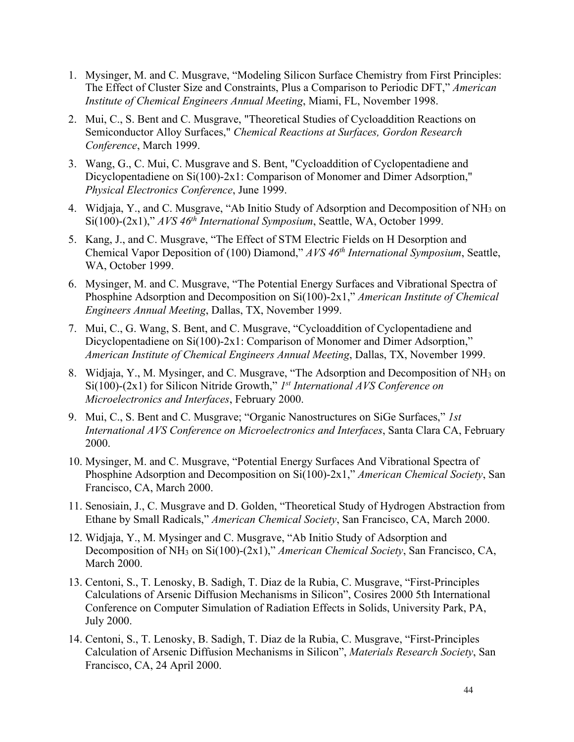- 1. Mysinger, M. and C. Musgrave, "Modeling Silicon Surface Chemistry from First Principles: The Effect of Cluster Size and Constraints, Plus a Comparison to Periodic DFT," *American Institute of Chemical Engineers Annual Meeting*, Miami, FL, November 1998.
- 2. Mui, C., S. Bent and C. Musgrave, "Theoretical Studies of Cycloaddition Reactions on Semiconductor Alloy Surfaces," *Chemical Reactions at Surfaces, Gordon Research Conference*, March 1999.
- 3. Wang, G., C. Mui, C. Musgrave and S. Bent, "Cycloaddition of Cyclopentadiene and Dicyclopentadiene on Si(100)-2x1: Comparison of Monomer and Dimer Adsorption," *Physical Electronics Conference*, June 1999.
- 4. Widjaja, Y., and C. Musgrave, "Ab Initio Study of Adsorption and Decomposition of NH3 on Si(100)-(2x1)," *AVS 46th International Symposium*, Seattle, WA, October 1999.
- 5. Kang, J., and C. Musgrave, "The Effect of STM Electric Fields on H Desorption and Chemical Vapor Deposition of (100) Diamond," *AVS 46th International Symposium*, Seattle, WA, October 1999.
- 6. Mysinger, M. and C. Musgrave, "The Potential Energy Surfaces and Vibrational Spectra of Phosphine Adsorption and Decomposition on Si(100)-2x1," *American Institute of Chemical Engineers Annual Meeting*, Dallas, TX, November 1999.
- 7. Mui, C., G. Wang, S. Bent, and C. Musgrave, "Cycloaddition of Cyclopentadiene and Dicyclopentadiene on Si(100)-2x1: Comparison of Monomer and Dimer Adsorption," *American Institute of Chemical Engineers Annual Meeting*, Dallas, TX, November 1999.
- 8. Widjaja, Y., M. Mysinger, and C. Musgrave, "The Adsorption and Decomposition of NH3 on Si(100)-(2x1) for Silicon Nitride Growth," *1st International AVS Conference on Microelectronics and Interfaces*, February 2000.
- 9. Mui, C., S. Bent and C. Musgrave; "Organic Nanostructures on SiGe Surfaces," *1st International AVS Conference on Microelectronics and Interfaces*, Santa Clara CA, February 2000.
- 10. Mysinger, M. and C. Musgrave, "Potential Energy Surfaces And Vibrational Spectra of Phosphine Adsorption and Decomposition on Si(100)-2x1," *American Chemical Society*, San Francisco, CA, March 2000.
- 11. Senosiain, J., C. Musgrave and D. Golden, "Theoretical Study of Hydrogen Abstraction from Ethane by Small Radicals," *American Chemical Society*, San Francisco, CA, March 2000.
- 12. Widjaja, Y., M. Mysinger and C. Musgrave, "Ab Initio Study of Adsorption and Decomposition of NH3 on Si(100)-(2x1)," *American Chemical Society*, San Francisco, CA, March 2000.
- 13. Centoni, S., T. Lenosky, B. Sadigh, T. Diaz de la Rubia, C. Musgrave, "First-Principles Calculations of Arsenic Diffusion Mechanisms in Silicon", Cosires 2000 5th International Conference on Computer Simulation of Radiation Effects in Solids, University Park, PA, July 2000.
- 14. Centoni, S., T. Lenosky, B. Sadigh, T. Diaz de la Rubia, C. Musgrave, "First-Principles Calculation of Arsenic Diffusion Mechanisms in Silicon", *Materials Research Society*, San Francisco, CA, 24 April 2000.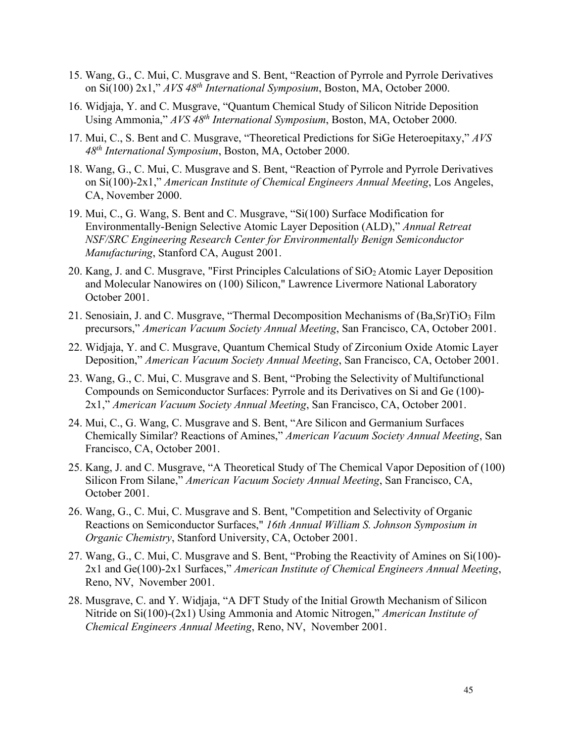- 15. Wang, G., C. Mui, C. Musgrave and S. Bent, "Reaction of Pyrrole and Pyrrole Derivatives on Si(100) 2x1," *AVS 48th International Symposium*, Boston, MA, October 2000.
- 16. Widjaja, Y. and C. Musgrave, "Quantum Chemical Study of Silicon Nitride Deposition Using Ammonia," *AVS 48th International Symposium*, Boston, MA, October 2000.
- 17. Mui, C., S. Bent and C. Musgrave, "Theoretical Predictions for SiGe Heteroepitaxy," *AVS 48th International Symposium*, Boston, MA, October 2000.
- 18. Wang, G., C. Mui, C. Musgrave and S. Bent, "Reaction of Pyrrole and Pyrrole Derivatives on Si(100)-2x1," *American Institute of Chemical Engineers Annual Meeting*, Los Angeles, CA, November 2000.
- 19. Mui, C., G. Wang, S. Bent and C. Musgrave, "Si(100) Surface Modification for Environmentally-Benign Selective Atomic Layer Deposition (ALD)," *Annual Retreat NSF/SRC Engineering Research Center for Environmentally Benign Semiconductor Manufacturing*, Stanford CA, August 2001.
- 20. Kang, J. and C. Musgrave, "First Principles Calculations of  $SiO<sub>2</sub>$  Atomic Layer Deposition and Molecular Nanowires on (100) Silicon," Lawrence Livermore National Laboratory October 2001.
- 21. Senosiain, J. and C. Musgrave, "Thermal Decomposition Mechanisms of (Ba, Sr)TiO<sub>3</sub> Film precursors," *American Vacuum Society Annual Meeting*, San Francisco, CA, October 2001.
- 22. Widjaja, Y. and C. Musgrave, Quantum Chemical Study of Zirconium Oxide Atomic Layer Deposition," *American Vacuum Society Annual Meeting*, San Francisco, CA, October 2001.
- 23. Wang, G., C. Mui, C. Musgrave and S. Bent, "Probing the Selectivity of Multifunctional Compounds on Semiconductor Surfaces: Pyrrole and its Derivatives on Si and Ge (100)- 2x1," *American Vacuum Society Annual Meeting*, San Francisco, CA, October 2001.
- 24. Mui, C., G. Wang, C. Musgrave and S. Bent, "Are Silicon and Germanium Surfaces Chemically Similar? Reactions of Amines," *American Vacuum Society Annual Meeting*, San Francisco, CA, October 2001.
- 25. Kang, J. and C. Musgrave, "A Theoretical Study of The Chemical Vapor Deposition of (100) Silicon From Silane," *American Vacuum Society Annual Meeting*, San Francisco, CA, October 2001.
- 26. Wang, G., C. Mui, C. Musgrave and S. Bent, "Competition and Selectivity of Organic Reactions on Semiconductor Surfaces," *16th Annual William S. Johnson Symposium in Organic Chemistry*, Stanford University, CA, October 2001.
- 27. Wang, G., C. Mui, C. Musgrave and S. Bent, "Probing the Reactivity of Amines on Si(100)- 2x1 and Ge(100)-2x1 Surfaces," *American Institute of Chemical Engineers Annual Meeting*, Reno, NV, November 2001.
- 28. Musgrave, C. and Y. Widjaja, "A DFT Study of the Initial Growth Mechanism of Silicon Nitride on Si(100)-(2x1) Using Ammonia and Atomic Nitrogen," *American Institute of Chemical Engineers Annual Meeting*, Reno, NV, November 2001.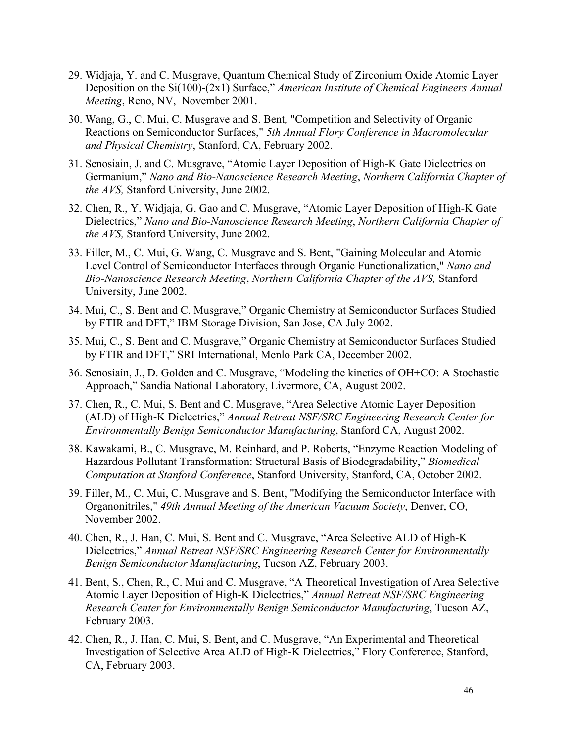- 29. Widjaja, Y. and C. Musgrave, Quantum Chemical Study of Zirconium Oxide Atomic Layer Deposition on the Si(100)-(2x1) Surface," *American Institute of Chemical Engineers Annual Meeting*, Reno, NV, November 2001.
- 30. Wang, G., C. Mui, C. Musgrave and S. Bent*,* "Competition and Selectivity of Organic Reactions on Semiconductor Surfaces," *5th Annual Flory Conference in Macromolecular and Physical Chemistry*, Stanford, CA, February 2002.
- 31. Senosiain, J. and C. Musgrave, "Atomic Layer Deposition of High-K Gate Dielectrics on Germanium," *Nano and Bio-Nanoscience Research Meeting*, *Northern California Chapter of the AVS,* Stanford University, June 2002.
- 32. Chen, R., Y. Widjaja, G. Gao and C. Musgrave, "Atomic Layer Deposition of High-K Gate Dielectrics," *Nano and Bio-Nanoscience Research Meeting*, *Northern California Chapter of the AVS,* Stanford University, June 2002.
- 33. Filler, M., C. Mui, G. Wang, C. Musgrave and S. Bent, "Gaining Molecular and Atomic Level Control of Semiconductor Interfaces through Organic Functionalization," *Nano and Bio-Nanoscience Research Meeting*, *Northern California Chapter of the AVS,* Stanford University, June 2002.
- 34. Mui, C., S. Bent and C. Musgrave," Organic Chemistry at Semiconductor Surfaces Studied by FTIR and DFT," IBM Storage Division, San Jose, CA July 2002.
- 35. Mui, C., S. Bent and C. Musgrave," Organic Chemistry at Semiconductor Surfaces Studied by FTIR and DFT," SRI International, Menlo Park CA, December 2002.
- 36. Senosiain, J., D. Golden and C. Musgrave, "Modeling the kinetics of OH+CO: A Stochastic Approach," Sandia National Laboratory, Livermore, CA, August 2002.
- 37. Chen, R., C. Mui, S. Bent and C. Musgrave, "Area Selective Atomic Layer Deposition (ALD) of High-K Dielectrics," *Annual Retreat NSF/SRC Engineering Research Center for Environmentally Benign Semiconductor Manufacturing*, Stanford CA, August 2002.
- 38. Kawakami, B., C. Musgrave, M. Reinhard, and P. Roberts, "Enzyme Reaction Modeling of Hazardous Pollutant Transformation: Structural Basis of Biodegradability," *Biomedical Computation at Stanford Conference*, Stanford University, Stanford, CA, October 2002.
- 39. Filler, M., C. Mui, C. Musgrave and S. Bent, "Modifying the Semiconductor Interface with Organonitriles," *49th Annual Meeting of the American Vacuum Society*, Denver, CO, November 2002.
- 40. Chen, R., J. Han, C. Mui, S. Bent and C. Musgrave, "Area Selective ALD of High-K Dielectrics," *Annual Retreat NSF/SRC Engineering Research Center for Environmentally Benign Semiconductor Manufacturing*, Tucson AZ, February 2003.
- 41. Bent, S., Chen, R., C. Mui and C. Musgrave, "A Theoretical Investigation of Area Selective Atomic Layer Deposition of High-K Dielectrics," *Annual Retreat NSF/SRC Engineering Research Center for Environmentally Benign Semiconductor Manufacturing*, Tucson AZ, February 2003.
- 42. Chen, R., J. Han, C. Mui, S. Bent, and C. Musgrave, "An Experimental and Theoretical Investigation of Selective Area ALD of High-K Dielectrics," Flory Conference, Stanford, CA, February 2003.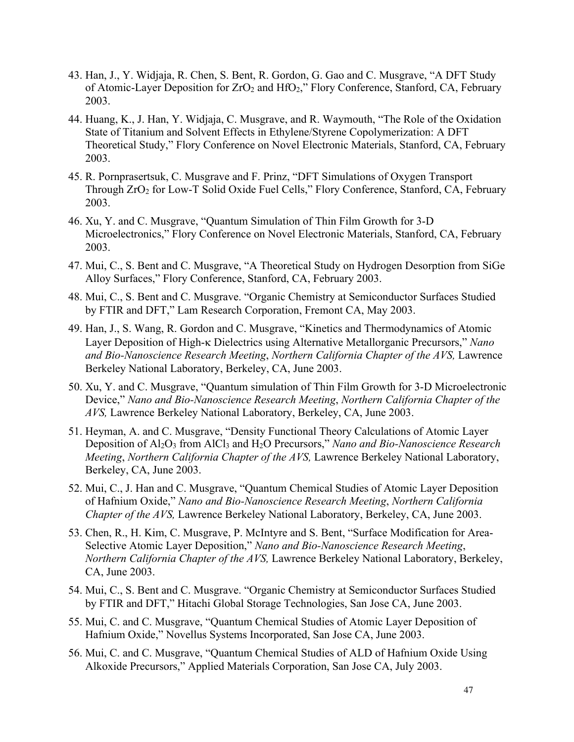- 43. Han, J., Y. Widjaja, R. Chen, S. Bent, R. Gordon, G. Gao and C. Musgrave, "A DFT Study of Atomic-Layer Deposition for  $ZrO<sub>2</sub>$  and  $HfO<sub>2</sub>$ ," Flory Conference, Stanford, CA, February 2003.
- 44. Huang, K., J. Han, Y. Widjaja, C. Musgrave, and R. Waymouth, "The Role of the Oxidation State of Titanium and Solvent Effects in Ethylene/Styrene Copolymerization: A DFT Theoretical Study," Flory Conference on Novel Electronic Materials, Stanford, CA, February 2003.
- 45. R. Pornprasertsuk, C. Musgrave and F. Prinz, "DFT Simulations of Oxygen Transport Through ZrO2 for Low-T Solid Oxide Fuel Cells," Flory Conference, Stanford, CA, February 2003.
- 46. Xu, Y. and C. Musgrave, "Quantum Simulation of Thin Film Growth for 3-D Microelectronics," Flory Conference on Novel Electronic Materials, Stanford, CA, February 2003.
- 47. Mui, C., S. Bent and C. Musgrave, "A Theoretical Study on Hydrogen Desorption from SiGe Alloy Surfaces," Flory Conference, Stanford, CA, February 2003.
- 48. Mui, C., S. Bent and C. Musgrave. "Organic Chemistry at Semiconductor Surfaces Studied by FTIR and DFT," Lam Research Corporation, Fremont CA, May 2003.
- 49. Han, J., S. Wang, R. Gordon and C. Musgrave, "Kinetics and Thermodynamics of Atomic Layer Deposition of High-k Dielectrics using Alternative Metallorganic Precursors," *Nano and Bio-Nanoscience Research Meeting*, *Northern California Chapter of the AVS,* Lawrence Berkeley National Laboratory, Berkeley, CA, June 2003.
- 50. Xu, Y. and C. Musgrave, "Quantum simulation of Thin Film Growth for 3-D Microelectronic Device," *Nano and Bio-Nanoscience Research Meeting*, *Northern California Chapter of the AVS,* Lawrence Berkeley National Laboratory, Berkeley, CA, June 2003.
- 51. Heyman, A. and C. Musgrave, "Density Functional Theory Calculations of Atomic Layer Deposition of Al<sub>2</sub>O<sub>3</sub> from AlCl<sub>3</sub> and H<sub>2</sub>O Precursors," *Nano and Bio-Nanoscience Research Meeting*, *Northern California Chapter of the AVS,* Lawrence Berkeley National Laboratory, Berkeley, CA, June 2003.
- 52. Mui, C., J. Han and C. Musgrave, "Quantum Chemical Studies of Atomic Layer Deposition of Hafnium Oxide," *Nano and Bio-Nanoscience Research Meeting*, *Northern California Chapter of the AVS,* Lawrence Berkeley National Laboratory, Berkeley, CA, June 2003.
- 53. Chen, R., H. Kim, C. Musgrave, P. McIntyre and S. Bent, "Surface Modification for Area-Selective Atomic Layer Deposition," *Nano and Bio-Nanoscience Research Meeting*, *Northern California Chapter of the AVS,* Lawrence Berkeley National Laboratory, Berkeley, CA, June 2003.
- 54. Mui, C., S. Bent and C. Musgrave. "Organic Chemistry at Semiconductor Surfaces Studied by FTIR and DFT," Hitachi Global Storage Technologies, San Jose CA, June 2003.
- 55. Mui, C. and C. Musgrave, "Quantum Chemical Studies of Atomic Layer Deposition of Hafnium Oxide," Novellus Systems Incorporated, San Jose CA, June 2003.
- 56. Mui, C. and C. Musgrave, "Quantum Chemical Studies of ALD of Hafnium Oxide Using Alkoxide Precursors," Applied Materials Corporation, San Jose CA, July 2003.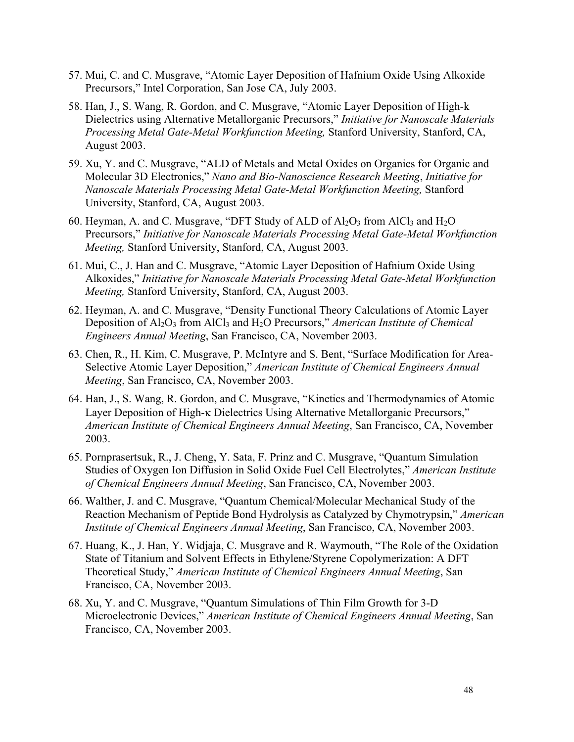- 57. Mui, C. and C. Musgrave, "Atomic Layer Deposition of Hafnium Oxide Using Alkoxide Precursors," Intel Corporation, San Jose CA, July 2003.
- 58. Han, J., S. Wang, R. Gordon, and C. Musgrave, "Atomic Layer Deposition of High-k Dielectrics using Alternative Metallorganic Precursors," *Initiative for Nanoscale Materials Processing Metal Gate-Metal Workfunction Meeting,* Stanford University, Stanford, CA, August 2003.
- 59. Xu, Y. and C. Musgrave, "ALD of Metals and Metal Oxides on Organics for Organic and Molecular 3D Electronics," *Nano and Bio-Nanoscience Research Meeting*, *Initiative for Nanoscale Materials Processing Metal Gate-Metal Workfunction Meeting,* Stanford University, Stanford, CA, August 2003.
- 60. Heyman, A. and C. Musgrave, "DFT Study of ALD of  $Al_2O_3$  from  $AlCl_3$  and  $H_2O$ Precursors," *Initiative for Nanoscale Materials Processing Metal Gate-Metal Workfunction Meeting,* Stanford University, Stanford, CA, August 2003.
- 61. Mui, C., J. Han and C. Musgrave, "Atomic Layer Deposition of Hafnium Oxide Using Alkoxides," *Initiative for Nanoscale Materials Processing Metal Gate-Metal Workfunction Meeting,* Stanford University, Stanford, CA, August 2003.
- 62. Heyman, A. and C. Musgrave, "Density Functional Theory Calculations of Atomic Layer Deposition of Al2O3 from AlCl3 and H2O Precursors," *American Institute of Chemical Engineers Annual Meeting*, San Francisco, CA, November 2003.
- 63. Chen, R., H. Kim, C. Musgrave, P. McIntyre and S. Bent, "Surface Modification for Area-Selective Atomic Layer Deposition," *American Institute of Chemical Engineers Annual Meeting*, San Francisco, CA, November 2003.
- 64. Han, J., S. Wang, R. Gordon, and C. Musgrave, "Kinetics and Thermodynamics of Atomic Layer Deposition of High-k Dielectrics Using Alternative Metallorganic Precursors," *American Institute of Chemical Engineers Annual Meeting*, San Francisco, CA, November 2003.
- 65. Pornprasertsuk, R., J. Cheng, Y. Sata, F. Prinz and C. Musgrave, "Quantum Simulation Studies of Oxygen Ion Diffusion in Solid Oxide Fuel Cell Electrolytes," *American Institute of Chemical Engineers Annual Meeting*, San Francisco, CA, November 2003.
- 66. Walther, J. and C. Musgrave, "Quantum Chemical/Molecular Mechanical Study of the Reaction Mechanism of Peptide Bond Hydrolysis as Catalyzed by Chymotrypsin," *American Institute of Chemical Engineers Annual Meeting*, San Francisco, CA, November 2003.
- 67. Huang, K., J. Han, Y. Widjaja, C. Musgrave and R. Waymouth, "The Role of the Oxidation State of Titanium and Solvent Effects in Ethylene/Styrene Copolymerization: A DFT Theoretical Study," *American Institute of Chemical Engineers Annual Meeting*, San Francisco, CA, November 2003.
- 68. Xu, Y. and C. Musgrave, "Quantum Simulations of Thin Film Growth for 3-D Microelectronic Devices," *American Institute of Chemical Engineers Annual Meeting*, San Francisco, CA, November 2003.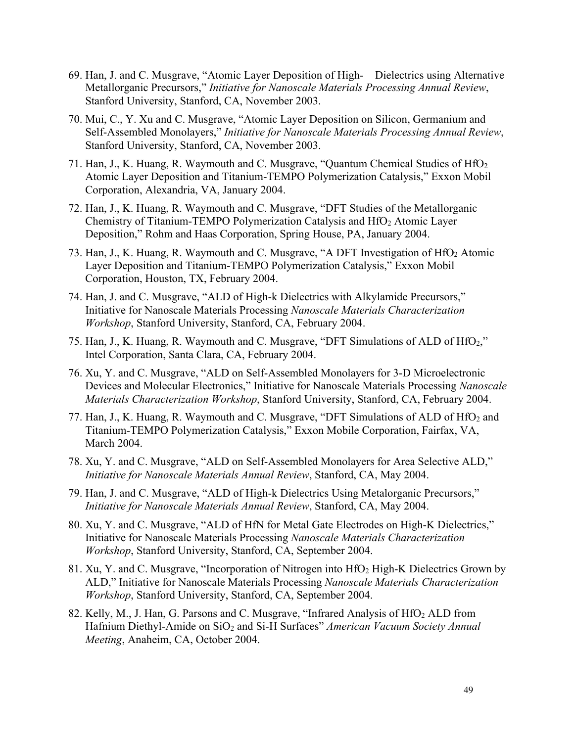- 69. Han, J. and C. Musgrave, "Atomic Layer Deposition of High- Dielectrics using Alternative Metallorganic Precursors," *Initiative for Nanoscale Materials Processing Annual Review*, Stanford University, Stanford, CA, November 2003.
- 70. Mui, C., Y. Xu and C. Musgrave, "Atomic Layer Deposition on Silicon, Germanium and Self-Assembled Monolayers," *Initiative for Nanoscale Materials Processing Annual Review*, Stanford University, Stanford, CA, November 2003.
- 71. Han, J., K. Huang, R. Waymouth and C. Musgrave, "Quantum Chemical Studies of HfO2 Atomic Layer Deposition and Titanium-TEMPO Polymerization Catalysis," Exxon Mobil Corporation, Alexandria, VA, January 2004.
- 72. Han, J., K. Huang, R. Waymouth and C. Musgrave, "DFT Studies of the Metallorganic Chemistry of Titanium-TEMPO Polymerization Catalysis and HfO2 Atomic Layer Deposition," Rohm and Haas Corporation, Spring House, PA, January 2004.
- 73. Han, J., K. Huang, R. Waymouth and C. Musgrave, "A DFT Investigation of HfO2 Atomic Layer Deposition and Titanium-TEMPO Polymerization Catalysis," Exxon Mobil Corporation, Houston, TX, February 2004.
- 74. Han, J. and C. Musgrave, "ALD of High-k Dielectrics with Alkylamide Precursors," Initiative for Nanoscale Materials Processing *Nanoscale Materials Characterization Workshop*, Stanford University, Stanford, CA, February 2004.
- 75. Han, J., K. Huang, R. Waymouth and C. Musgrave, "DFT Simulations of ALD of HfO2," Intel Corporation, Santa Clara, CA, February 2004.
- 76. Xu, Y. and C. Musgrave, "ALD on Self-Assembled Monolayers for 3-D Microelectronic Devices and Molecular Electronics," Initiative for Nanoscale Materials Processing *Nanoscale Materials Characterization Workshop*, Stanford University, Stanford, CA, February 2004.
- 77. Han, J., K. Huang, R. Waymouth and C. Musgrave, "DFT Simulations of ALD of HfO<sub>2</sub> and Titanium-TEMPO Polymerization Catalysis," Exxon Mobile Corporation, Fairfax, VA, March 2004.
- 78. Xu, Y. and C. Musgrave, "ALD on Self-Assembled Monolayers for Area Selective ALD," *Initiative for Nanoscale Materials Annual Review*, Stanford, CA, May 2004.
- 79. Han, J. and C. Musgrave, "ALD of High-k Dielectrics Using Metalorganic Precursors," *Initiative for Nanoscale Materials Annual Review*, Stanford, CA, May 2004.
- 80. Xu, Y. and C. Musgrave, "ALD of HfN for Metal Gate Electrodes on High-K Dielectrics," Initiative for Nanoscale Materials Processing *Nanoscale Materials Characterization Workshop*, Stanford University, Stanford, CA, September 2004.
- 81. Xu, Y. and C. Musgrave, "Incorporation of Nitrogen into HfO2 High-K Dielectrics Grown by ALD," Initiative for Nanoscale Materials Processing *Nanoscale Materials Characterization Workshop*, Stanford University, Stanford, CA, September 2004.
- 82. Kelly, M., J. Han, G. Parsons and C. Musgrave, "Infrared Analysis of HfO<sub>2</sub> ALD from Hafnium Diethyl-Amide on SiO<sub>2</sub> and Si-H Surfaces" *American Vacuum Society Annual Meeting*, Anaheim, CA, October 2004.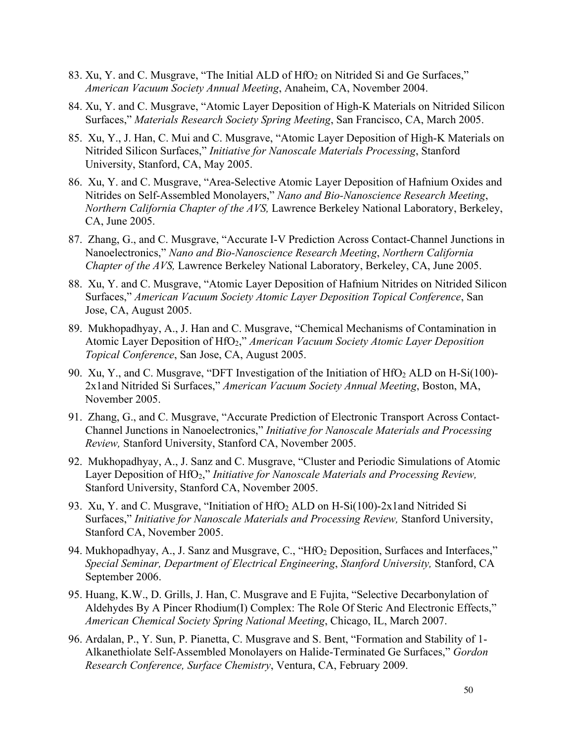- 83. Xu, Y. and C. Musgrave, "The Initial ALD of HfO<sub>2</sub> on Nitrided Si and Ge Surfaces," *American Vacuum Society Annual Meeting*, Anaheim, CA, November 2004.
- 84. Xu, Y. and C. Musgrave, "Atomic Layer Deposition of High-K Materials on Nitrided Silicon Surfaces," *Materials Research Society Spring Meeting*, San Francisco, CA, March 2005.
- 85. Xu, Y., J. Han, C. Mui and C. Musgrave, "Atomic Layer Deposition of High-K Materials on Nitrided Silicon Surfaces," *Initiative for Nanoscale Materials Processing*, Stanford University, Stanford, CA, May 2005.
- 86. Xu, Y. and C. Musgrave, "Area-Selective Atomic Layer Deposition of Hafnium Oxides and Nitrides on Self-Assembled Monolayers," *Nano and Bio-Nanoscience Research Meeting*, *Northern California Chapter of the AVS,* Lawrence Berkeley National Laboratory, Berkeley, CA, June 2005.
- 87. Zhang, G., and C. Musgrave, "Accurate I-V Prediction Across Contact-Channel Junctions in Nanoelectronics," *Nano and Bio-Nanoscience Research Meeting*, *Northern California Chapter of the AVS,* Lawrence Berkeley National Laboratory, Berkeley, CA, June 2005.
- 88. Xu, Y. and C. Musgrave, "Atomic Layer Deposition of Hafnium Nitrides on Nitrided Silicon Surfaces," *American Vacuum Society Atomic Layer Deposition Topical Conference*, San Jose, CA, August 2005.
- 89. Mukhopadhyay, A., J. Han and C. Musgrave, "Chemical Mechanisms of Contamination in Atomic Layer Deposition of HfO2," *American Vacuum Society Atomic Layer Deposition Topical Conference*, San Jose, CA, August 2005.
- 90. Xu, Y., and C. Musgrave, "DFT Investigation of the Initiation of  $HfO<sub>2</sub> ALD$  on  $H-Si(100)$ -2x1and Nitrided Si Surfaces," *American Vacuum Society Annual Meeting*, Boston, MA, November 2005.
- 91. Zhang, G., and C. Musgrave, "Accurate Prediction of Electronic Transport Across Contact-Channel Junctions in Nanoelectronics," *Initiative for Nanoscale Materials and Processing Review,* Stanford University, Stanford CA, November 2005.
- 92. Mukhopadhyay, A., J. Sanz and C. Musgrave, "Cluster and Periodic Simulations of Atomic Layer Deposition of HfO2," *Initiative for Nanoscale Materials and Processing Review,* Stanford University, Stanford CA, November 2005.
- 93. Xu, Y. and C. Musgrave, "Initiation of HfO2 ALD on H-Si(100)-2x1and Nitrided Si Surfaces," *Initiative for Nanoscale Materials and Processing Review,* Stanford University, Stanford CA, November 2005.
- 94. Mukhopadhyay, A., J. Sanz and Musgrave, C., "HfO<sub>2</sub> Deposition, Surfaces and Interfaces," *Special Seminar, Department of Electrical Engineering*, *Stanford University,* Stanford, CA September 2006.
- 95. Huang, K.W., D. Grills, J. Han, C. Musgrave and E Fujita, "Selective Decarbonylation of Aldehydes By A Pincer Rhodium(I) Complex: The Role Of Steric And Electronic Effects," *American Chemical Society Spring National Meeting*, Chicago, IL, March 2007.
- 96. Ardalan, P., Y. Sun, P. Pianetta, C. Musgrave and S. Bent, "Formation and Stability of 1- Alkanethiolate Self-Assembled Monolayers on Halide-Terminated Ge Surfaces," *Gordon Research Conference, Surface Chemistry*, Ventura, CA, February 2009.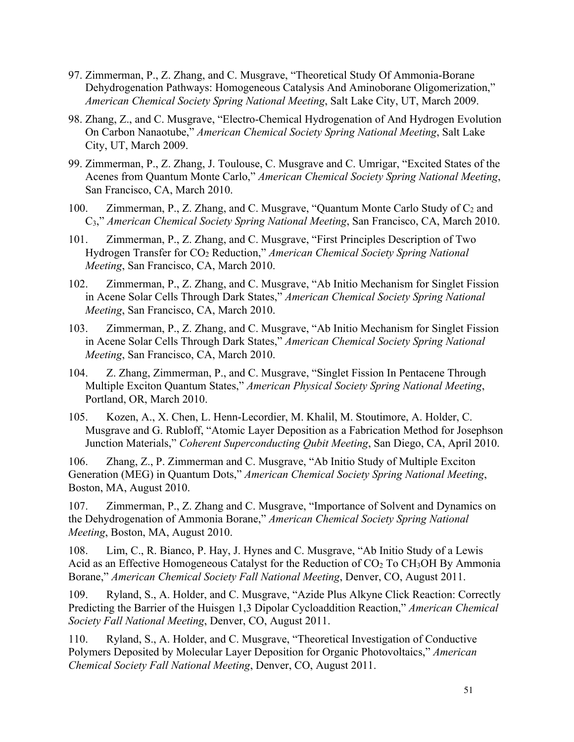- 97. Zimmerman, P., Z. Zhang, and C. Musgrave, "Theoretical Study Of Ammonia-Borane Dehydrogenation Pathways: Homogeneous Catalysis And Aminoborane Oligomerization," *American Chemical Society Spring National Meeting*, Salt Lake City, UT, March 2009.
- 98. Zhang, Z., and C. Musgrave, "Electro-Chemical Hydrogenation of And Hydrogen Evolution On Carbon Nanaotube," *American Chemical Society Spring National Meeting*, Salt Lake City, UT, March 2009.
- 99. Zimmerman, P., Z. Zhang, J. Toulouse, C. Musgrave and C. Umrigar, "Excited States of the Acenes from Quantum Monte Carlo," *American Chemical Society Spring National Meeting*, San Francisco, CA, March 2010.
- 100. Zimmerman, P., Z. Zhang, and C. Musgrave, "Quantum Monte Carlo Study of  $C_2$  and C3," *American Chemical Society Spring National Meeting*, San Francisco, CA, March 2010.
- 101. Zimmerman, P., Z. Zhang, and C. Musgrave, "First Principles Description of Two Hydrogen Transfer for CO2 Reduction," *American Chemical Society Spring National Meeting*, San Francisco, CA, March 2010.
- 102. Zimmerman, P., Z. Zhang, and C. Musgrave, "Ab Initio Mechanism for Singlet Fission in Acene Solar Cells Through Dark States," *American Chemical Society Spring National Meeting*, San Francisco, CA, March 2010.
- 103. Zimmerman, P., Z. Zhang, and C. Musgrave, "Ab Initio Mechanism for Singlet Fission in Acene Solar Cells Through Dark States," *American Chemical Society Spring National Meeting*, San Francisco, CA, March 2010.
- 104. Z. Zhang, Zimmerman, P., and C. Musgrave, "Singlet Fission In Pentacene Through Multiple Exciton Quantum States," *American Physical Society Spring National Meeting*, Portland, OR, March 2010.
- 105. Kozen, A., X. Chen, L. Henn-Lecordier, M. Khalil, M. Stoutimore, A. Holder, C. Musgrave and G. Rubloff, "Atomic Layer Deposition as a Fabrication Method for Josephson Junction Materials," *Coherent Superconducting Qubit Meeting*, San Diego, CA, April 2010.

106. Zhang, Z., P. Zimmerman and C. Musgrave, "Ab Initio Study of Multiple Exciton Generation (MEG) in Quantum Dots," *American Chemical Society Spring National Meeting*, Boston, MA, August 2010.

107. Zimmerman, P., Z. Zhang and C. Musgrave, "Importance of Solvent and Dynamics on the Dehydrogenation of Ammonia Borane," *American Chemical Society Spring National Meeting*, Boston, MA, August 2010.

108. Lim, C., R. Bianco, P. Hay, J. Hynes and C. Musgrave, "Ab Initio Study of a Lewis Acid as an Effective Homogeneous Catalyst for the Reduction of  $CO<sub>2</sub>$  To CH<sub>3</sub>OH By Ammonia Borane," *American Chemical Society Fall National Meeting*, Denver, CO, August 2011.

109. Ryland, S., A. Holder, and C. Musgrave, "Azide Plus Alkyne Click Reaction: Correctly Predicting the Barrier of the Huisgen 1,3 Dipolar Cycloaddition Reaction," *American Chemical Society Fall National Meeting*, Denver, CO, August 2011.

110. Ryland, S., A. Holder, and C. Musgrave, "Theoretical Investigation of Conductive Polymers Deposited by Molecular Layer Deposition for Organic Photovoltaics," *American Chemical Society Fall National Meeting*, Denver, CO, August 2011.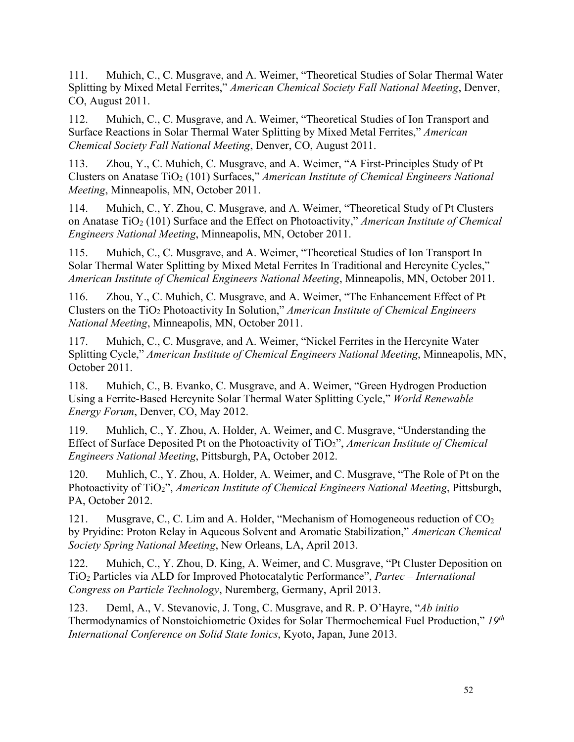111. Muhich, C., C. Musgrave, and A. Weimer, "Theoretical Studies of Solar Thermal Water Splitting by Mixed Metal Ferrites," *American Chemical Society Fall National Meeting*, Denver, CO, August 2011.

112. Muhich, C., C. Musgrave, and A. Weimer, "Theoretical Studies of Ion Transport and Surface Reactions in Solar Thermal Water Splitting by Mixed Metal Ferrites," *American Chemical Society Fall National Meeting*, Denver, CO, August 2011.

113. Zhou, Y., C. Muhich, C. Musgrave, and A. Weimer, "A First-Principles Study of Pt Clusters on Anatase TiO2 (101) Surfaces," *American Institute of Chemical Engineers National Meeting*, Minneapolis, MN, October 2011.

114. Muhich, C., Y. Zhou, C. Musgrave, and A. Weimer, "Theoretical Study of Pt Clusters on Anatase TiO<sub>2</sub> (101) Surface and the Effect on Photoactivity," *American Institute of Chemical Engineers National Meeting*, Minneapolis, MN, October 2011.

115. Muhich, C., C. Musgrave, and A. Weimer, "Theoretical Studies of Ion Transport In Solar Thermal Water Splitting by Mixed Metal Ferrites In Traditional and Hercynite Cycles," *American Institute of Chemical Engineers National Meeting*, Minneapolis, MN, October 2011.

116. Zhou, Y., C. Muhich, C. Musgrave, and A. Weimer, "The Enhancement Effect of Pt Clusters on the TiO2 Photoactivity In Solution," *American Institute of Chemical Engineers National Meeting*, Minneapolis, MN, October 2011.

117. Muhich, C., C. Musgrave, and A. Weimer, "Nickel Ferrites in the Hercynite Water Splitting Cycle," *American Institute of Chemical Engineers National Meeting*, Minneapolis, MN, October 2011.

118. Muhich, C., B. Evanko, C. Musgrave, and A. Weimer, "Green Hydrogen Production Using a Ferrite-Based Hercynite Solar Thermal Water Splitting Cycle," *World Renewable Energy Forum*, Denver, CO, May 2012.

119. Muhlich, C., Y. Zhou, A. Holder, A. Weimer, and C. Musgrave, "Understanding the Effect of Surface Deposited Pt on the Photoactivity of TiO2", *American Institute of Chemical Engineers National Meeting*, Pittsburgh, PA, October 2012.

120. Muhlich, C., Y. Zhou, A. Holder, A. Weimer, and C. Musgrave, "The Role of Pt on the Photoactivity of TiO2", *American Institute of Chemical Engineers National Meeting*, Pittsburgh, PA, October 2012.

121. Musgrave, C., C. Lim and A. Holder, "Mechanism of Homogeneous reduction of CO<sub>2</sub> by Pryidine: Proton Relay in Aqueous Solvent and Aromatic Stabilization," *American Chemical Society Spring National Meeting*, New Orleans, LA, April 2013.

122. Muhich, C., Y. Zhou, D. King, A. Weimer, and C. Musgrave, "Pt Cluster Deposition on TiO2 Particles via ALD for Improved Photocatalytic Performance", *Partec – International Congress on Particle Technology*, Nuremberg, Germany, April 2013.

123. Deml, A., V. Stevanovic, J. Tong, C. Musgrave, and R. P. O'Hayre, "*Ab initio* Thermodynamics of Nonstoichiometric Oxides for Solar Thermochemical Fuel Production," *19th International Conference on Solid State Ionics*, Kyoto, Japan, June 2013.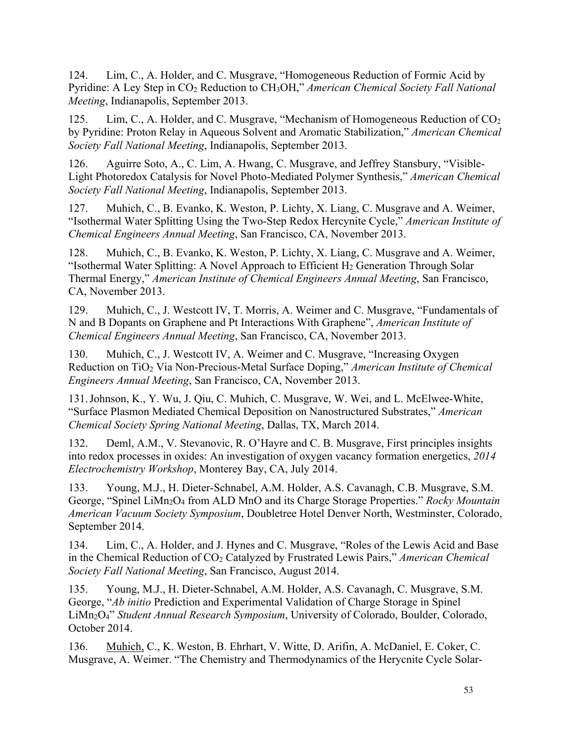124. Lim, C., A. Holder, and C. Musgrave, "Homogeneous Reduction of Formic Acid by Pyridine: A Ley Step in CO2 Reduction to CH3OH," *American Chemical Society Fall National Meeting*, Indianapolis, September 2013.

125. Lim, C., A. Holder, and C. Musgrave, "Mechanism of Homogeneous Reduction of  $CO<sub>2</sub>$ by Pyridine: Proton Relay in Aqueous Solvent and Aromatic Stabilization," *American Chemical Society Fall National Meeting*, Indianapolis, September 2013.

126. Aguirre Soto, A., C. Lim, A. Hwang, C. Musgrave, and Jeffrey Stansbury, "Visible-Light Photoredox Catalysis for Novel Photo-Mediated Polymer Synthesis," *American Chemical Society Fall National Meeting*, Indianapolis, September 2013.

127. Muhich, C., B. Evanko, K. Weston, P. Lichty, X. Liang, C. Musgrave and A. Weimer, "Isothermal Water Splitting Using the Two-Step Redox Hercynite Cycle," *American Institute of Chemical Engineers Annual Meeting*, San Francisco, CA, November 2013.

128. Muhich, C., B. Evanko, K. Weston, P. Lichty, X. Liang, C. Musgrave and A. Weimer, "Isothermal Water Splitting: A Novel Approach to Efficient  $H_2$  Generation Through Solar Thermal Energy," *American Institute of Chemical Engineers Annual Meeting*, San Francisco, CA, November 2013.

129. Muhich, C., J. Westcott IV, T. Morris, A. Weimer and C. Musgrave, "Fundamentals of N and B Dopants on Graphene and Pt Interactions With Graphene", *American Institute of Chemical Engineers Annual Meeting*, San Francisco, CA, November 2013.

130. Muhich, C., J. Westcott IV, A. Weimer and C. Musgrave, "Increasing Oxygen Reduction on TiO2 Via Non-Precious-Metal Surface Doping," *American Institute of Chemical Engineers Annual Meeting*, San Francisco, CA, November 2013.

131.Johnson, K., Y. Wu, J. Qiu, C. Muhich, C. Musgrave, W. Wei, and L. McElwee-White, "Surface Plasmon Mediated Chemical Deposition on Nanostructured Substrates," *American Chemical Society Spring National Meeting*, Dallas, TX, March 2014.

132. Deml, A.M., V. Stevanovic, R. O'Hayre and C. B. Musgrave, First principles insights into redox processes in oxides: An investigation of oxygen vacancy formation energetics, *2014 Electrochemistry Workshop*, Monterey Bay, CA, July 2014.

133. Young, M.J., H. Dieter-Schnabel, A.M. Holder, A.S. Cavanagh, C.B. Musgrave, S.M. George, "Spinel LiMn2O4 from ALD MnO and its Charge Storage Properties." *Rocky Mountain American Vacuum Society Symposium*, Doubletree Hotel Denver North, Westminster, Colorado, September 2014.

134. Lim, C., A. Holder, and J. Hynes and C. Musgrave, "Roles of the Lewis Acid and Base in the Chemical Reduction of CO<sub>2</sub> Catalyzed by Frustrated Lewis Pairs," *American Chemical Society Fall National Meeting*, San Francisco, August 2014.

135. Young, M.J., H. Dieter-Schnabel, A.M. Holder, A.S. Cavanagh, C. Musgrave, S.M. George, "*Ab initio* Prediction and Experimental Validation of Charge Storage in Spinel LiMn2O4" *Student Annual Research Symposium*, University of Colorado, Boulder, Colorado, October 2014.

136. Muhich, C., K. Weston, B. Ehrhart, V. Witte, D. Arifin, A. McDaniel, E. Coker, C. Musgrave, A. Weimer. "The Chemistry and Thermodynamics of the Herycnite Cycle Solar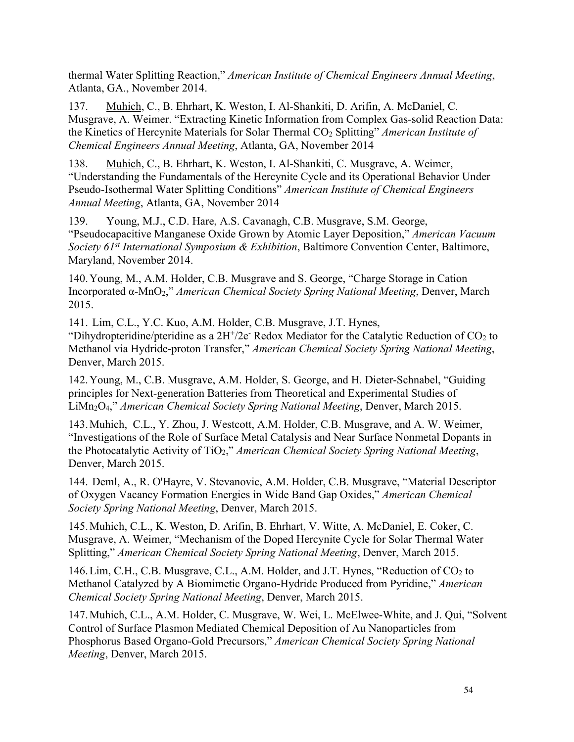thermal Water Splitting Reaction," *American Institute of Chemical Engineers Annual Meeting*, Atlanta, GA., November 2014.

137. Muhich, C., B. Ehrhart, K. Weston, I. Al-Shankiti, D. Arifin, A. McDaniel, C. Musgrave, A. Weimer. "Extracting Kinetic Information from Complex Gas-solid Reaction Data: the Kinetics of Hercynite Materials for Solar Thermal CO2 Splitting" *American Institute of Chemical Engineers Annual Meeting*, Atlanta, GA, November 2014

138. Muhich, C., B. Ehrhart, K. Weston, I. Al-Shankiti, C. Musgrave, A. Weimer, "Understanding the Fundamentals of the Hercynite Cycle and its Operational Behavior Under Pseudo-Isothermal Water Splitting Conditions" *American Institute of Chemical Engineers Annual Meeting*, Atlanta, GA, November 2014

139. Young, M.J., C.D. Hare, A.S. Cavanagh, C.B. Musgrave, S.M. George, "Pseudocapacitive Manganese Oxide Grown by Atomic Layer Deposition," *American Vacuum Society 61st International Symposium & Exhibition*, Baltimore Convention Center, Baltimore, Maryland, November 2014.

140.Young, M., A.M. Holder, C.B. Musgrave and S. George, "Charge Storage in Cation Incorporated α-MnO2," *American Chemical Society Spring National Meeting*, Denver, March 2015.

141. Lim, C.L., Y.C. Kuo, A.M. Holder, C.B. Musgrave, J.T. Hynes, "Dihydropteridine/pteridine as a  $2H^2/2e^-$  Redox Mediator for the Catalytic Reduction of CO<sub>2</sub> to Methanol via Hydride-proton Transfer," *American Chemical Society Spring National Meeting*, Denver, March 2015.

142.Young, M., C.B. Musgrave, A.M. Holder, S. George, and H. Dieter-Schnabel, "Guiding principles for Next-generation Batteries from Theoretical and Experimental Studies of LiMn2O4," *American Chemical Society Spring National Meeting*, Denver, March 2015.

143.Muhich, C.L., Y. Zhou, J. Westcott, A.M. Holder, C.B. Musgrave, and A. W. Weimer, "Investigations of the Role of Surface Metal Catalysis and Near Surface Nonmetal Dopants in the Photocatalytic Activity of TiO2," *American Chemical Society Spring National Meeting*, Denver, March 2015.

144. Deml, A., R. O'Hayre, V. Stevanovic, A.M. Holder, C.B. Musgrave, "Material Descriptor of Oxygen Vacancy Formation Energies in Wide Band Gap Oxides," *American Chemical Society Spring National Meeting*, Denver, March 2015.

145.Muhich, C.L., K. Weston, D. Arifin, B. Ehrhart, V. Witte, A. McDaniel, E. Coker, C. Musgrave, A. Weimer, "Mechanism of the Doped Hercynite Cycle for Solar Thermal Water Splitting," *American Chemical Society Spring National Meeting*, Denver, March 2015.

146. Lim, C.H., C.B. Musgrave, C.L., A.M. Holder, and J.T. Hynes, "Reduction of CO<sub>2</sub> to Methanol Catalyzed by A Biomimetic Organo-Hydride Produced from Pyridine," *American Chemical Society Spring National Meeting*, Denver, March 2015.

147.Muhich, C.L., A.M. Holder, C. Musgrave, W. Wei, L. McElwee-White, and J. Qui, "Solvent Control of Surface Plasmon Mediated Chemical Deposition of Au Nanoparticles from Phosphorus Based Organo-Gold Precursors," *American Chemical Society Spring National Meeting*, Denver, March 2015.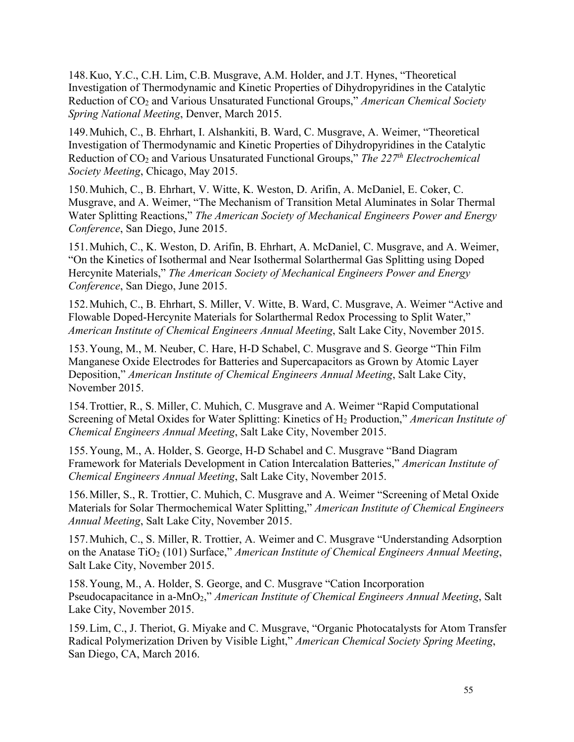148.Kuo, Y.C., C.H. Lim, C.B. Musgrave, A.M. Holder, and J.T. Hynes, "Theoretical Investigation of Thermodynamic and Kinetic Properties of Dihydropyridines in the Catalytic Reduction of CO2 and Various Unsaturated Functional Groups," *American Chemical Society Spring National Meeting*, Denver, March 2015.

149.Muhich, C., B. Ehrhart, I. Alshankiti, B. Ward, C. Musgrave, A. Weimer, "Theoretical Investigation of Thermodynamic and Kinetic Properties of Dihydropyridines in the Catalytic Reduction of CO2 and Various Unsaturated Functional Groups," *The 227th Electrochemical Society Meeting*, Chicago, May 2015.

150.Muhich, C., B. Ehrhart, V. Witte, K. Weston, D. Arifin, A. McDaniel, E. Coker, C. Musgrave, and A. Weimer, "The Mechanism of Transition Metal Aluminates in Solar Thermal Water Splitting Reactions," *The American Society of Mechanical Engineers Power and Energy Conference*, San Diego, June 2015.

151.Muhich, C., K. Weston, D. Arifin, B. Ehrhart, A. McDaniel, C. Musgrave, and A. Weimer, "On the Kinetics of Isothermal and Near Isothermal Solarthermal Gas Splitting using Doped Hercynite Materials," *The American Society of Mechanical Engineers Power and Energy Conference*, San Diego, June 2015.

152.Muhich, C., B. Ehrhart, S. Miller, V. Witte, B. Ward, C. Musgrave, A. Weimer "Active and Flowable Doped-Hercynite Materials for Solarthermal Redox Processing to Split Water," *American Institute of Chemical Engineers Annual Meeting*, Salt Lake City, November 2015.

153.Young, M., M. Neuber, C. Hare, H-D Schabel, C. Musgrave and S. George "Thin Film Manganese Oxide Electrodes for Batteries and Supercapacitors as Grown by Atomic Layer Deposition," *American Institute of Chemical Engineers Annual Meeting*, Salt Lake City, November 2015.

154.Trottier, R., S. Miller, C. Muhich, C. Musgrave and A. Weimer "Rapid Computational Screening of Metal Oxides for Water Splitting: Kinetics of H2 Production," *American Institute of Chemical Engineers Annual Meeting*, Salt Lake City, November 2015.

155.Young, M., A. Holder, S. George, H-D Schabel and C. Musgrave "Band Diagram Framework for Materials Development in Cation Intercalation Batteries," *American Institute of Chemical Engineers Annual Meeting*, Salt Lake City, November 2015.

156.Miller, S., R. Trottier, C. Muhich, C. Musgrave and A. Weimer "Screening of Metal Oxide Materials for Solar Thermochemical Water Splitting," *American Institute of Chemical Engineers Annual Meeting*, Salt Lake City, November 2015.

157.Muhich, C., S. Miller, R. Trottier, A. Weimer and C. Musgrave "Understanding Adsorption on the Anatase TiO<sub>2</sub> (101) Surface," *American Institute of Chemical Engineers Annual Meeting*, Salt Lake City, November 2015.

158.Young, M., A. Holder, S. George, and C. Musgrave "Cation Incorporation Pseudocapacitance in a-MnO2," *American Institute of Chemical Engineers Annual Meeting*, Salt Lake City, November 2015.

159.Lim, C., J. Theriot, G. Miyake and C. Musgrave, "Organic Photocatalysts for Atom Transfer Radical Polymerization Driven by Visible Light," *American Chemical Society Spring Meeting*, San Diego, CA, March 2016.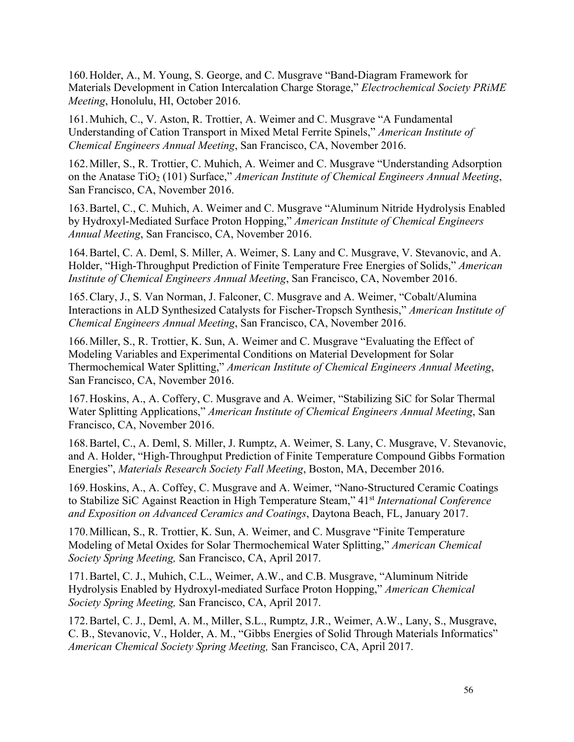160.Holder, A., M. Young, S. George, and C. Musgrave "Band-Diagram Framework for Materials Development in Cation Intercalation Charge Storage," *Electrochemical Society PRiME Meeting*, Honolulu, HI, October 2016.

161.Muhich, C., V. Aston, R. Trottier, A. Weimer and C. Musgrave "A Fundamental Understanding of Cation Transport in Mixed Metal Ferrite Spinels," *American Institute of Chemical Engineers Annual Meeting*, San Francisco, CA, November 2016.

162.Miller, S., R. Trottier, C. Muhich, A. Weimer and C. Musgrave "Understanding Adsorption on the Anatase TiO<sub>2</sub> (101) Surface," *American Institute of Chemical Engineers Annual Meeting*, San Francisco, CA, November 2016.

163.Bartel, C., C. Muhich, A. Weimer and C. Musgrave "Aluminum Nitride Hydrolysis Enabled by Hydroxyl-Mediated Surface Proton Hopping," *American Institute of Chemical Engineers Annual Meeting*, San Francisco, CA, November 2016.

164.Bartel, C. A. Deml, S. Miller, A. Weimer, S. Lany and C. Musgrave, V. Stevanovic, and A. Holder, "High-Throughput Prediction of Finite Temperature Free Energies of Solids," *American Institute of Chemical Engineers Annual Meeting*, San Francisco, CA, November 2016.

165.Clary, J., S. Van Norman, J. Falconer, C. Musgrave and A. Weimer, "Cobalt/Alumina Interactions in ALD Synthesized Catalysts for Fischer-Tropsch Synthesis," *American Institute of Chemical Engineers Annual Meeting*, San Francisco, CA, November 2016.

166.Miller, S., R. Trottier, K. Sun, A. Weimer and C. Musgrave "Evaluating the Effect of Modeling Variables and Experimental Conditions on Material Development for Solar Thermochemical Water Splitting," *American Institute of Chemical Engineers Annual Meeting*, San Francisco, CA, November 2016.

167.Hoskins, A., A. Coffery, C. Musgrave and A. Weimer, "Stabilizing SiC for Solar Thermal Water Splitting Applications," *American Institute of Chemical Engineers Annual Meeting*, San Francisco, CA, November 2016.

168.Bartel, C., A. Deml, S. Miller, J. Rumptz, A. Weimer, S. Lany, C. Musgrave, V. Stevanovic, and A. Holder, "High-Throughput Prediction of Finite Temperature Compound Gibbs Formation Energies", *Materials Research Society Fall Meeting*, Boston, MA, December 2016.

169.Hoskins, A., A. Coffey, C. Musgrave and A. Weimer, "Nano-Structured Ceramic Coatings to Stabilize SiC Against Reaction in High Temperature Steam," 41st *International Conference and Exposition on Advanced Ceramics and Coatings*, Daytona Beach, FL, January 2017.

170.Millican, S., R. Trottier, K. Sun, A. Weimer, and C. Musgrave "Finite Temperature Modeling of Metal Oxides for Solar Thermochemical Water Splitting," *American Chemical Society Spring Meeting,* San Francisco, CA, April 2017.

171.Bartel, C. J., Muhich, C.L., Weimer, A.W., and C.B. Musgrave, "Aluminum Nitride Hydrolysis Enabled by Hydroxyl-mediated Surface Proton Hopping," *American Chemical Society Spring Meeting,* San Francisco, CA, April 2017.

172.Bartel, C. J., Deml, A. M., Miller, S.L., Rumptz, J.R., Weimer, A.W., Lany, S., Musgrave, C. B., Stevanovic, V., Holder, A. M., "Gibbs Energies of Solid Through Materials Informatics" *American Chemical Society Spring Meeting,* San Francisco, CA, April 2017.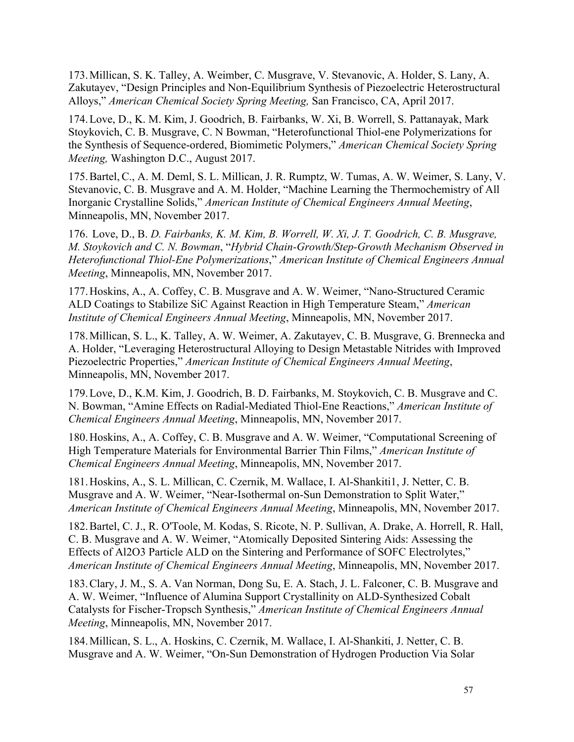173.Millican, S. K. Talley, A. Weimber, C. Musgrave, V. Stevanovic, A. Holder, S. Lany, A. Zakutayev, "Design Principles and Non-Equilibrium Synthesis of Piezoelectric Heterostructural Alloys," *American Chemical Society Spring Meeting,* San Francisco, CA, April 2017.

174.Love, D., K. M. Kim, J. Goodrich, B. Fairbanks, W. Xi, B. Worrell, S. Pattanayak, Mark Stoykovich, C. B. Musgrave, C. N Bowman, "Heterofunctional Thiol-ene Polymerizations for the Synthesis of Sequence-ordered, Biomimetic Polymers," *American Chemical Society Spring Meeting,* Washington D.C., August 2017.

175.Bartel, C., A. M. Deml, S. L. Millican, J. R. Rumptz, W. Tumas, A. W. Weimer, S. Lany, V. Stevanovic, C. B. Musgrave and A. M. Holder, "Machine Learning the Thermochemistry of All Inorganic Crystalline Solids," *American Institute of Chemical Engineers Annual Meeting*, Minneapolis, MN, November 2017.

176. Love, D., B. *D. Fairbanks, K. M. Kim, B. Worrell, W. Xi, J. T. Goodrich, C. B. Musgrave, M. Stoykovich and C. N. Bowman*, "*Hybrid Chain-Growth/Step-Growth Mechanism Observed in Heterofunctional Thiol-Ene Polymerizations*," *American Institute of Chemical Engineers Annual Meeting*, Minneapolis, MN, November 2017.

177.Hoskins, A., A. Coffey, C. B. Musgrave and A. W. Weimer, "Nano-Structured Ceramic ALD Coatings to Stabilize SiC Against Reaction in High Temperature Steam," *American Institute of Chemical Engineers Annual Meeting*, Minneapolis, MN, November 2017.

178.Millican, S. L., K. Talley, A. W. Weimer, A. Zakutayev, C. B. Musgrave, G. Brennecka and A. Holder, "Leveraging Heterostructural Alloying to Design Metastable Nitrides with Improved Piezoelectric Properties," *American Institute of Chemical Engineers Annual Meeting*, Minneapolis, MN, November 2017.

179.Love, D., K.M. Kim, J. Goodrich, B. D. Fairbanks, M. Stoykovich, C. B. Musgrave and C. N. Bowman, "Amine Effects on Radial-Mediated Thiol-Ene Reactions," *American Institute of Chemical Engineers Annual Meeting*, Minneapolis, MN, November 2017.

180.Hoskins, A., A. Coffey, C. B. Musgrave and A. W. Weimer, "Computational Screening of High Temperature Materials for Environmental Barrier Thin Films," *American Institute of Chemical Engineers Annual Meeting*, Minneapolis, MN, November 2017.

181.Hoskins, A., S. L. Millican, C. Czernik, M. Wallace, I. Al-Shankiti1, J. Netter, C. B. Musgrave and A. W. Weimer, "Near-Isothermal on-Sun Demonstration to Split Water," *American Institute of Chemical Engineers Annual Meeting*, Minneapolis, MN, November 2017.

182.Bartel, C. J., R. O'Toole, M. Kodas, S. Ricote, N. P. Sullivan, A. Drake, A. Horrell, R. Hall, C. B. Musgrave and A. W. Weimer, "Atomically Deposited Sintering Aids: Assessing the Effects of Al2O3 Particle ALD on the Sintering and Performance of SOFC Electrolytes," *American Institute of Chemical Engineers Annual Meeting*, Minneapolis, MN, November 2017.

183.Clary, J. M., S. A. Van Norman, Dong Su, E. A. Stach, J. L. Falconer, C. B. Musgrave and A. W. Weimer, "Influence of Alumina Support Crystallinity on ALD-Synthesized Cobalt Catalysts for Fischer-Tropsch Synthesis," *American Institute of Chemical Engineers Annual Meeting*, Minneapolis, MN, November 2017.

184.Millican, S. L., A. Hoskins, C. Czernik, M. Wallace, I. Al-Shankiti, J. Netter, C. B. Musgrave and A. W. Weimer, "On-Sun Demonstration of Hydrogen Production Via Solar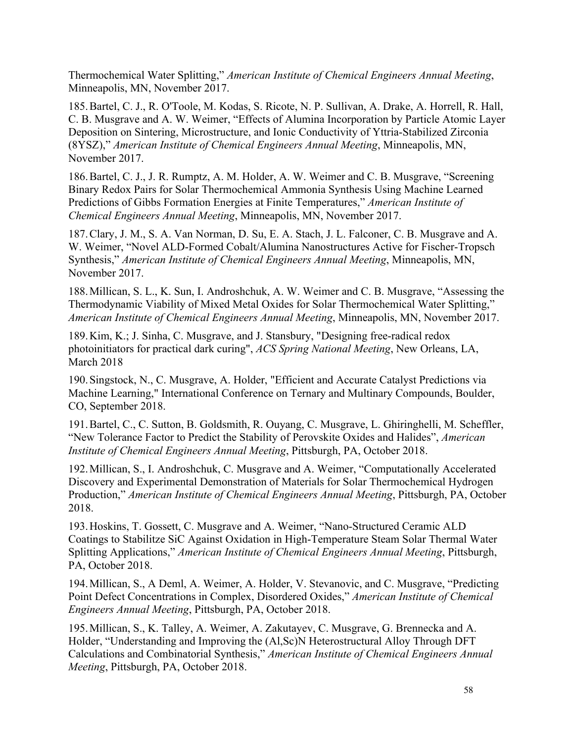Thermochemical Water Splitting," *American Institute of Chemical Engineers Annual Meeting*, Minneapolis, MN, November 2017.

185.Bartel, C. J., R. O'Toole, M. Kodas, S. Ricote, N. P. Sullivan, A. Drake, A. Horrell, R. Hall, C. B. Musgrave and A. W. Weimer, "Effects of Alumina Incorporation by Particle Atomic Layer Deposition on Sintering, Microstructure, and Ionic Conductivity of Yttria-Stabilized Zirconia (8YSZ)," *American Institute of Chemical Engineers Annual Meeting*, Minneapolis, MN, November 2017.

186.Bartel, C. J., J. R. Rumptz, A. M. Holder, A. W. Weimer and C. B. Musgrave, "Screening Binary Redox Pairs for Solar Thermochemical Ammonia Synthesis Using Machine Learned Predictions of Gibbs Formation Energies at Finite Temperatures," *American Institute of Chemical Engineers Annual Meeting*, Minneapolis, MN, November 2017.

187.Clary, J. M., S. A. Van Norman, D. Su, E. A. Stach, J. L. Falconer, C. B. Musgrave and A. W. Weimer, "Novel ALD-Formed Cobalt/Alumina Nanostructures Active for Fischer-Tropsch Synthesis," *American Institute of Chemical Engineers Annual Meeting*, Minneapolis, MN, November 2017.

188.Millican, S. L., K. Sun, I. Androshchuk, A. W. Weimer and C. B. Musgrave, "Assessing the Thermodynamic Viability of Mixed Metal Oxides for Solar Thermochemical Water Splitting," *American Institute of Chemical Engineers Annual Meeting*, Minneapolis, MN, November 2017.

189.Kim, K.; J. Sinha, C. Musgrave, and J. Stansbury, "Designing free-radical redox photoinitiators for practical dark curing", *ACS Spring National Meeting*, New Orleans, LA, March 2018

190.Singstock, N., C. Musgrave, A. Holder, "Efficient and Accurate Catalyst Predictions via Machine Learning," International Conference on Ternary and Multinary Compounds, Boulder, CO, September 2018.

191.Bartel, C., C. Sutton, B. Goldsmith, R. Ouyang, C. Musgrave, L. Ghiringhelli, M. Scheffler, "New Tolerance Factor to Predict the Stability of Perovskite Oxides and Halides", *American Institute of Chemical Engineers Annual Meeting*, Pittsburgh, PA, October 2018.

192.Millican, S., I. Androshchuk, C. Musgrave and A. Weimer, "Computationally Accelerated Discovery and Experimental Demonstration of Materials for Solar Thermochemical Hydrogen Production," *American Institute of Chemical Engineers Annual Meeting*, Pittsburgh, PA, October 2018.

193.Hoskins, T. Gossett, C. Musgrave and A. Weimer, "Nano-Structured Ceramic ALD Coatings to Stabilitze SiC Against Oxidation in High-Temperature Steam Solar Thermal Water Splitting Applications," *American Institute of Chemical Engineers Annual Meeting*, Pittsburgh, PA, October 2018.

194.Millican, S., A Deml, A. Weimer, A. Holder, V. Stevanovic, and C. Musgrave, "Predicting Point Defect Concentrations in Complex, Disordered Oxides," *American Institute of Chemical Engineers Annual Meeting*, Pittsburgh, PA, October 2018.

195.Millican, S., K. Talley, A. Weimer, A. Zakutayev, C. Musgrave, G. Brennecka and A. Holder, "Understanding and Improving the (Al,Sc)N Heterostructural Alloy Through DFT Calculations and Combinatorial Synthesis," *American Institute of Chemical Engineers Annual Meeting*, Pittsburgh, PA, October 2018.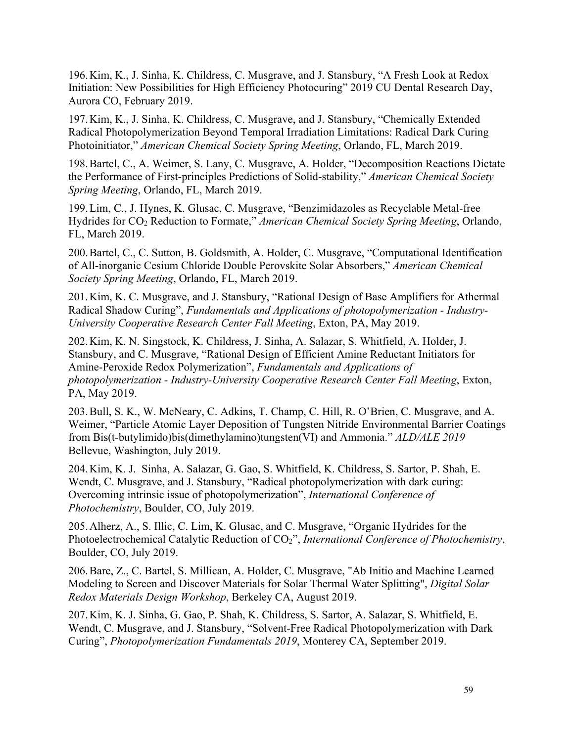196.Kim, K., J. Sinha, K. Childress, C. Musgrave, and J. Stansbury, "A Fresh Look at Redox Initiation: New Possibilities for High Efficiency Photocuring" 2019 CU Dental Research Day, Aurora CO, February 2019.

197.Kim, K., J. Sinha, K. Childress, C. Musgrave, and J. Stansbury, "Chemically Extended Radical Photopolymerization Beyond Temporal Irradiation Limitations: Radical Dark Curing Photoinitiator," *American Chemical Society Spring Meeting*, Orlando, FL, March 2019.

198.Bartel, C., A. Weimer, S. Lany, C. Musgrave, A. Holder, "Decomposition Reactions Dictate the Performance of First-principles Predictions of Solid-stability," *American Chemical Society Spring Meeting*, Orlando, FL, March 2019.

199.Lim, C., J. Hynes, K. Glusac, C. Musgrave, "Benzimidazoles as Recyclable Metal-free Hydrides for CO2 Reduction to Formate," *American Chemical Society Spring Meeting*, Orlando, FL, March 2019.

200.Bartel, C., C. Sutton, B. Goldsmith, A. Holder, C. Musgrave, "Computational Identification of All-inorganic Cesium Chloride Double Perovskite Solar Absorbers," *American Chemical Society Spring Meeting*, Orlando, FL, March 2019.

201.Kim, K. C. Musgrave, and J. Stansbury, "Rational Design of Base Amplifiers for Athermal Radical Shadow Curing", *Fundamentals and Applications of photopolymerization - Industry-University Cooperative Research Center Fall Meeting*, Exton, PA, May 2019.

202.Kim, K. N. Singstock, K. Childress, J. Sinha, A. Salazar, S. Whitfield, A. Holder, J. Stansbury, and C. Musgrave, "Rational Design of Efficient Amine Reductant Initiators for Amine-Peroxide Redox Polymerization", *Fundamentals and Applications of photopolymerization - Industry-University Cooperative Research Center Fall Meeting*, Exton, PA, May 2019.

203.Bull, S. K., W. McNeary, C. Adkins, T. Champ, C. Hill, R. O'Brien, C. Musgrave, and A. Weimer, "Particle Atomic Layer Deposition of Tungsten Nitride Environmental Barrier Coatings from Bis(t-butylimido)bis(dimethylamino)tungsten(VI) and Ammonia." *ALD/ALE 2019* Bellevue, Washington, July 2019.

204.Kim, K. J. Sinha, A. Salazar, G. Gao, S. Whitfield, K. Childress, S. Sartor, P. Shah, E. Wendt, C. Musgrave, and J. Stansbury, "Radical photopolymerization with dark curing: Overcoming intrinsic issue of photopolymerization", *International Conference of Photochemistry*, Boulder, CO, July 2019.

205.Alherz, A., S. Illic, C. Lim, K. Glusac, and C. Musgrave, "Organic Hydrides for the Photoelectrochemical Catalytic Reduction of CO2", *International Conference of Photochemistry*, Boulder, CO, July 2019.

206.Bare, Z., C. Bartel, S. Millican, A. Holder, C. Musgrave, "Ab Initio and Machine Learned Modeling to Screen and Discover Materials for Solar Thermal Water Splitting", *Digital Solar Redox Materials Design Workshop*, Berkeley CA, August 2019.

207.Kim, K. J. Sinha, G. Gao, P. Shah, K. Childress, S. Sartor, A. Salazar, S. Whitfield, E. Wendt, C. Musgrave, and J. Stansbury, "Solvent-Free Radical Photopolymerization with Dark Curing", *Photopolymerization Fundamentals 2019*, Monterey CA, September 2019.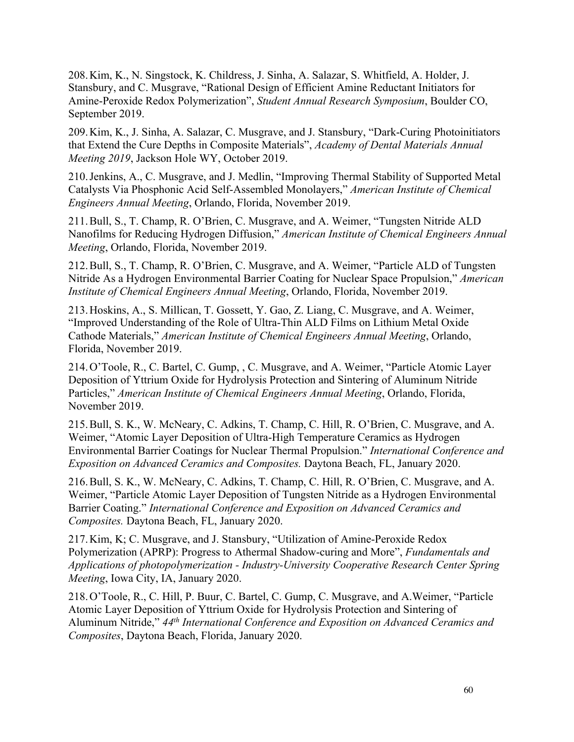208.Kim, K., N. Singstock, K. Childress, J. Sinha, A. Salazar, S. Whitfield, A. Holder, J. Stansbury, and C. Musgrave, "Rational Design of Efficient Amine Reductant Initiators for Amine-Peroxide Redox Polymerization", *Student Annual Research Symposium*, Boulder CO, September 2019.

209.Kim, K., J. Sinha, A. Salazar, C. Musgrave, and J. Stansbury, "Dark-Curing Photoinitiators that Extend the Cure Depths in Composite Materials", *Academy of Dental Materials Annual Meeting 2019*, Jackson Hole WY, October 2019.

210.Jenkins, A., C. Musgrave, and J. Medlin, "Improving Thermal Stability of Supported Metal Catalysts Via Phosphonic Acid Self-Assembled Monolayers," *American Institute of Chemical Engineers Annual Meeting*, Orlando, Florida, November 2019.

211.Bull, S., T. Champ, R. O'Brien, C. Musgrave, and A. Weimer, "Tungsten Nitride ALD Nanofilms for Reducing Hydrogen Diffusion," *American Institute of Chemical Engineers Annual Meeting*, Orlando, Florida, November 2019.

212.Bull, S., T. Champ, R. O'Brien, C. Musgrave, and A. Weimer, "Particle ALD of Tungsten Nitride As a Hydrogen Environmental Barrier Coating for Nuclear Space Propulsion," *American Institute of Chemical Engineers Annual Meeting*, Orlando, Florida, November 2019.

213.Hoskins, A., S. Millican, T. Gossett, Y. Gao, Z. Liang, C. Musgrave, and A. Weimer, "Improved Understanding of the Role of Ultra-Thin ALD Films on Lithium Metal Oxide Cathode Materials," *American Institute of Chemical Engineers Annual Meeting*, Orlando, Florida, November 2019.

214.O'Toole, R., C. Bartel, C. Gump, , C. Musgrave, and A. Weimer, "Particle Atomic Layer Deposition of Yttrium Oxide for Hydrolysis Protection and Sintering of Aluminum Nitride Particles," *American Institute of Chemical Engineers Annual Meeting*, Orlando, Florida, November 2019.

215.Bull, S. K., W. McNeary, C. Adkins, T. Champ, C. Hill, R. O'Brien, C. Musgrave, and A. Weimer, "Atomic Layer Deposition of Ultra-High Temperature Ceramics as Hydrogen Environmental Barrier Coatings for Nuclear Thermal Propulsion." *International Conference and Exposition on Advanced Ceramics and Composites.* Daytona Beach, FL, January 2020.

216.Bull, S. K., W. McNeary, C. Adkins, T. Champ, C. Hill, R. O'Brien, C. Musgrave, and A. Weimer, "Particle Atomic Layer Deposition of Tungsten Nitride as a Hydrogen Environmental Barrier Coating." *International Conference and Exposition on Advanced Ceramics and Composites.* Daytona Beach, FL, January 2020.

217.Kim, K; C. Musgrave, and J. Stansbury, "Utilization of Amine-Peroxide Redox Polymerization (APRP): Progress to Athermal Shadow-curing and More", *Fundamentals and Applications of photopolymerization - Industry-University Cooperative Research Center Spring Meeting*, Iowa City, IA, January 2020.

218.O'Toole, R., C. Hill, P. Buur, C. Bartel, C. Gump, C. Musgrave, and A.Weimer, "Particle Atomic Layer Deposition of Yttrium Oxide for Hydrolysis Protection and Sintering of Aluminum Nitride," *44th International Conference and Exposition on Advanced Ceramics and Composites*, Daytona Beach, Florida, January 2020.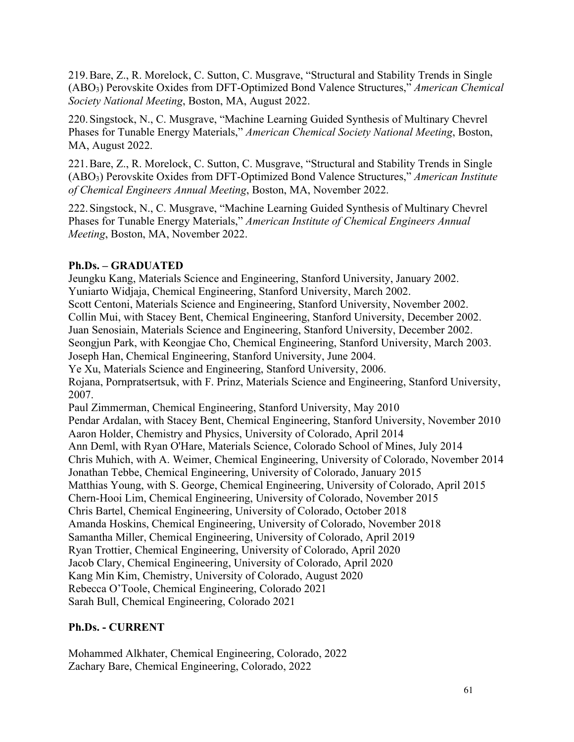219.Bare, Z., R. Morelock, C. Sutton, C. Musgrave, "Structural and Stability Trends in Single (ABO3) Perovskite Oxides from DFT-Optimized Bond Valence Structures," *American Chemical Society National Meeting*, Boston, MA, August 2022.

220.Singstock, N., C. Musgrave, "Machine Learning Guided Synthesis of Multinary Chevrel Phases for Tunable Energy Materials," *American Chemical Society National Meeting*, Boston, MA, August 2022.

221.Bare, Z., R. Morelock, C. Sutton, C. Musgrave, "Structural and Stability Trends in Single (ABO3) Perovskite Oxides from DFT-Optimized Bond Valence Structures," *American Institute of Chemical Engineers Annual Meeting*, Boston, MA, November 2022.

222.Singstock, N., C. Musgrave, "Machine Learning Guided Synthesis of Multinary Chevrel Phases for Tunable Energy Materials," *American Institute of Chemical Engineers Annual Meeting*, Boston, MA, November 2022.

## **Ph.Ds. – GRADUATED**

Jeungku Kang, Materials Science and Engineering, Stanford University, January 2002. Yuniarto Widjaja, Chemical Engineering, Stanford University, March 2002. Scott Centoni, Materials Science and Engineering, Stanford University, November 2002. Collin Mui, with Stacey Bent, Chemical Engineering, Stanford University, December 2002. Juan Senosiain, Materials Science and Engineering, Stanford University, December 2002. Seongjun Park, with Keongjae Cho, Chemical Engineering, Stanford University, March 2003. Joseph Han, Chemical Engineering, Stanford University, June 2004. Ye Xu, Materials Science and Engineering, Stanford University, 2006. Rojana, Pornpratsertsuk, with F. Prinz, Materials Science and Engineering, Stanford University, 2007. Paul Zimmerman, Chemical Engineering, Stanford University, May 2010 Pendar Ardalan, with Stacey Bent, Chemical Engineering, Stanford University, November 2010 Aaron Holder, Chemistry and Physics, University of Colorado, April 2014 Ann Deml, with Ryan O'Hare, Materials Science, Colorado School of Mines, July 2014 Chris Muhich, with A. Weimer, Chemical Engineering, University of Colorado, November 2014 Jonathan Tebbe, Chemical Engineering, University of Colorado, January 2015 Matthias Young, with S. George, Chemical Engineering, University of Colorado, April 2015 Chern-Hooi Lim, Chemical Engineering, University of Colorado, November 2015 Chris Bartel, Chemical Engineering, University of Colorado, October 2018 Amanda Hoskins, Chemical Engineering, University of Colorado, November 2018 Samantha Miller, Chemical Engineering, University of Colorado, April 2019 Ryan Trottier, Chemical Engineering, University of Colorado, April 2020 Jacob Clary, Chemical Engineering, University of Colorado, April 2020 Kang Min Kim, Chemistry, University of Colorado, August 2020 Rebecca O'Toole, Chemical Engineering, Colorado 2021 Sarah Bull, Chemical Engineering, Colorado 2021

# **Ph.Ds. - CURRENT**

Mohammed Alkhater, Chemical Engineering, Colorado, 2022 Zachary Bare, Chemical Engineering, Colorado, 2022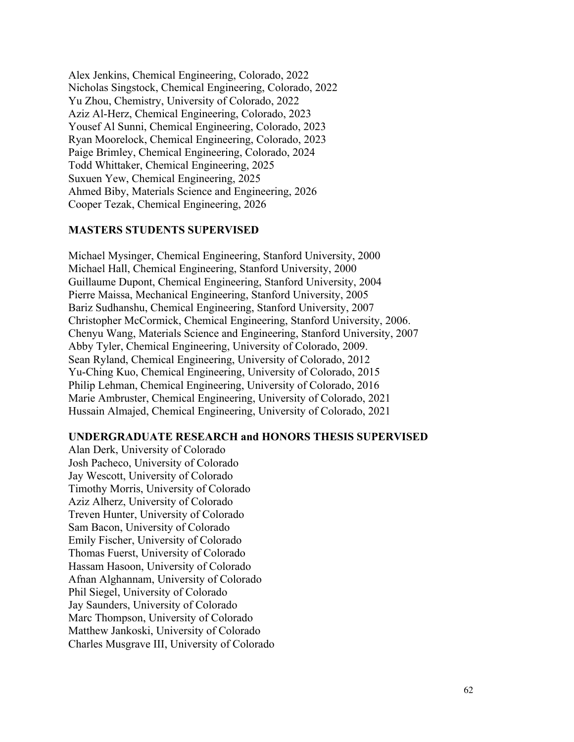Alex Jenkins, Chemical Engineering, Colorado, 2022 Nicholas Singstock, Chemical Engineering, Colorado, 2022 Yu Zhou, Chemistry, University of Colorado, 2022 Aziz Al-Herz, Chemical Engineering, Colorado, 2023 Yousef Al Sunni, Chemical Engineering, Colorado, 2023 Ryan Moorelock, Chemical Engineering, Colorado, 2023 Paige Brimley, Chemical Engineering, Colorado, 2024 Todd Whittaker, Chemical Engineering, 2025 Suxuen Yew, Chemical Engineering, 2025 Ahmed Biby, Materials Science and Engineering, 2026 Cooper Tezak, Chemical Engineering, 2026

#### **MASTERS STUDENTS SUPERVISED**

Michael Mysinger, Chemical Engineering, Stanford University, 2000 Michael Hall, Chemical Engineering, Stanford University, 2000 Guillaume Dupont, Chemical Engineering, Stanford University, 2004 Pierre Maissa, Mechanical Engineering, Stanford University, 2005 Bariz Sudhanshu, Chemical Engineering, Stanford University, 2007 Christopher McCormick, Chemical Engineering, Stanford University, 2006. Chenyu Wang, Materials Science and Engineering, Stanford University, 2007 Abby Tyler, Chemical Engineering, University of Colorado, 2009. Sean Ryland, Chemical Engineering, University of Colorado, 2012 Yu-Ching Kuo, Chemical Engineering, University of Colorado, 2015 Philip Lehman, Chemical Engineering, University of Colorado, 2016 Marie Ambruster, Chemical Engineering, University of Colorado, 2021 Hussain Almajed, Chemical Engineering, University of Colorado, 2021

#### **UNDERGRADUATE RESEARCH and HONORS THESIS SUPERVISED**

Alan Derk, University of Colorado Josh Pacheco, University of Colorado Jay Wescott, University of Colorado Timothy Morris, University of Colorado Aziz Alherz, University of Colorado Treven Hunter, University of Colorado Sam Bacon, University of Colorado Emily Fischer, University of Colorado Thomas Fuerst, University of Colorado Hassam Hasoon, University of Colorado Afnan Alghannam, University of Colorado Phil Siegel, University of Colorado Jay Saunders, University of Colorado Marc Thompson, University of Colorado Matthew Jankoski, University of Colorado Charles Musgrave III, University of Colorado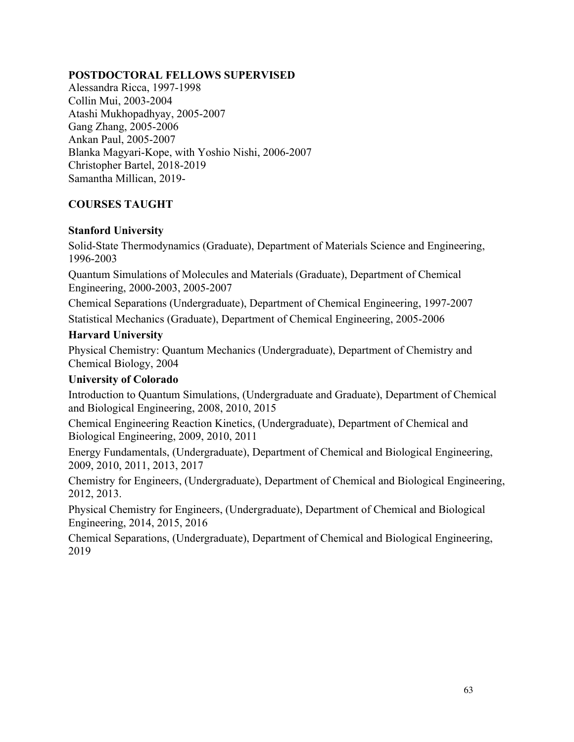### **POSTDOCTORAL FELLOWS SUPERVISED**

Alessandra Ricca, 1997-1998 Collin Mui, 2003-2004 Atashi Mukhopadhyay, 2005-2007 Gang Zhang, 2005-2006 Ankan Paul, 2005-2007 Blanka Magyari-Kope, with Yoshio Nishi, 2006-2007 Christopher Bartel, 2018-2019 Samantha Millican, 2019-

# **COURSES TAUGHT**

### **Stanford University**

Solid-State Thermodynamics (Graduate), Department of Materials Science and Engineering, 1996-2003

Quantum Simulations of Molecules and Materials (Graduate), Department of Chemical Engineering, 2000-2003, 2005-2007

Chemical Separations (Undergraduate), Department of Chemical Engineering, 1997-2007 Statistical Mechanics (Graduate), Department of Chemical Engineering, 2005-2006

# **Harvard University**

Physical Chemistry: Quantum Mechanics (Undergraduate), Department of Chemistry and Chemical Biology, 2004

## **University of Colorado**

Introduction to Quantum Simulations, (Undergraduate and Graduate), Department of Chemical and Biological Engineering, 2008, 2010, 2015

Chemical Engineering Reaction Kinetics, (Undergraduate), Department of Chemical and Biological Engineering, 2009, 2010, 2011

Energy Fundamentals, (Undergraduate), Department of Chemical and Biological Engineering, 2009, 2010, 2011, 2013, 2017

Chemistry for Engineers, (Undergraduate), Department of Chemical and Biological Engineering, 2012, 2013.

Physical Chemistry for Engineers, (Undergraduate), Department of Chemical and Biological Engineering, 2014, 2015, 2016

Chemical Separations, (Undergraduate), Department of Chemical and Biological Engineering, 2019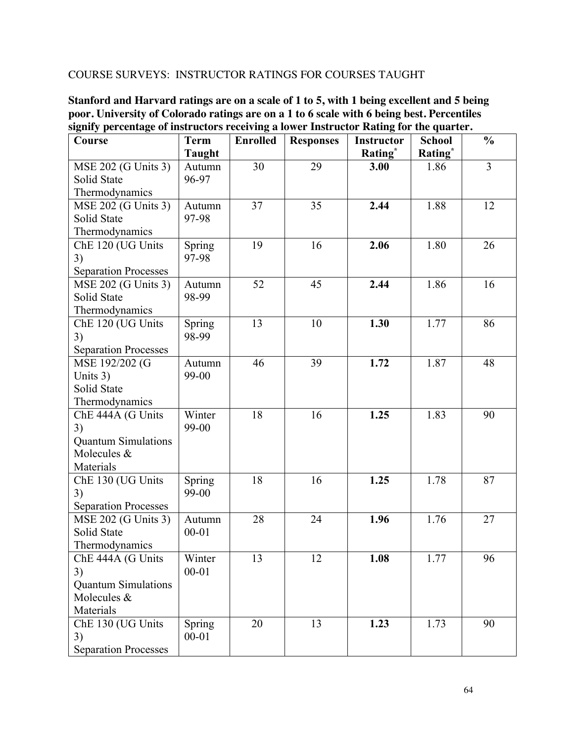## COURSE SURVEYS: INSTRUCTOR RATINGS FOR COURSES TAUGHT

**Stanford and Harvard ratings are on a scale of 1 to 5, with 1 being excellent and 5 being poor. University of Colorado ratings are on a 1 to 6 scale with 6 being best. Percentiles signify percentage of instructors receiving a lower Instructor Rating for the quarter.**

| Course                      | <b>Term</b>   | <b>Enrolled</b> | <b>Responses</b> | <b>Instructor</b>   | <b>School</b>       | $\frac{0}{0}$  |
|-----------------------------|---------------|-----------------|------------------|---------------------|---------------------|----------------|
|                             | <b>Taught</b> |                 |                  | Rating <sup>*</sup> | Rating <sup>*</sup> |                |
| MSE 202 (G Units 3)         | Autumn        | 30              | 29               | 3.00                | 1.86                | $\overline{3}$ |
| Solid State                 | 96-97         |                 |                  |                     |                     |                |
| Thermodynamics              |               |                 |                  |                     |                     |                |
| MSE 202 (G Units 3)         | Autumn        | 37              | 35               | 2.44                | 1.88                | 12             |
| Solid State                 | 97-98         |                 |                  |                     |                     |                |
| Thermodynamics              |               |                 |                  |                     |                     |                |
| ChE 120 (UG Units           | Spring        | 19              | 16               | 2.06                | 1.80                | 26             |
| 3)                          | 97-98         |                 |                  |                     |                     |                |
| <b>Separation Processes</b> |               |                 |                  |                     |                     |                |
| MSE 202 (G Units 3)         | Autumn        | 52              | 45               | 2.44                | 1.86                | 16             |
| Solid State                 | 98-99         |                 |                  |                     |                     |                |
| Thermodynamics              |               |                 |                  |                     |                     |                |
| ChE 120 (UG Units           | Spring        | 13              | 10               | 1.30                | 1.77                | 86             |
| 3)                          | 98-99         |                 |                  |                     |                     |                |
| <b>Separation Processes</b> |               |                 |                  |                     |                     |                |
| MSE 192/202 (G              | Autumn        | 46              | 39               | 1.72                | 1.87                | 48             |
| Units 3)                    | 99-00         |                 |                  |                     |                     |                |
| Solid State                 |               |                 |                  |                     |                     |                |
| Thermodynamics              |               |                 |                  |                     |                     |                |
| ChE 444A (G Units           | Winter        | 18              | 16               | 1.25                | 1.83                | 90             |
| 3)                          | 99-00         |                 |                  |                     |                     |                |
| <b>Quantum Simulations</b>  |               |                 |                  |                     |                     |                |
| Molecules &                 |               |                 |                  |                     |                     |                |
| Materials                   |               |                 |                  |                     |                     |                |
| ChE 130 (UG Units           | Spring        | 18              | 16               | 1.25                | 1.78                | 87             |
| 3)                          | 99-00         |                 |                  |                     |                     |                |
| <b>Separation Processes</b> |               |                 |                  |                     |                     |                |
| MSE 202 (G Units 3)         | Autumn        | 28              | 24               | 1.96                | 1.76                | 27             |
| Solid State                 | $00 - 01$     |                 |                  |                     |                     |                |
| Thermodynamics              |               |                 |                  |                     |                     |                |
| ChE 444A (G Units           | Winter        | 13              | 12               | 1.08                | 1.77                | 96             |
| 3)                          | $00 - 01$     |                 |                  |                     |                     |                |
| <b>Quantum Simulations</b>  |               |                 |                  |                     |                     |                |
| Molecules &                 |               |                 |                  |                     |                     |                |
| Materials                   |               |                 |                  |                     |                     |                |
| ChE 130 (UG Units           | Spring        | 20              | 13               | 1.23                | 1.73                | 90             |
| 3)                          | $00 - 01$     |                 |                  |                     |                     |                |
| <b>Separation Processes</b> |               |                 |                  |                     |                     |                |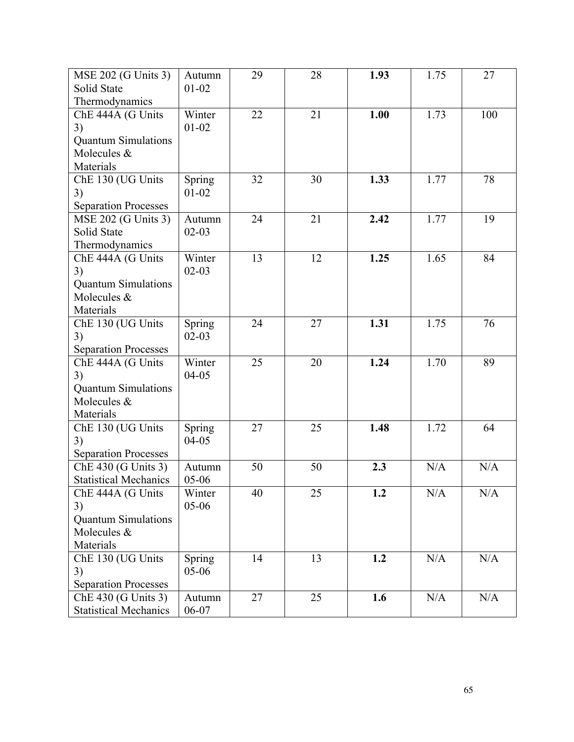| MSE 202 (G Units 3)          | Autumn    | 29 | 28 | 1.93 | 1.75 | 27  |
|------------------------------|-----------|----|----|------|------|-----|
| Solid State                  | $01 - 02$ |    |    |      |      |     |
| Thermodynamics               |           |    |    |      |      |     |
| ChE 444A (G Units            | Winter    | 22 | 21 | 1.00 | 1.73 | 100 |
| 3)                           | $01 - 02$ |    |    |      |      |     |
| <b>Quantum Simulations</b>   |           |    |    |      |      |     |
| Molecules &                  |           |    |    |      |      |     |
| Materials                    |           |    |    |      |      |     |
| ChE 130 (UG Units            | Spring    | 32 | 30 | 1.33 | 1.77 | 78  |
| 3)                           | $01 - 02$ |    |    |      |      |     |
| <b>Separation Processes</b>  |           |    |    |      |      |     |
| MSE 202 (G Units 3)          | Autumn    | 24 | 21 | 2.42 | 1.77 | 19  |
| Solid State                  | $02 - 03$ |    |    |      |      |     |
| Thermodynamics               |           |    |    |      |      |     |
| ChE 444A (G Units            | Winter    | 13 | 12 | 1.25 | 1.65 | 84  |
| 3)                           | $02 - 03$ |    |    |      |      |     |
| <b>Quantum Simulations</b>   |           |    |    |      |      |     |
| Molecules &                  |           |    |    |      |      |     |
| Materials                    |           |    |    |      |      |     |
| ChE 130 (UG Units            | Spring    | 24 | 27 | 1.31 | 1.75 | 76  |
| 3)                           | $02 - 03$ |    |    |      |      |     |
| <b>Separation Processes</b>  |           |    |    |      |      |     |
| ChE 444A (G Units            | Winter    | 25 | 20 | 1.24 | 1.70 | 89  |
| 3)                           | $04 - 05$ |    |    |      |      |     |
| <b>Quantum Simulations</b>   |           |    |    |      |      |     |
| Molecules &                  |           |    |    |      |      |     |
| Materials                    |           |    |    |      |      |     |
| ChE 130 (UG Units            | Spring    | 27 | 25 | 1.48 | 1.72 | 64  |
| 3)                           | $04 - 05$ |    |    |      |      |     |
| <b>Separation Processes</b>  |           |    |    |      |      |     |
| ChE 430 (G Units 3)          | Autumn    | 50 | 50 | 2.3  | N/A  | N/A |
| <b>Statistical Mechanics</b> | $05-06$   |    |    |      |      |     |
| ChE 444A (G Units            | Winter    | 40 | 25 | 1.2  | N/A  | N/A |
| 3)                           | 05-06     |    |    |      |      |     |
| <b>Quantum Simulations</b>   |           |    |    |      |      |     |
| Molecules &                  |           |    |    |      |      |     |
| Materials                    |           |    |    |      |      |     |
| ChE 130 (UG Units            | Spring    | 14 | 13 | 1.2  | N/A  | N/A |
| 3)                           | 05-06     |    |    |      |      |     |
| <b>Separation Processes</b>  |           |    |    |      |      |     |
| ChE 430 (G Units 3)          | Autumn    | 27 | 25 | 1.6  | N/A  | N/A |
| <b>Statistical Mechanics</b> | 06-07     |    |    |      |      |     |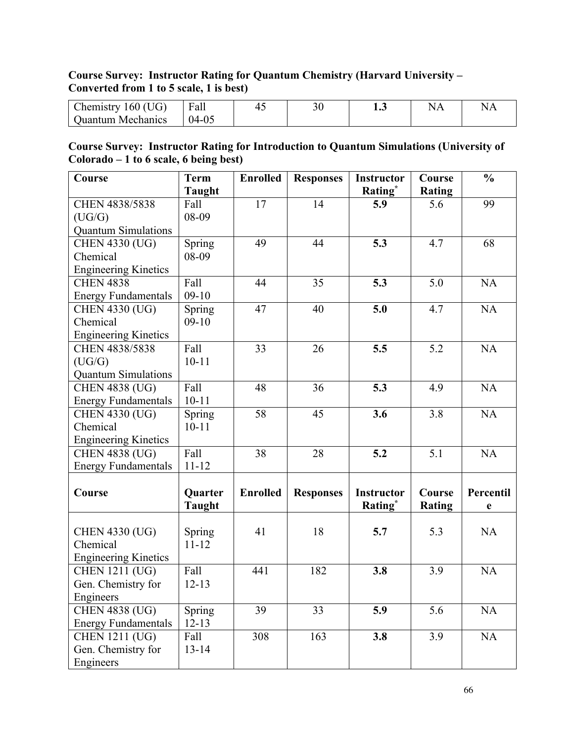# **Course Survey: Instructor Rating for Quantum Chemistry (Harvard University – Converted from 1 to 5 scale, 1 is best)**

| 160 (UG)<br>hemistry_ | ┳<br>rall | . . | JU | 10J |  |
|-----------------------|-----------|-----|----|-----|--|
| l Ouantum Mechanics   | ገ4-ሰና     |     |    |     |  |

# **Course Survey: Instructor Rating for Introduction to Quantum Simulations (University of Colorado – 1 to 6 scale, 6 being best)**

| Course                      | <b>Term</b>   | <b>Enrolled</b> | <b>Responses</b> | <b>Instructor</b> | Course        | $\frac{0}{0}$ |
|-----------------------------|---------------|-----------------|------------------|-------------------|---------------|---------------|
|                             | <b>Taught</b> |                 |                  | Rating*           | <b>Rating</b> |               |
| CHEN 4838/5838              | Fall          | 17              | 14               | 5.9               | 5.6           | 99            |
| (UG/G)                      | 08-09         |                 |                  |                   |               |               |
| <b>Quantum Simulations</b>  |               |                 |                  |                   |               |               |
| <b>CHEN 4330 (UG)</b>       | Spring        | 49              | 44               | 5.3               | 4.7           | 68            |
| Chemical                    | 08-09         |                 |                  |                   |               |               |
| <b>Engineering Kinetics</b> |               |                 |                  |                   |               |               |
| <b>CHEN 4838</b>            | Fall          | 44              | 35               | 5.3               | 5.0           | <b>NA</b>     |
| <b>Energy Fundamentals</b>  | $09-10$       |                 |                  |                   |               |               |
| <b>CHEN 4330 (UG)</b>       | Spring        | 47              | 40               | 5.0               | 4.7           | NA            |
| Chemical                    | $09-10$       |                 |                  |                   |               |               |
| <b>Engineering Kinetics</b> |               |                 |                  |                   |               |               |
| CHEN 4838/5838              | Fall          | 33              | 26               | 5.5               | 5.2           | NA            |
| (UG/G)                      | $10 - 11$     |                 |                  |                   |               |               |
| <b>Ouantum Simulations</b>  |               |                 |                  |                   |               |               |
| <b>CHEN 4838 (UG)</b>       | Fall          | 48              | 36               | 5.3               | 4.9           | <b>NA</b>     |
| <b>Energy Fundamentals</b>  | $10 - 11$     |                 |                  |                   |               |               |
| <b>CHEN 4330 (UG)</b>       | <b>Spring</b> | 58              | 45               | 3.6               | 3.8           | NA            |
| Chemical                    | $10 - 11$     |                 |                  |                   |               |               |
| <b>Engineering Kinetics</b> |               |                 |                  |                   |               |               |
| <b>CHEN</b> 4838 (UG)       | Fall          | 38              | 28               | 5.2               | 5.1           | NA            |
| <b>Energy Fundamentals</b>  | $11 - 12$     |                 |                  |                   |               |               |
|                             |               |                 |                  |                   |               |               |
| Course                      | Quarter       | <b>Enrolled</b> | <b>Responses</b> | <b>Instructor</b> | Course        | Percentil     |
|                             | <b>Taught</b> |                 |                  | Rating*           | <b>Rating</b> | $\mathbf e$   |
|                             |               |                 |                  |                   |               |               |
| <b>CHEN 4330 (UG)</b>       | Spring        | 41              | 18               | 5.7               | 5.3           | <b>NA</b>     |
| Chemical                    | $11 - 12$     |                 |                  |                   |               |               |
| <b>Engineering Kinetics</b> |               |                 |                  |                   |               |               |
| <b>CHEN 1211 (UG)</b>       | Fall          | 441             | 182              | 3.8               | 3.9           | <b>NA</b>     |
| Gen. Chemistry for          | $12 - 13$     |                 |                  |                   |               |               |
| Engineers                   |               |                 |                  |                   |               |               |
| <b>CHEN 4838 (UG)</b>       | Spring        | 39              | 33               | 5.9               | 5.6           | <b>NA</b>     |
| <b>Energy Fundamentals</b>  | $12 - 13$     |                 |                  |                   |               |               |
| <b>CHEN 1211 (UG)</b>       | Fall          | 308             | 163              | 3.8               | 3.9           | NA            |
| Gen. Chemistry for          | $13 - 14$     |                 |                  |                   |               |               |
| Engineers                   |               |                 |                  |                   |               |               |